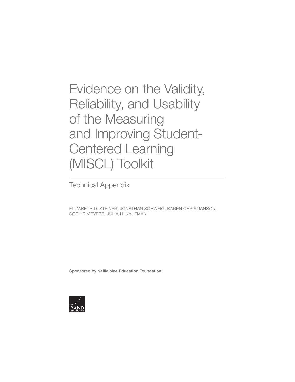[Evidence on the Validity,](https://www.rand.org/pubs/research_reports/RR3235.html)  Reliability, and Usability of the Measuring and Improving Student-Centered Learning (MISCL) Toolkit

Technical Appendix

ELIZABETH D. STEINER, JONATHAN SCHWEIG, KAREN CHRISTIANSON, SOPHIE MEYERS, JULIA H. KAUFMAN

Sponsored by Nellie Mae Education Foundation

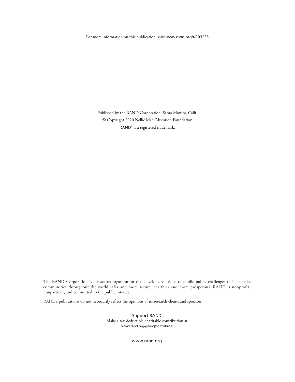For more information on this publication, visit [www.rand.org/t/RR3235](http://www.rand.org/t/RR3235)

Published by the RAND Corporation, Santa Monica, Calif. © Copyright 2020 Nellie Mae Education Foundation RAND<sup>®</sup> is a registered trademark.

The RAND Corporation is a research organization that develops solutions to public policy challenges to help make communities throughout the world safer and more secure, healthier and more prosperous. RAND is nonprofit, nonpartisan, and committed to the public interest.

RAND's publications do not necessarily reflect the opinions of its research clients and sponsors.

Support RAND Make a tax-deductible charitable contribution at [www.rand.org/giving/contribute](http://www.rand.org/giving/contribute)

[www.rand.org](http://www.rand.org)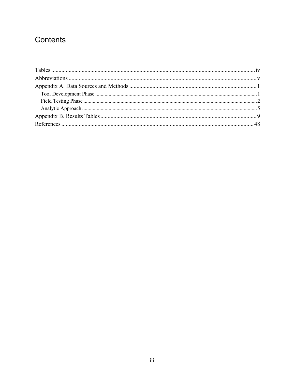## Contents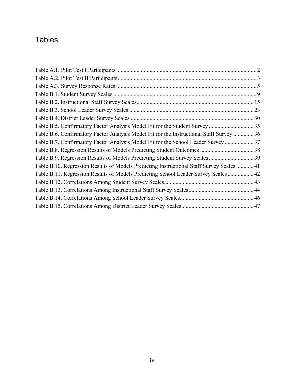# **Tables**

| Table B.5. Confirmatory Factor Analysis Model Fit for the Student Survey 35               |  |
|-------------------------------------------------------------------------------------------|--|
| Table B.6. Confirmatory Factor Analysis Model Fit for the Instructional Staff Survey  36  |  |
| Table B.7. Confirmatory Factor Analysis Model Fit for the School Leader Survey 37         |  |
|                                                                                           |  |
|                                                                                           |  |
| Table B.10. Regression Results of Models Predicting Instructional Staff Survey Scales  41 |  |
| Table B.11. Regression Results of Models Predicting School Leader Survey Scales 42        |  |
|                                                                                           |  |
|                                                                                           |  |
|                                                                                           |  |
|                                                                                           |  |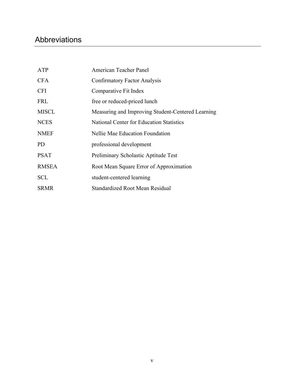# Abbreviations

| ATP          | American Teacher Panel                            |
|--------------|---------------------------------------------------|
| <b>CFA</b>   | <b>Confirmatory Factor Analysis</b>               |
| <b>CFI</b>   | Comparative Fit Index                             |
| <b>FRL</b>   | free or reduced-priced lunch                      |
| <b>MISCL</b> | Measuring and Improving Student-Centered Learning |
| <b>NCES</b>  | <b>National Center for Education Statistics</b>   |
| <b>NMEF</b>  | Nellie Mae Education Foundation                   |
| PD.          | professional development                          |
| <b>PSAT</b>  | Preliminary Scholastic Aptitude Test              |
| <b>RMSEA</b> | Root Mean Square Error of Approximation           |
| <b>SCL</b>   | student-centered learning                         |
| <b>SRMR</b>  | Standardized Root Mean Residual                   |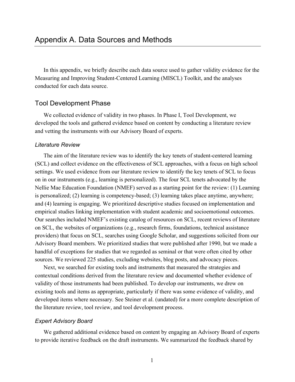In this appendix, we briefly describe each data source used to gather validity evidence for the Measuring and Improving Student-Centered Learning (MISCL) Toolkit, and the analyses conducted for each data source.

### Tool Development Phase

We collected evidence of validity in two phases. In Phase I, Tool Development, we developed the tools and gathered evidence based on content by conducting a literature review and vetting the instruments with our Advisory Board of experts.

#### *Literature Review*

The aim of the literature review was to identify the key tenets of student-centered learning (SCL) and collect evidence on the effectiveness of SCL approaches, with a focus on high school settings. We used evidence from our literature review to identify the key tenets of SCL to focus on in our instruments (e.g., learning is personalized). The four SCL tenets advocated by the Nellie Mae Education Foundation (NMEF) served as a starting point for the review: (1) Learning is personalized; (2) learning is competency-based; (3) learning takes place anytime, anywhere; and (4) learning is engaging. We prioritized descriptive studies focused on implementation and empirical studies linking implementation with student academic and socioemotional outcomes. Our searches included NMEF's existing catalog of resources on SCL, recent reviews of literature on SCL, the websites of organizations (e.g., research firms, foundations, technical assistance providers) that focus on SCL, searches using Google Scholar, and suggestions solicited from our Advisory Board members. We prioritized studies that were published after 1990, but we made a handful of exceptions for studies that we regarded as seminal or that were often cited by other sources. We reviewed 225 studies, excluding websites, blog posts, and advocacy pieces.

Next, we searched for existing tools and instruments that measured the strategies and contextual conditions derived from the literature review and documented whether evidence of validity of those instruments had been published. To develop our instruments, we drew on existing tools and items as appropriate, particularly if there was some evidence of validity, and developed items where necessary. See Steiner et al. (undated) for a more complete description of the literature review, tool review, and tool development process.

#### *Expert Advisory Board*

We gathered additional evidence based on content by engaging an Advisory Board of experts to provide iterative feedback on the draft instruments. We summarized the feedback shared by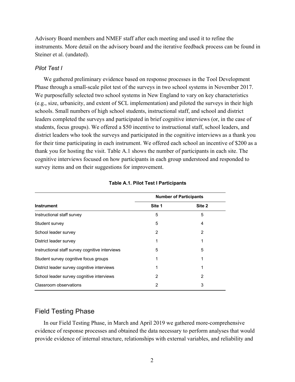Advisory Board members and NMEF staff after each meeting and used it to refine the instruments. More detail on the advisory board and the iterative feedback process can be found in Steiner et al. (undated).

#### *Pilot Test I*

We gathered preliminary evidence based on response processes in the Tool Development Phase through a small-scale pilot test of the surveys in two school systems in November 2017. We purposefully selected two school systems in New England to vary on key characteristics (e.g., size, urbanicity, and extent of SCL implementation) and piloted the surveys in their high schools. Small numbers of high school students, instructional staff, and school and district leaders completed the surveys and participated in brief cognitive interviews (or, in the case of students, focus groups). We offered a \$50 incentive to instructional staff, school leaders, and district leaders who took the surveys and participated in the cognitive interviews as a thank you for their time participating in each instrument. We offered each school an incentive of \$200 as a thank you for hosting the visit. Table A.1 shows the number of participants in each site. The cognitive interviews focused on how participants in each group understood and responded to survey items and on their suggestions for improvement.

|                                                 |        | <b>Number of Participants</b> |
|-------------------------------------------------|--------|-------------------------------|
| <b>Instrument</b>                               | Site 1 | Site 2                        |
| Instructional staff survey                      | 5      | 5                             |
| Student survey                                  | 5      | 4                             |
| School leader survey                            | 2      | 2                             |
| District leader survey                          |        |                               |
| Instructional staff survey cognitive interviews | 5      | 5                             |
| Student survey cognitive focus groups           | 1      |                               |
| District leader survey cognitive interviews     | 1      |                               |
| School leader survey cognitive interviews       | 2      | 2                             |
| Classroom observations                          | 2      | 3                             |

#### **Table A.1. Pilot Test I Participants**

### Field Testing Phase

In our Field Testing Phase, in March and April 2019 we gathered more-comprehensive evidence of response processes and obtained the data necessary to perform analyses that would provide evidence of internal structure, relationships with external variables, and reliability and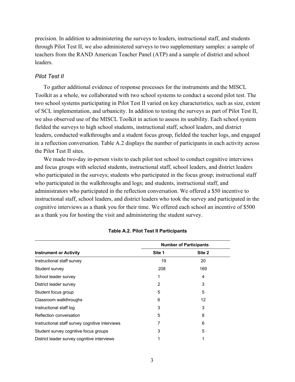precision. In addition to administering the surveys to leaders, instructional staff, and students through Pilot Test II, we also administered surveys to two supplementary samples: a sample of teachers from the RAND American Teacher Panel (ATP) and a sample of district and school leaders.

#### *Pilot Test II*

To gather additional evidence of response processes for the instruments and the MISCL Toolkit as a whole, we collaborated with two school systems to conduct a second pilot test. The two school systems participating in Pilot Test II varied on key characteristics, such as size, extent of SCL implementation, and urbanicity. In addition to testing the surveys as part of Pilot Test II, we also observed use of the MISCL Toolkit in action to assess its usability. Each school system fielded the surveys to high school students, instructional staff, school leaders, and district leaders, conducted walkthroughs and a student focus group, fielded the teacher logs, and engaged in a reflection conversation. Table A.2 displays the number of participants in each activity across the Pilot Test II sites.

We made two-day in-person visits to each pilot test school to conduct cognitive interviews and focus groups with selected students, instructional staff, school leaders, and district leaders who participated in the surveys; students who participated in the focus group; instructional staff who participated in the walkthroughs and logs; and students, instructional staff, and administrators who participated in the reflection conversation. We offered a \$50 incentive to instructional staff, school leaders, and district leaders who took the survey and participated in the cognitive interviews as a thank you for their time. We offered each school an incentive of \$500 as a thank you for hosting the visit and administering the student survey.

|                                                 |        | <b>Number of Participants</b> |
|-------------------------------------------------|--------|-------------------------------|
| <b>Instrument or Activity</b>                   | Site 1 | Site 2                        |
| Instructional staff survey                      | 19     | 20                            |
| Student survey                                  | 208    | 169                           |
| School leader survey                            | 1      | 4                             |
| District leader survey                          | 2      | 3                             |
| Student focus group                             | 5      | 5                             |
| Classroom walkthroughs                          | 6      | 12                            |
| Instructional staff log                         | 3      | 3                             |
| Reflection conversation                         | 5      | 8                             |
| Instructional staff survey cognitive interviews |        | 6                             |
| Student survey cognitive focus groups           | 3      | 5                             |
| District leader survey cognitive interviews     |        |                               |

#### **Table A.2. Pilot Test II Participants**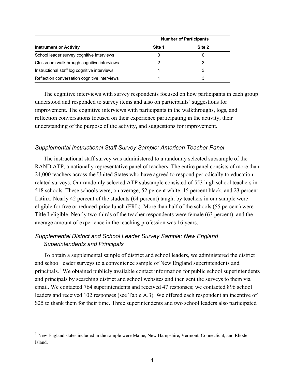|                                              | <b>Number of Participants</b> |        |  |
|----------------------------------------------|-------------------------------|--------|--|
| <b>Instrument or Activity</b>                | Site 1                        | Site 2 |  |
| School leader survey cognitive interviews    | 0                             |        |  |
| Classroom walkthrough cognitive interviews   | 2                             | 3      |  |
| Instructional staff log cognitive interviews |                               | 3      |  |
| Reflection conversation cognitive interviews |                               | 3      |  |

The cognitive interviews with survey respondents focused on how participants in each group understood and responded to survey items and also on participants' suggestions for improvement. The cognitive interviews with participants in the walkthroughs, logs, and reflection conversations focused on their experience participating in the activity, their understanding of the purpose of the activity, and suggestions for improvement.

### *Supplemental Instructional Staff Survey Sample: American Teacher Panel*

The instructional staff survey was administered to a randomly selected subsample of the RAND ATP, a nationally representative panel of teachers. The entire panel consists of more than 24,000 teachers across the United States who have agreed to respond periodically to educationrelated surveys. Our randomly selected ATP subsample consisted of 553 high school teachers in 518 schools. These schools were, on average, 52 percent white, 15 percent black, and 23 percent Latinx. Nearly 42 percent of the students (64 percent) taught by teachers in our sample were eligible for free or reduced-price lunch (FRL). More than half of the schools (55 percent) were Title I eligible. Nearly two-thirds of the teacher respondents were female (63 percent), and the average amount of experience in the teaching profession was 16 years.

## *Supplemental District and School Leader Survey Sample: New England Superintendents and Principals*

To obtain a supplemental sample of district and school leaders, we administered the district and school leader surveys to a convenience sample of New England superintendents and principals.<sup>1</sup> We obtained publicly available contact information for public school superintendents and principals by searching district and school websites and then sent the surveys to them via email. We contacted 764 superintendents and received 47 responses; we contacted 896 school leaders and received 102 responses (see Table A.3). We offered each respondent an incentive of \$25 to thank them for their time. Three superintendents and two school leaders also participated

<sup>&</sup>lt;sup>1</sup> New England states included in the sample were Maine, New Hampshire, Vermont, Connecticut, and Rhode Island.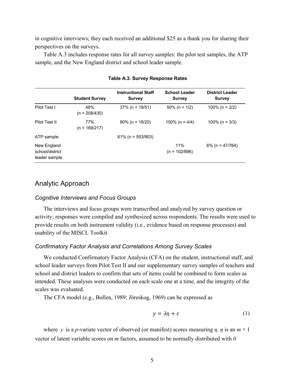in cognitive interviews; they each received an additional \$25 as a thank you for sharing their perspectives on the surveys.

Table A.3 includes response rates for all survey samples: the pilot test samples, the ATP sample, and the New England district and school leader sample.

|                                                 | <b>Student Survey</b>  | <b>Instructional Staff</b><br><b>Survey</b> | <b>School Leader</b><br><b>Survey</b> | <b>District Leader</b><br><b>Survey</b> |
|-------------------------------------------------|------------------------|---------------------------------------------|---------------------------------------|-----------------------------------------|
| Pilot Test I                                    | 48%<br>$(n = 208/430)$ | $37\%$ (n = 19/51)                          | $50\%$ (n = 1/2)                      | 100% (n = $2/2$ )                       |
| Pilot Test II                                   | 77%<br>$(n = 169/217)$ | $90\%$ (n = 18/20)                          | 100% (n = $4/4$ )                     | $100\%$ (n = 3/3)                       |
| ATP sample                                      |                        | $61\%$ (n = 553/903)                        |                                       |                                         |
| New England<br>school/district<br>leader sample |                        |                                             | 11%<br>$(n = 102/896)$                | $6\%$ (n = 47/764)                      |

**Table A.3. Survey Response Rates**

## Analytic Approach

#### *Cognitive Interviews and Focus Groups*

The interviews and focus groups were transcribed and analyzed by survey question or activity; responses were compiled and synthesized across respondents. The results were used to provide results on both instrument validity (i.e., evidence based on response processes) and usability of the MISCL Toolkit.

#### *Confirmatory Factor Analysis and Correlations Among Survey Scales*

We conducted Confirmatory Factor Analysis (CFA) on the student, instructional staff, and school leader surveys from Pilot Test II and our supplementary survey samples of teachers and school and district leaders to confirm that sets of items could be combined to form scales as intended. These analyses were conducted on each scale one at a time, and the integrity of the scales was evaluated.

The CFA model (e.g., Bollen, 1989; Jöreskog, 1969) can be expressed as

$$
y = \lambda \eta + \varepsilon \tag{1}
$$

where y is a *p*-variate vector of observed (or manifest) scores measuring  $\eta$ .  $\eta$  is an  $m \times 1$ vector of latent variable scores on *m* factors, assumed to be normally distributed with *0*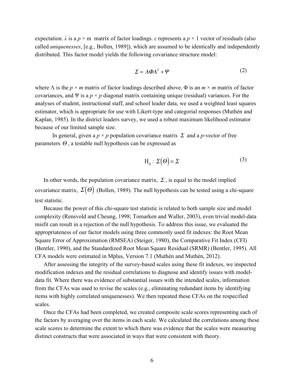expectation.  $\lambda$  is a  $p \times m$  matrix of factor loadings.  $\varepsilon$  represents a  $p \times 1$  vector of residuals (also called *uniquenesses*, [e.g., Bollen, 1989]), which are assumed to be identically and independently distributed. This factor model yields the following covariance structure model:

$$
\Sigma = \Lambda \Phi \Lambda^T + \Psi \tag{2}
$$

where  $\Lambda$  is the  $p \times m$  matrix of factor loadings described above,  $\Phi$  is an  $m \times m$  matrix of factor covariances, and Ψ is a  $p \times p$  diagonal matrix containing unique (residual) variances. For the analyses of student, instructional staff, and school leader data, we used a weighted least squares estimator, which is appropriate for use with Likert-type and categorial responses (Muthén and Kaplan, 1985). In the district leaders survey, we used a robust maximum likelihood estimator because of our limited sample size.

In general, given a  $p \times p$  population covariance matrix  $\Sigma$  and a *p*-vector of free parameters  $\Theta$ , a testable null hypothesis can be expressed as

$$
H_0: \Sigma(\Theta) = \Sigma
$$
 (3)

In other words, the population covariance matrix,  $\Sigma$ , is equal to the model implied covariance matrix,  $\Sigma(\Theta)$  (Bollen, 1989). The null hypothesis can be tested using a chi-square test statistic.

Because the power of this chi-square test statistic is related to both sample size and model complexity (Rensvold and Cheung, 1998; Tomarken and Waller, 2003), even trivial model-data misfit can result in a rejection of the null hypothesis. To address this issue, we evaluated the appropriateness of our factor models using three commonly used fit indexes: the Root Mean Square Error of Approximation (RMSEA) (Steiger, 1980), the Comparative Fit Index (CFI) (Bentler, 1990), and the Standardized Root Mean Square Residual (SRMR) (Bentler, 1995). All CFA models were estimated in Mplus, Version 7.1 (Muthén and Muthén, 2012).

After assessing the integrity of the survey-based scales using these fit indexes, we inspected modification indexes and the residual correlations to diagnose and identify issues with modeldata fit. Where there was evidence of substantial issues with the intended scales, information from the CFAs was used to revise the scales (e.g., eliminating redundant items by identifying items with highly correlated uniquenesses). We then repeated these CFAs on the respecified scales.

Once the CFAs had been completed, we created composite scale scores representing each of the factors by averaging over the items in each scale. We calculated the correlations among these scale scores to determine the extent to which there was evidence that the scales were measuring distinct constructs that were associated in ways that were consistent with theory.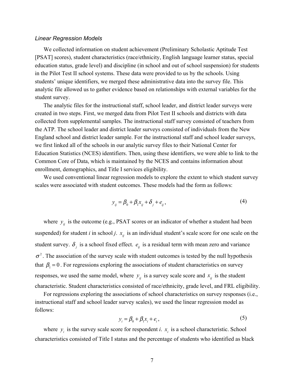#### *Linear Regression Models*

We collected information on student achievement (Preliminary Scholastic Aptitude Test [PSAT] scores), student characteristics (race/ethnicity, English language learner status, special education status, grade level) and discipline (in school and out of school suspension) for students in the Pilot Test II school systems. These data were provided to us by the schools. Using students' unique identifiers, we merged these administrative data into the survey file. This analytic file allowed us to gather evidence based on relationships with external variables for the student survey.

The analytic files for the instructional staff, school leader, and district leader surveys were created in two steps. First, we merged data from Pilot Test II schools and districts with data collected from supplemental samples. The instructional staff survey consisted of teachers from the ATP. The school leader and district leader surveys consisted of individuals from the New England school and district leader sample. For the instructional staff and school leader surveys, we first linked all of the schools in our analytic survey files to their National Center for Education Statistics (NCES) identifiers. Then, using these identifiers, we were able to link to the Common Core of Data, which is maintained by the NCES and contains information about enrollment, demographics, and Title I services eligibility.

We used conventional linear regression models to explore the extent to which student survey scales were associated with student outcomes. These models had the form as follows:

$$
y_{ij} = \beta_0 + \beta_1 x_{ij} + \delta_j + e_{ij},
$$
\n(4)

where  $y_{ij}$  is the outcome (e.g., PSAT scores or an indicator of whether a student had been suspended) for student *i* in school *j*.  $x_{ij}$  is an individual student's scale score for one scale on the student survey.  $\delta_j$  is a school fixed effect.  $e_{ij}$  is a residual term with mean zero and variance  $\sigma^2$ . The association of the survey scale with student outcomes is tested by the null hypothesis that  $\beta_1 = 0$ . For regressions exploring the associations of student characteristics on survey responses, we used the same model, where  $y_{ij}$  is a survey scale score and  $x_{ij}$  is the student characteristic. Student characteristics consisted of race/ethnicity, grade level, and FRL eligibility.

For regressions exploring the associations of school characteristics on survey responses (i.e., instructional staff and school leader survey scales), we used the linear regression model as follows:

$$
y_i = \beta_0 + \beta_1 x_i + e_i, \tag{5}
$$

where  $y_i$  is the survey scale score for respondent *i*.  $x_i$  is a school characteristic. School characteristics consisted of Title I status and the percentage of students who identified as black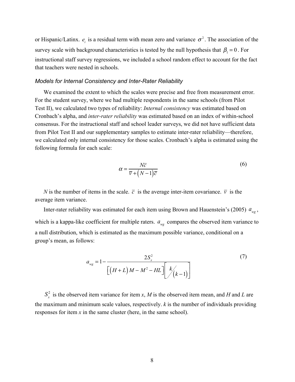or Hispanic/Latinx.  $e_i$  is a residual term with mean zero and variance  $\sigma^2$ . The association of the survey scale with background characteristics is tested by the null hypothesis that  $\beta_1 = 0$ . For instructional staff survey regressions, we included a school random effect to account for the fact that teachers were nested in schools.

#### *Models for Internal Consistency and Inter-Rater Reliability*

We examined the extent to which the scales were precise and free from measurement error. For the student survey, where we had multiple respondents in the same schools (from Pilot Test II), we calculated two types of reliability: *Internal consistency* was estimated based on Cronbach's alpha, and *inter-rater reliability* was estimated based on an index of within-school consensus. For the instructional staff and school leader surveys, we did not have sufficient data from Pilot Test II and our supplementary samples to estimate inter-rater reliability—therefore, we calculated only internal consistency for those scales. Cronbach's alpha is estimated using the following formula for each scale:

$$
\alpha = \frac{N\overline{c}}{\overline{v} + (N-1)\overline{c}}
$$
\n(6)

*N* is the number of items in the scale.  $\bar{c}$  is the average inter-item covariance.  $\bar{v}$  is the average item variance.

Inter-rater reliability was estimated for each item using Brown and Hauenstein's (2005)  $a_{_{\text{wg}}}$ , which is a kappa-like coefficient for multiple raters.  $a_{w}$  compares the observed item variance to a null distribution, which is estimated as the maximum possible variance, conditional on a group's mean, as follows:

$$
a_{wg} = 1 - \frac{2S_x^2}{\left[ (H+L)M - M^2 - HL \right] \left[ k \choose (k-1) \right]}
$$
(7)

 $S_x^2$  is the observed item variance for item *x*, *M* is the observed item mean, and *H* and *L* are the maximum and minimum scale values, respectively. *k* is the number of individuals providing responses for item *x* in the same cluster (here, in the same school).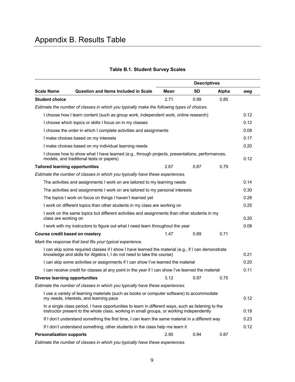|                                        |                                                                                                                                                                                                 |      | <b>Descriptives</b> |       |      |
|----------------------------------------|-------------------------------------------------------------------------------------------------------------------------------------------------------------------------------------------------|------|---------------------|-------|------|
| <b>Scale Name</b>                      | <b>Question and Items Included in Scale</b>                                                                                                                                                     | Mean | <b>SD</b>           | Alpha | awg  |
| <b>Student choice</b>                  |                                                                                                                                                                                                 | 2.71 | 0.99                | 0.85  |      |
|                                        | Estimate the number of classes in which you typically make the following types of choices.                                                                                                      |      |                     |       |      |
|                                        | I choose how I learn content (such as group work, independent work, online research)                                                                                                            |      |                     |       | 0.12 |
|                                        | I choose which topics or skills I focus on in my classes                                                                                                                                        |      |                     |       | 0.12 |
|                                        | I choose the order in which I complete activities and assignments                                                                                                                               |      |                     |       | 0.08 |
|                                        | I make choices based on my interests                                                                                                                                                            |      |                     |       | 0.17 |
|                                        | I make choices based on my individual learning needs                                                                                                                                            |      |                     |       | 0.20 |
|                                        | I choose how to show what I have learned (e.g., through projects, presentations, performances,<br>models, and traditional tests or papers)                                                      |      |                     |       | 0.12 |
| <b>Tailored learning opportunities</b> |                                                                                                                                                                                                 | 2.67 | 0.87                | 0.79  |      |
|                                        | Estimate the number of classes in which you typically have these experiences.                                                                                                                   |      |                     |       |      |
|                                        | The activities and assignments I work on are tailored to my learning needs                                                                                                                      |      |                     |       | 0.14 |
|                                        | The activities and assignments I work on are tailored to my personal interests                                                                                                                  |      |                     |       | 0.30 |
|                                        | The topics I work on focus on things I haven't learned yet                                                                                                                                      |      |                     |       | 0.28 |
|                                        | I work on different topics than other students in my class are working on                                                                                                                       |      |                     |       | 0.25 |
| class are working on                   | I work on the same topics but different activities and assignments than other students in my                                                                                                    |      |                     |       | 0.20 |
|                                        | I work with my instructors to figure out what I need learn throughout the year                                                                                                                  |      |                     |       | 0.08 |
| Course credit based on mastery         |                                                                                                                                                                                                 | 1.47 | 0.69                | 0.71  |      |
|                                        | Mark the response that best fits your typical experience.                                                                                                                                       |      |                     |       |      |
|                                        | I can skip some required classes if I show I have learned the material (e.g., if I can demonstrate<br>knowledge and skills for Algebra I, I do not need to take the course)                     |      |                     |       | 0.21 |
|                                        | I can skip some activities or assignments if I can show I've learned the material                                                                                                               |      |                     |       | 0.20 |
|                                        | I can receive credit for classes at any point in the year if I can show I've learned the material                                                                                               |      |                     |       | 0.11 |
| <b>Diverse learning opportunities</b>  |                                                                                                                                                                                                 | 3.12 | 0.97                | 0.75  |      |
|                                        | Estimate the number of classes in which you typically have these experiences.                                                                                                                   |      |                     |       |      |
|                                        | I use a variety of learning materials (such as books or computer software) to accommodate<br>my needs, interests, and learning pace                                                             |      |                     |       | 0.12 |
|                                        | In a single class period, I have opportunities to learn in different ways, such as listening to the<br>instructor present to the whole class, working in small groups, or working independently |      |                     |       | 0.19 |
|                                        | If I don't understand something the first time, I can learn the same material in a different way                                                                                                |      |                     |       | 0.23 |
|                                        | If I don't understand something, other students in the class help me learn it                                                                                                                   |      |                     |       | 0.12 |
| <b>Personalization supports</b>        |                                                                                                                                                                                                 | 2.95 | 0.94                | 0.87  |      |

## **Table B.1. Student Survey Scales**

*Estimate the number of classes in which you typically have these experiences.*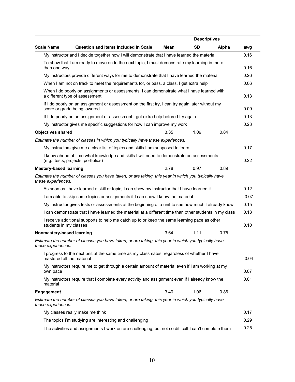|                               |                                                                                                                                  |      | <b>Descriptives</b> |       |         |
|-------------------------------|----------------------------------------------------------------------------------------------------------------------------------|------|---------------------|-------|---------|
| <b>Scale Name</b>             | <b>Question and Items Included in Scale</b>                                                                                      | Mean | <b>SD</b>           | Alpha | awg     |
|                               | My instructor and I decide together how I will demonstrate that I have learned the material                                      |      |                     |       | 0.16    |
|                               | To show that I am ready to move on to the next topic, I must demonstrate my learning in more                                     |      |                     |       |         |
| than one way                  |                                                                                                                                  |      |                     |       | 0.16    |
|                               | My instructors provide different ways for me to demonstrate that I have learned the material                                     |      |                     |       | 0.26    |
|                               | When I am not on track to meet the requirements for, or pass, a class, I get extra help                                          |      |                     |       | 0.06    |
|                               | When I do poorly on assignments or assessments, I can demonstrate what I have learned with<br>a different type of assessment     |      |                     |       | 0.13    |
|                               | If I do poorly on an assignment or assessment on the first try, I can try again later without my<br>score or grade being lowered |      |                     |       | 0.09    |
|                               | If I do poorly on an assignment or assessment I get extra help before I try again                                                |      |                     |       | 0.13    |
|                               | My instructor gives me specific suggestions for how I can improve my work                                                        |      |                     |       | 0.23    |
| <b>Objectives shared</b>      |                                                                                                                                  | 3.35 | 1.09                | 0.84  |         |
|                               | Estimate the number of classes in which you typically have these experiences.                                                    |      |                     |       |         |
|                               | My instructors give me a clear list of topics and skills I am supposed to learn                                                  |      |                     |       | 0.17    |
|                               | I know ahead of time what knowledge and skills I will need to demonstrate on assessments<br>(e.g., tests, projects, portfolios)  |      |                     |       | 0.22    |
| <b>Mastery-based learning</b> |                                                                                                                                  | 2.78 | 0.97                | 0.89  |         |
| these experiences.            | Estimate the number of classes you have taken, or are taking, this year in which you typically have                              |      |                     |       |         |
|                               | As soon as I have learned a skill or topic, I can show my instructor that I have learned it                                      |      |                     |       | 0.12    |
|                               | I am able to skip some topics or assignments if I can show I know the material                                                   |      |                     |       | $-0.07$ |
|                               | My instructor gives tests or assessments at the beginning of a unit to see how much I already know                               |      |                     |       | 0.15    |
|                               | I can demonstrate that I have learned the material at a different time than other students in my class                           |      |                     |       | 0.13    |
| students in my classes        | I receive additional supports to help me catch up to or keep the same learning pace as other                                     |      |                     |       | 0.10    |
| Nonmastery-based learning     |                                                                                                                                  | 3.64 | 1.11                | 0.75  |         |
| these experiences.            | Estimate the number of classes you have taken, or are taking, this year in which you typically have                              |      |                     |       |         |
| mastered all the material     | I progress to the next unit at the same time as my classmates, regardless of whether I have                                      |      |                     |       | $-0.04$ |
| own pace                      | My instructors require me to get through a certain amount of material even if I am working at my                                 |      |                     |       | 0.07    |
| material                      | My instructors require that I complete every activity and assignment even if I already know the                                  |      |                     |       | 0.01    |
| <b>Engagement</b>             |                                                                                                                                  | 3.40 | 1.06                | 0.86  |         |
| these experiences.            | Estimate the number of classes you have taken, or are taking, this year in which you typically have                              |      |                     |       |         |
|                               | My classes really make me think                                                                                                  |      |                     |       | 0.17    |
|                               | The topics I'm studying are interesting and challenging                                                                          |      |                     |       | 0.29    |
|                               | The activities and assignments I work on are challenging, but not so difficult I can't complete them                             |      |                     |       | 0.25    |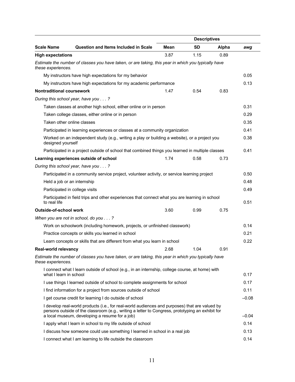|                                                                                                                                                                                                                                                      | <b>Descriptives</b> |           |       |         |
|------------------------------------------------------------------------------------------------------------------------------------------------------------------------------------------------------------------------------------------------------|---------------------|-----------|-------|---------|
| <b>Scale Name</b><br><b>Question and Items Included in Scale</b>                                                                                                                                                                                     | <b>Mean</b>         | <b>SD</b> | Alpha | awg     |
| <b>High expectations</b>                                                                                                                                                                                                                             | 3.87                | 1.15      | 0.89  |         |
| Estimate the number of classes you have taken, or are taking, this year in which you typically have<br>these experiences.                                                                                                                            |                     |           |       |         |
| My instructors have high expectations for my behavior                                                                                                                                                                                                |                     |           |       | 0.05    |
| My instructors have high expectations for my academic performance                                                                                                                                                                                    |                     |           |       | 0.13    |
| <b>Nontraditional coursework</b>                                                                                                                                                                                                                     | 1.47                | 0.54      | 0.83  |         |
| During this school year, have you ?                                                                                                                                                                                                                  |                     |           |       |         |
| Taken classes at another high school, either online or in person                                                                                                                                                                                     |                     |           |       | 0.31    |
| Taken college classes, either online or in person                                                                                                                                                                                                    |                     |           |       | 0.29    |
| Taken other online classes                                                                                                                                                                                                                           |                     |           |       | 0.35    |
| Participated in learning experiences or classes at a community organization                                                                                                                                                                          |                     |           |       | 0.41    |
| Worked on an independent study (e.g., writing a play or building a website), or a project you<br>designed yourself                                                                                                                                   |                     |           |       | 0.38    |
| Participated in a project outside of school that combined things you learned in multiple classes                                                                                                                                                     |                     |           |       | 0.41    |
| Learning experiences outside of school                                                                                                                                                                                                               | 1.74                | 0.58      | 0.73  |         |
| During this school year, have you ?                                                                                                                                                                                                                  |                     |           |       |         |
| Participated in a community service project, volunteer activity, or service learning project                                                                                                                                                         |                     |           |       | 0.50    |
| Held a job or an internship                                                                                                                                                                                                                          |                     |           |       | 0.48    |
| Participated in college visits                                                                                                                                                                                                                       |                     |           |       | 0.49    |
| Participated in field trips and other experiences that connect what you are learning in school<br>to real life                                                                                                                                       |                     |           |       | 0.51    |
| Outside-of-school work                                                                                                                                                                                                                               | 3.60                | 0.99      | 0.75  |         |
| When you are not in school, do you ?                                                                                                                                                                                                                 |                     |           |       |         |
| Work on schoolwork (including homework, projects, or unfinished classwork)                                                                                                                                                                           |                     |           |       | 0.14    |
| Practice concepts or skills you learned in school                                                                                                                                                                                                    |                     |           |       | 0.21    |
| Learn concepts or skills that are different from what you learn in school                                                                                                                                                                            |                     |           |       | 0.22    |
| Real-world relevancy                                                                                                                                                                                                                                 | 2.68                | 1.04      | 0.91  |         |
| Estimate the number of classes you have taken, or are taking, this year in which you typically have<br>these experiences.                                                                                                                            |                     |           |       |         |
| I connect what I learn outside of school (e.g., in an internship, college course, at home) with<br>what I learn in school                                                                                                                            |                     |           |       | 0.17    |
| I use things I learned outside of school to complete assignments for school                                                                                                                                                                          |                     |           |       | 0.17    |
| I find information for a project from sources outside of school                                                                                                                                                                                      |                     |           |       | 0.11    |
| I get course credit for learning I do outside of school                                                                                                                                                                                              |                     |           |       | $-0.08$ |
| I develop real-world products (i.e., for real-world audiences and purposes) that are valued by<br>persons outside of the classroom (e.g., writing a letter to Congress, prototyping an exhibit for<br>a local museum, developing a resume for a job) |                     |           |       | $-0.04$ |
| I apply what I learn in school to my life outside of school                                                                                                                                                                                          |                     |           |       | 0.14    |
| I discuss how someone could use something I learned in school in a real job                                                                                                                                                                          |                     |           |       | 0.13    |
| I connect what I am learning to life outside the classroom                                                                                                                                                                                           |                     |           |       | 0.14    |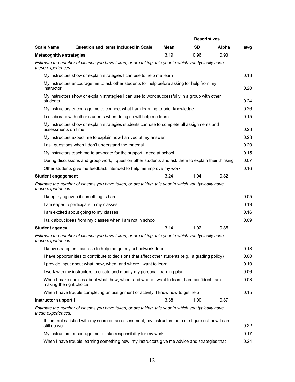|                                 |                                                                                                     |      | <b>Descriptives</b> |       |      |
|---------------------------------|-----------------------------------------------------------------------------------------------------|------|---------------------|-------|------|
| <b>Scale Name</b>               | <b>Question and Items Included in Scale</b>                                                         | Mean | <b>SD</b>           | Alpha | awg  |
| <b>Metacognitive strategies</b> |                                                                                                     | 3.19 | 0.96                | 0.93  |      |
| these experiences.              | Estimate the number of classes you have taken, or are taking, this year in which you typically have |      |                     |       |      |
|                                 | My instructors show or explain strategies I can use to help me learn                                |      |                     |       | 0.13 |
| instructor                      | My instructors encourage me to ask other students for help before asking for help from my           |      |                     |       | 0.20 |
| students                        | My instructors show or explain strategies I can use to work successfully in a group with other      |      |                     |       | 0.24 |
|                                 | My instructors encourage me to connect what I am learning to prior knowledge                        |      |                     |       | 0.26 |
|                                 | I collaborate with other students when doing so will help me learn                                  |      |                     |       | 0.15 |
| assessments on time             | My instructors show or explain strategies students can use to complete all assignments and          |      |                     |       | 0.23 |
|                                 | My instructors expect me to explain how I arrived at my answer                                      |      |                     |       | 0.28 |
|                                 | I ask questions when I don't understand the material                                                |      |                     |       | 0.20 |
|                                 | My instructors teach me to advocate for the support I need at school                                |      |                     |       | 0.15 |
|                                 | During discussions and group work, I question other students and ask them to explain their thinking |      |                     |       | 0.07 |
|                                 | Other students give me feedback intended to help me improve my work                                 |      |                     |       | 0.16 |
| <b>Student engagement</b>       |                                                                                                     | 3.24 | 1.04                | 0.82  |      |
| these experiences.              | Estimate the number of classes you have taken, or are taking, this year in which you typically have |      |                     |       |      |
|                                 | I keep trying even if something is hard                                                             |      |                     |       | 0.05 |
|                                 | I am eager to participate in my classes                                                             |      |                     |       | 0.19 |
|                                 | I am excited about going to my classes                                                              |      |                     |       | 0.16 |
|                                 | I talk about ideas from my classes when I am not in school                                          |      |                     |       | 0.09 |
| <b>Student agency</b>           |                                                                                                     | 3.14 | 1.02                | 0.85  |      |
| these experiences.              | Estimate the number of classes you have taken, or are taking, this year in which you typically have |      |                     |       |      |
|                                 | I know strategies I can use to help me get my schoolwork done                                       |      |                     |       | 0.18 |
|                                 | I have opportunities to contribute to decisions that affect other students (e.g., a grading policy) |      |                     |       | 0.00 |
|                                 | I provide input about what, how, when, and where I want to learn                                    |      |                     |       | 0.10 |
|                                 | I work with my instructors to create and modify my personal learning plan                           |      |                     |       | 0.06 |
| making the right choice         | When I make choices about what, how, when, and where I want to learn, I am confident I am           |      |                     |       | 0.03 |
|                                 | When I have trouble completing an assignment or activity, I know how to get help                    |      |                     |       | 0.15 |
| Instructor support I            |                                                                                                     | 3.38 | 1.00                | 0.87  |      |
| these experiences.              | Estimate the number of classes you have taken, or are taking, this year in which you typically have |      |                     |       |      |
| still do well                   | If I am not satisfied with my score on an assessment, my instructors help me figure out how I can   |      |                     |       | 0.22 |
|                                 | My instructors encourage me to take responsibility for my work                                      |      |                     |       | 0.17 |
|                                 | When I have trouble learning something new, my instructors give me advice and strategies that       |      |                     |       | 0.24 |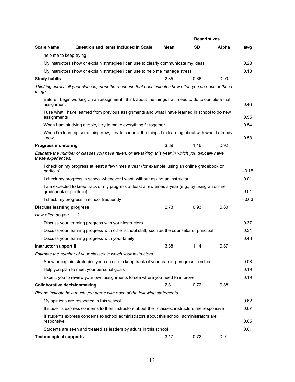|                                     | <b>Descriptives</b>                                                                                    |             |           |       |         |
|-------------------------------------|--------------------------------------------------------------------------------------------------------|-------------|-----------|-------|---------|
| <b>Scale Name</b>                   | <b>Question and Items Included in Scale</b>                                                            | <b>Mean</b> | <b>SD</b> | Alpha | awg     |
| help me to keep trying              |                                                                                                        |             |           |       |         |
|                                     | My instructors show or explain strategies I can use to clearly communicate my ideas                    |             |           |       | 0.28    |
|                                     | My instructors show or explain strategies I can use to help me manage stress                           |             |           |       | 0.13    |
| <b>Study habits</b>                 |                                                                                                        | 2.85        | 0.86      | 0.90  |         |
| things.                             | Thinking across all your classes, mark the response that best indicates how often you do each of these |             |           |       |         |
| assignment                          | Before I begin working on an assignment I think about the things I will need to do to complete that    |             |           |       | 0.46    |
| assignments                         | I use what I have learned from previous assignments and what I have learned in school to do new        |             |           |       | 0.55    |
|                                     | When I am studying a topic, I try to make everything fit together                                      |             |           |       | 0.54    |
| know                                | When I'm learning something new, I try to connect the things I'm learning about with what I already    |             |           |       | 0.53    |
| <b>Progress monitoring</b>          |                                                                                                        | 3.89        | 1.16      | 0.92  |         |
| these experiences.                  | Estimate the number of classes you have taken, or are taking, this year in which you typically have    |             |           |       |         |
| portfolio)                          | I check on my progress at least a few times a year (for example, using an online gradebook or          |             |           |       | $-0.15$ |
|                                     | I check my progress in school whenever I want, without asking an instructor                            |             |           |       | 0.01    |
| gradebook or portfolio)             | I am expected to keep track of my progress at least a few times a year (e.g., by using an online       |             |           |       | 0.01    |
|                                     | I check my progress in school frequently                                                               |             |           |       | $-0.03$ |
| <b>Discuss learning progress</b>    |                                                                                                        | 2.73        | 0.93      | 0.80  |         |
| How often do you $\ldots$ ?         |                                                                                                        |             |           |       |         |
|                                     | Discuss your learning progress with your instructors                                                   |             |           |       | 0.37    |
|                                     | Discuss your learning progress with other school staff, such as the counselor or principal             |             |           |       | 0.34    |
|                                     | Discuss your learning progress with your family                                                        |             |           |       | 0.43    |
| <b>Instructor support II</b>        |                                                                                                        | 3.38        | 1.14      | 0.87  |         |
|                                     | Estimate the number of your classes in which your instructors                                          |             |           |       |         |
|                                     | Show or explain strategies you can use to keep track of your learning progress in school               |             |           |       | 0.08    |
|                                     | Help you plan to meet your personal goals                                                              |             |           |       | 0.19    |
|                                     | Expect you to review your own assignments to see where you need to improve                             |             |           |       | 0.19    |
| <b>Collaborative decisionmaking</b> |                                                                                                        | 2.81        | 0.72      | 0.88  |         |
|                                     | Please indicate how much you agree with each of the following statements.                              |             |           |       |         |
|                                     | My opinions are respected in this school                                                               |             |           |       | 0.62    |
|                                     | If students express concerns to their instructors about their classes, instructors are responsive      |             |           |       | 0.67    |
| responsive                          | If students express concerns to school administrators about this school, administrators are            |             |           |       | 0.65    |
|                                     | Students are seen and treated as leaders by adults in this school                                      |             |           |       | 0.61    |
| <b>Technological supports</b>       |                                                                                                        | 3.17        | 0.72      | 0.91  |         |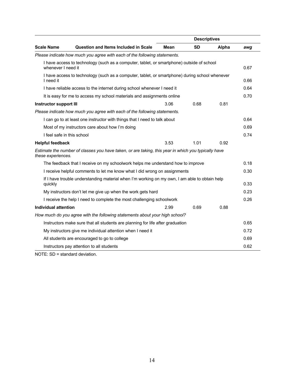|                            |                                                                                                     |      | <b>Descriptives</b> |       |      |
|----------------------------|-----------------------------------------------------------------------------------------------------|------|---------------------|-------|------|
| <b>Scale Name</b>          | <b>Question and Items Included in Scale</b>                                                         | Mean | <b>SD</b>           | Alpha | awg  |
|                            | Please indicate how much you agree with each of the following statements.                           |      |                     |       |      |
| whenever I need it         | I have access to technology (such as a computer, tablet, or smartphone) outside of school           |      |                     |       | 0.67 |
| I need it                  | I have access to technology (such as a computer, tablet, or smartphone) during school whenever      |      |                     |       | 0.66 |
|                            | I have reliable access to the internet during school whenever I need it                             |      |                     |       | 0.64 |
|                            | It is easy for me to access my school materials and assignments online                              |      |                     |       | 0.70 |
| Instructor support III     |                                                                                                     | 3.06 | 0.68                | 0.81  |      |
|                            | Please indicate how much you agree with each of the following statements.                           |      |                     |       |      |
|                            | I can go to at least one instructor with things that I need to talk about                           |      |                     |       | 0.64 |
|                            | Most of my instructors care about how I'm doing                                                     |      |                     |       | 0.69 |
| I feel safe in this school |                                                                                                     |      |                     |       | 0.74 |
| <b>Helpful feedback</b>    |                                                                                                     | 3.53 | 1.01                | 0.92  |      |
| these experiences.         | Estimate the number of classes you have taken, or are taking, this year in which you typically have |      |                     |       |      |
|                            | The feedback that I receive on my schoolwork helps me understand how to improve                     |      |                     |       | 0.18 |
|                            | I receive helpful comments to let me know what I did wrong on assignments                           |      |                     |       | 0.30 |
| quickly                    | If I have trouble understanding material when I'm working on my own, I am able to obtain help       |      |                     |       | 0.33 |
|                            | My instructors don't let me give up when the work gets hard                                         |      |                     |       | 0.23 |
|                            | I receive the help I need to complete the most challenging schoolwork                               |      |                     |       | 0.26 |
| Individual attention       |                                                                                                     | 2.99 | 0.69                | 0.88  |      |
|                            | How much do you agree with the following statements about your high school?                         |      |                     |       |      |
|                            | Instructors make sure that all students are planning for life after graduation                      |      |                     |       | 0.65 |
|                            | My instructors give me individual attention when I need it                                          |      |                     |       | 0.72 |
|                            | All students are encouraged to go to college                                                        |      |                     |       | 0.69 |
|                            | Instructors pay attention to all students                                                           |      |                     |       | 0.62 |

NOTE: SD = standard deviation.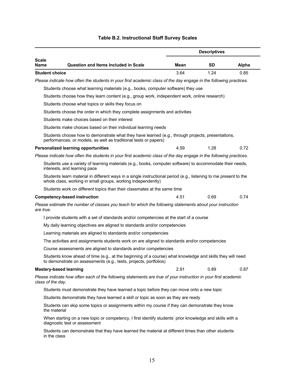|                       |                                                                                                                                                                                  |      | <b>Descriptives</b> |       |
|-----------------------|----------------------------------------------------------------------------------------------------------------------------------------------------------------------------------|------|---------------------|-------|
| <b>Scale</b><br>Name  | <b>Question and Items Included in Scale</b>                                                                                                                                      | Mean | SD                  | Alpha |
| <b>Student choice</b> |                                                                                                                                                                                  | 3.64 | 1.24                | 0.85  |
|                       | Please indicate how often the students in your first academic class of the day engage in the following practices.                                                                |      |                     |       |
|                       | Students choose what learning materials (e.g., books, computer software) they use                                                                                                |      |                     |       |
|                       | Students choose how they learn content (e.g., group work, independent work, online research)                                                                                     |      |                     |       |
|                       | Students choose what topics or skills they focus on                                                                                                                              |      |                     |       |
|                       | Students choose the order in which they complete assignments and activities                                                                                                      |      |                     |       |
|                       | Students make choices based on their interest                                                                                                                                    |      |                     |       |
|                       | Students make choices based on their individual learning needs                                                                                                                   |      |                     |       |
|                       | Students choose how to demonstrate what they have learned (e.g., through projects, presentations,<br>performances, or models, as well as traditional tests or papers)            |      |                     |       |
|                       | <b>Personalized learning opportunities</b>                                                                                                                                       | 4.59 | 1.28                | 0.72  |
|                       | Please indicate how often the students in your first academic class of the day engage in the following practices.                                                                |      |                     |       |
|                       | Students use a variety of learning materials (e.g., books, computer software) to accommodate their needs,<br>interests, and learning pace                                        |      |                     |       |
|                       | Students learn material in different ways in a single instructional period (e.g., listening to me present to the<br>whole class, working in small groups, working independently) |      |                     |       |
|                       | Students work on different topics than their classmates at the same time                                                                                                         |      |                     |       |
|                       | <b>Competency-based instruction</b>                                                                                                                                              | 4.51 | 0.69                | 0.74  |
| are true.             | Please estimate the number of classes you teach for which the following statements about your instruction                                                                        |      |                     |       |
|                       | I provide students with a set of standards and/or competencies at the start of a course                                                                                          |      |                     |       |
|                       | My daily learning objectives are aligned to standards and/or competencies                                                                                                        |      |                     |       |
|                       | Learning materials are aligned to standards and/or competencies                                                                                                                  |      |                     |       |
|                       | The activities and assignments students work on are aligned to standards and/or competencies                                                                                     |      |                     |       |
|                       | Course assessments are aligned to standards and/or competencies                                                                                                                  |      |                     |       |
|                       | Students know ahead of time (e.g., at the beginning of a course) what knowledge and skills they will need<br>to demonstrate on assessments (e.g., tests, projects, portfolios)   |      |                     |       |
|                       | <b>Mastery-based learning</b>                                                                                                                                                    | 2.91 | 0.89                | 0.87  |
| class of the day.     | Please indicate how often each of the following statements are true of your instruction in your first academic                                                                   |      |                     |       |
|                       | Students must demonstrate they have learned a topic before they can move onto a new topic                                                                                        |      |                     |       |
|                       | Students demonstrate they have learned a skill or topic as soon as they are ready                                                                                                |      |                     |       |
| the material          | Students can skip some topics or assignments within my course if they can demonstrate they know                                                                                  |      |                     |       |
|                       | When starting on a new topic or competency, I first identify students' prior knowledge and skills with a<br>diagnostic test or assessment                                        |      |                     |       |

## **Table B.2. Instructional Staff Survey Scales**

Students can demonstrate that they have learned the material at different times than other students in the class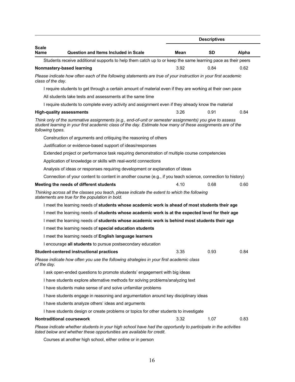|                                  |                                                                                                                                                                                                                       |      | <b>Descriptives</b> |       |
|----------------------------------|-----------------------------------------------------------------------------------------------------------------------------------------------------------------------------------------------------------------------|------|---------------------|-------|
| <b>Scale</b><br><b>Name</b>      | Question and Items Included in Scale                                                                                                                                                                                  | Mean | SD.                 | Alpha |
|                                  | Students receive additional supports to help them catch up to or keep the same learning pace as their peers                                                                                                           |      |                     |       |
| Nonmastery-based learning        |                                                                                                                                                                                                                       | 3.92 | 0.84                | 0.62  |
| class of the day.                | Please indicate how often each of the following statements are true of your instruction in your first academic                                                                                                        |      |                     |       |
|                                  | I require students to get through a certain amount of material even if they are working at their own pace                                                                                                             |      |                     |       |
|                                  | All students take tests and assessments at the same time                                                                                                                                                              |      |                     |       |
|                                  | I require students to complete every activity and assignment even if they already know the material                                                                                                                   |      |                     |       |
| <b>High-quality assessments</b>  |                                                                                                                                                                                                                       | 3.26 | 0.91                | 0.84  |
| following types.                 | Think only of the summative assignments (e.g., end-of-unit or semester assignments) you give to assess<br>student learning in your first academic class of the day. Estimate how many of these assignments are of the |      |                     |       |
|                                  | Construction of arguments and critiquing the reasoning of others                                                                                                                                                      |      |                     |       |
|                                  | Justification or evidence-based support of ideas/responses                                                                                                                                                            |      |                     |       |
|                                  | Extended project or performance task requiring demonstration of multiple course competencies                                                                                                                          |      |                     |       |
|                                  | Application of knowledge or skills with real-world connections                                                                                                                                                        |      |                     |       |
|                                  | Analysis of ideas or responses requiring development or explanation of ideas                                                                                                                                          |      |                     |       |
|                                  | Connection of your content to content in another course (e.g., if you teach science, connection to history)                                                                                                           |      |                     |       |
|                                  | Meeting the needs of different students                                                                                                                                                                               | 4.10 | 0.68                | 0.60  |
|                                  | Thinking across all the classes you teach, please indicate the extent to which the following<br>statements are true for the population in bold.                                                                       |      |                     |       |
|                                  | I meet the learning needs of students whose academic work is ahead of most students their age                                                                                                                         |      |                     |       |
|                                  | I meet the learning needs of students whose academic work is at the expected level for their age                                                                                                                      |      |                     |       |
|                                  | I meet the learning needs of students whose academic work is behind most students their age                                                                                                                           |      |                     |       |
|                                  | I meet the learning needs of special education students                                                                                                                                                               |      |                     |       |
|                                  | I meet the learning needs of English language learners                                                                                                                                                                |      |                     |       |
|                                  | I encourage all students to pursue postsecondary education                                                                                                                                                            |      |                     |       |
|                                  | <b>Student-centered instructional practices</b>                                                                                                                                                                       | 3.35 | 0.93                | 0.84  |
| of the day.                      | Please indicate how often you use the following strategies in your first academic class                                                                                                                               |      |                     |       |
|                                  | I ask open-ended questions to promote students' engagement with big ideas                                                                                                                                             |      |                     |       |
|                                  | I have students explore alternative methods for solving problems/analyzing text                                                                                                                                       |      |                     |       |
|                                  | I have students make sense of and solve unfamiliar problems                                                                                                                                                           |      |                     |       |
|                                  | I have students engage in reasoning and argumentation around key disciplinary ideas                                                                                                                                   |      |                     |       |
|                                  | I have students analyze others' ideas and arguments                                                                                                                                                                   |      |                     |       |
|                                  | I have students design or create problems or topics for other students to investigate                                                                                                                                 |      |                     |       |
| <b>Nontraditional coursework</b> |                                                                                                                                                                                                                       | 3.32 | 1.07                | 0.83  |
|                                  | Please indicate whether students in your high school have had the opportunity to participate in the activities<br>listed below and whether these opportunities are available for credit.                              |      |                     |       |

Courses at another high school, either online or in person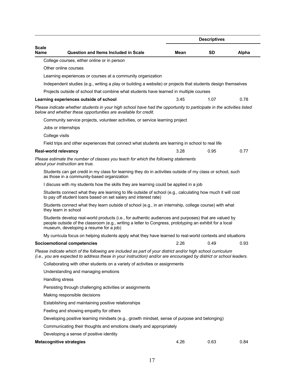|                      |                                                                                                                                                                                                                                                           |      | <b>Descriptives</b> |       |
|----------------------|-----------------------------------------------------------------------------------------------------------------------------------------------------------------------------------------------------------------------------------------------------------|------|---------------------|-------|
| Scale<br><b>Name</b> | <b>Question and Items Included in Scale</b>                                                                                                                                                                                                               | Mean | <b>SD</b>           | Alpha |
|                      | College courses, either online or in person                                                                                                                                                                                                               |      |                     |       |
|                      | Other online courses                                                                                                                                                                                                                                      |      |                     |       |
|                      | Learning experiences or courses at a community organization                                                                                                                                                                                               |      |                     |       |
|                      | Independent studies (e.g., writing a play or building a website) or projects that students design themselves                                                                                                                                              |      |                     |       |
|                      | Projects outside of school that combine what students have learned in multiple courses                                                                                                                                                                    |      |                     |       |
|                      | Learning experiences outside of school                                                                                                                                                                                                                    | 3.45 | 1.07                | 0.78  |
|                      | Please indicate whether students in your high school have had the opportunity to participate in the activities listed<br>below and whether these opportunities are available for credit.                                                                  |      |                     |       |
|                      | Community service projects, volunteer activities, or service learning project                                                                                                                                                                             |      |                     |       |
|                      | Jobs or internships                                                                                                                                                                                                                                       |      |                     |       |
| College visits       |                                                                                                                                                                                                                                                           |      |                     |       |
|                      | Field trips and other experiences that connect what students are learning in school to real life                                                                                                                                                          |      |                     |       |
| Real-world relevancy |                                                                                                                                                                                                                                                           | 3.28 | 0.95                | 0.77  |
|                      | Please estimate the number of classes you teach for which the following statements<br>about your instruction are true.                                                                                                                                    |      |                     |       |
|                      | Students can get credit in my class for learning they do in activities outside of my class or school, such<br>as those in a community-based organization                                                                                                  |      |                     |       |
|                      | I discuss with my students how the skills they are learning could be applied in a job                                                                                                                                                                     |      |                     |       |
|                      | Students connect what they are learning to life outside of school (e.g., calculating how much it will cost<br>to pay off student loans based on set salary and interest rate)                                                                             |      |                     |       |
|                      | Students connect what they learn outside of school (e.g., in an internship, college course) with what<br>they learn in school                                                                                                                             |      |                     |       |
|                      | Students develop real-world products (i.e., for authentic audiences and purposes) that are valued by<br>people outside of the classroom (e.g., writing a letter to Congress, prototyping an exhibit for a local<br>museum, developing a resume for a job) |      |                     |       |
|                      | My curricula focus on helping students apply what they have learned to real-world contexts and situations                                                                                                                                                 |      |                     |       |
|                      | <b>Socioemotional competencies</b>                                                                                                                                                                                                                        | 2.26 | 0.49                | 0.93  |
|                      | Please indicate which of the following are included as part of your district and/or high school curriculum<br>(i.e., you are expected to address these in your instruction) and/or are encouraged by district or school leaders.                          |      |                     |       |
|                      | Collaborating with other students on a variety of activities or assignments                                                                                                                                                                               |      |                     |       |
|                      | Understanding and managing emotions                                                                                                                                                                                                                       |      |                     |       |
|                      | Handling stress                                                                                                                                                                                                                                           |      |                     |       |
|                      | Persisting through challenging activities or assignments                                                                                                                                                                                                  |      |                     |       |
|                      | Making responsible decisions                                                                                                                                                                                                                              |      |                     |       |
|                      | Establishing and maintaining positive relationships                                                                                                                                                                                                       |      |                     |       |
|                      | Feeling and showing empathy for others                                                                                                                                                                                                                    |      |                     |       |
|                      | Developing positive learning mindsets (e.g., growth mindset, sense of purpose and belonging)                                                                                                                                                              |      |                     |       |
|                      | Communicating their thoughts and emotions clearly and appropriately                                                                                                                                                                                       |      |                     |       |
|                      | Developing a sense of positive identity                                                                                                                                                                                                                   |      |                     |       |
|                      | <b>Metacognitive strategies</b>                                                                                                                                                                                                                           | 4.26 | 0.63                | 0.84  |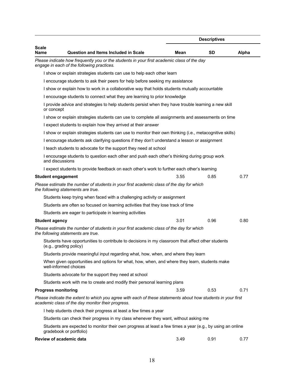|                            |                                                                                                                                                                   |      | <b>Descriptives</b> |       |
|----------------------------|-------------------------------------------------------------------------------------------------------------------------------------------------------------------|------|---------------------|-------|
| <b>Scale</b><br>Name       | <b>Question and Items Included in Scale</b>                                                                                                                       | Mean | <b>SD</b>           | Alpha |
|                            | Please indicate how frequently you or the students in your first academic class of the day<br>engage in each of the following practices.                          |      |                     |       |
|                            | I show or explain strategies students can use to help each other learn                                                                                            |      |                     |       |
|                            | I encourage students to ask their peers for help before seeking my assistance                                                                                     |      |                     |       |
|                            | I show or explain how to work in a collaborative way that holds students mutually accountable                                                                     |      |                     |       |
|                            | I encourage students to connect what they are learning to prior knowledge                                                                                         |      |                     |       |
| or concept                 | I provide advice and strategies to help students persist when they have trouble learning a new skill                                                              |      |                     |       |
|                            | I show or explain strategies students can use to complete all assignments and assessments on time                                                                 |      |                     |       |
|                            | I expect students to explain how they arrived at their answer                                                                                                     |      |                     |       |
|                            | I show or explain strategies students can use to monitor their own thinking (i.e., metacognitive skills)                                                          |      |                     |       |
|                            | I encourage students ask clarifying questions if they don't understand a lesson or assignment                                                                     |      |                     |       |
|                            | I teach students to advocate for the support they need at school                                                                                                  |      |                     |       |
| and discussions            | I encourage students to question each other and push each other's thinking during group work                                                                      |      |                     |       |
|                            | I expect students to provide feedback on each other's work to further each other's learning                                                                       |      |                     |       |
| <b>Student engagement</b>  |                                                                                                                                                                   | 3.55 | 0.85                | 0.77  |
|                            | Please estimate the number of students in your first academic class of the day for which<br>the following statements are true.                                    |      |                     |       |
|                            | Students keep trying when faced with a challenging activity or assignment                                                                                         |      |                     |       |
|                            | Students are often so focused on learning activities that they lose track of time                                                                                 |      |                     |       |
|                            | Students are eager to participate in learning activities                                                                                                          |      |                     |       |
| <b>Student agency</b>      |                                                                                                                                                                   | 3.01 | 0.96                | 0.80  |
|                            | Please estimate the number of students in your first academic class of the day for which<br>the following statements are true.                                    |      |                     |       |
|                            | Students have opportunities to contribute to decisions in my classroom that affect other students<br>(e.g., grading policy)                                       |      |                     |       |
|                            | Students provide meaningful input regarding what, how, when, and where they learn                                                                                 |      |                     |       |
|                            | When given opportunities and options for what, how, when, and where they learn, students make<br>well-informed choices                                            |      |                     |       |
|                            | Students advocate for the support they need at school                                                                                                             |      |                     |       |
|                            | Students work with me to create and modify their personal learning plans                                                                                          |      |                     |       |
| <b>Progress monitoring</b> |                                                                                                                                                                   | 3.59 | 0.53                | 0.71  |
|                            | Please indicate the extent to which you agree with each of these statements about how students in your first<br>academic class of the day monitor their progress. |      |                     |       |
|                            | I help students check their progress at least a few times a year                                                                                                  |      |                     |       |
|                            | Students can check their progress in my class whenever they want, without asking me                                                                               |      |                     |       |
|                            | Students are expected to monitor their own progress at least a few times a year (e.g., by using an online<br>gradebook or portfolio)                              |      |                     |       |
|                            | Review of academic data                                                                                                                                           | 3.49 | 0.91                | 0.77  |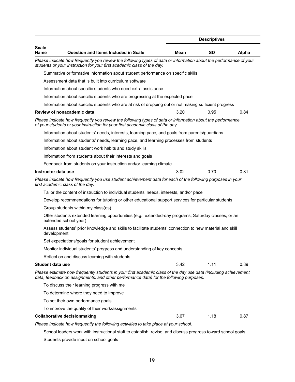|                      |                                                                                                                                                                                                           |      | <b>Descriptives</b> |       |  |
|----------------------|-----------------------------------------------------------------------------------------------------------------------------------------------------------------------------------------------------------|------|---------------------|-------|--|
| <b>Scale</b><br>Name | Question and Items Included in Scale                                                                                                                                                                      | Mean | <b>SD</b>           | Alpha |  |
|                      | Please indicate how frequently you review the following types of data or information about the performance of your<br>students or your instruction for your first academic class of the day.              |      |                     |       |  |
|                      | Summative or formative information about student performance on specific skills                                                                                                                           |      |                     |       |  |
|                      | Assessment data that is built into curriculum software                                                                                                                                                    |      |                     |       |  |
|                      | Information about specific students who need extra assistance                                                                                                                                             |      |                     |       |  |
|                      | Information about specific students who are progressing at the expected pace                                                                                                                              |      |                     |       |  |
|                      | Information about specific students who are at risk of dropping out or not making sufficient progress                                                                                                     |      |                     |       |  |
|                      | Review of nonacademic data                                                                                                                                                                                | 3.20 | 0.95                | 0.84  |  |
|                      | Please indicate how frequently you review the following types of data or information about the performance<br>of your students or your instruction for your first academic class of the day.              |      |                     |       |  |
|                      | Information about students' needs, interests, learning pace, and goals from parents/guardians                                                                                                             |      |                     |       |  |
|                      | Information about students' needs, learning pace, and learning processes from students                                                                                                                    |      |                     |       |  |
|                      | Information about student work habits and study skills                                                                                                                                                    |      |                     |       |  |
|                      | Information from students about their interests and goals                                                                                                                                                 |      |                     |       |  |
|                      | Feedback from students on your instruction and/or learning climate                                                                                                                                        |      |                     |       |  |
| Instructor data use  |                                                                                                                                                                                                           | 3.02 | 0.70                | 0.81  |  |
|                      | Please indicate how frequently you use student achievement data for each of the following purposes in your<br>first academic class of the day.                                                            |      |                     |       |  |
|                      | Tailor the content of instruction to individual students' needs, interests, and/or pace                                                                                                                   |      |                     |       |  |
|                      | Develop recommendations for tutoring or other educational support services for particular students                                                                                                        |      |                     |       |  |
|                      | Group students within my class(es)                                                                                                                                                                        |      |                     |       |  |
|                      | Offer students extended learning opportunities (e.g., extended-day programs, Saturday classes, or an<br>extended school year)                                                                             |      |                     |       |  |
| development          | Assess students' prior knowledge and skills to facilitate students' connection to new material and skill                                                                                                  |      |                     |       |  |
|                      | Set expectations/goals for student achievement                                                                                                                                                            |      |                     |       |  |
|                      | Monitor individual students' progress and understanding of key concepts                                                                                                                                   |      |                     |       |  |
|                      | Reflect on and discuss learning with students                                                                                                                                                             |      |                     |       |  |
| Student data use     |                                                                                                                                                                                                           | 3.42 | 1.11                | 0.89  |  |
|                      | Please estimate how frequently students in your first academic class of the day use data (including achievement<br>data, feedback on assignments, and other performance data) for the following purposes. |      |                     |       |  |
|                      | To discuss their learning progress with me                                                                                                                                                                |      |                     |       |  |
|                      | To determine where they need to improve                                                                                                                                                                   |      |                     |       |  |
|                      | To set their own performance goals                                                                                                                                                                        |      |                     |       |  |
|                      | To improve the quality of their work/assignments                                                                                                                                                          |      |                     |       |  |
|                      | <b>Collaborative decisionmaking</b>                                                                                                                                                                       | 3.67 | 1.18                | 0.87  |  |
|                      | Please indicate how frequently the following activities to take place at your school.                                                                                                                     |      |                     |       |  |
|                      |                                                                                                                                                                                                           |      |                     |       |  |

School leaders work with instructional staff to establish, revise, and discuss progress toward school goals Students provide input on school goals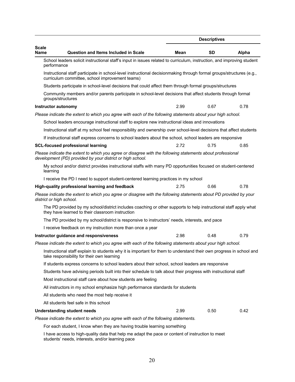|                          |                                                                                                                                                                          |      | <b>Descriptives</b> |       |
|--------------------------|--------------------------------------------------------------------------------------------------------------------------------------------------------------------------|------|---------------------|-------|
| <b>Scale</b><br>Name     | <b>Question and Items Included in Scale</b>                                                                                                                              | Mean | <b>SD</b>           | Alpha |
| performance              | School leaders solicit instructional staff's input in issues related to curriculum, instruction, and improving student                                                   |      |                     |       |
|                          | Instructional staff participate in school-level instructional decisionmaking through formal groups/structures (e.g.,<br>curriculum committee, school improvement teams)  |      |                     |       |
|                          | Students participate in school-level decisions that could affect them through formal groups/structures                                                                   |      |                     |       |
|                          | Community members and/or parents participate in school-level decisions that affect students through formal<br>groups/structures                                          |      |                     |       |
| Instructor autonomy      |                                                                                                                                                                          | 2.99 | 0.67                | 0.78  |
|                          | Please indicate the extent to which you agree with each of the following statements about your high school.                                                              |      |                     |       |
|                          | School leaders encourage instructional staff to explore new instructional ideas and innovations                                                                          |      |                     |       |
|                          | Instructional staff at my school feel responsibility and ownership over school-level decisions that affect students                                                      |      |                     |       |
|                          | If instructional staff express concerns to school leaders about the school, school leaders are responsive                                                                |      |                     |       |
|                          | <b>SCL-focused professional learning</b>                                                                                                                                 | 2.72 | 0.75                | 0.85  |
|                          | Please indicate the extent to which you agree or disagree with the following statements about professional<br>development (PD) provided by your district or high school. |      |                     |       |
| learning                 | My school and/or district provides instructional staffs with many PD opportunities focused on student-centered                                                           |      |                     |       |
|                          | I receive the PD I need to support student-centered learning practices in my school                                                                                      |      |                     |       |
|                          | High-quality professional learning and feedback                                                                                                                          | 2.75 | 0.66                | 0.78  |
| district or high school. | Please indicate the extent to which you agree or disagree with the following statements about PD provided by your                                                        |      |                     |       |
|                          | The PD provided by my school/district includes coaching or other supports to help instructional staff apply what<br>they have learned to their classroom instruction     |      |                     |       |
|                          | The PD provided by my school/district is responsive to instructors' needs, interests, and pace                                                                           |      |                     |       |
|                          | I receive feedback on my instruction more than once a year                                                                                                               |      |                     |       |
|                          | Instructor guidance and responsiveness                                                                                                                                   | 2.98 | 0.48                | 0.79  |
|                          | Please indicate the extent to which you agree with each of the following statements about your high school.                                                              |      |                     |       |
|                          | Instructional staff explain to students why it is important for them to understand their own progress in school and<br>take responsibility for their own learning        |      |                     |       |
|                          | If students express concerns to school leaders about their school, school leaders are responsive                                                                         |      |                     |       |
|                          | Students have advising periods built into their schedule to talk about their progress with instructional staff                                                           |      |                     |       |
|                          | Most instructional staff care about how students are feeling                                                                                                             |      |                     |       |
|                          | All instructors in my school emphasize high performance standards for students                                                                                           |      |                     |       |
|                          | All students who need the most help receive it                                                                                                                           |      |                     |       |
|                          | All students feel safe in this school                                                                                                                                    |      |                     |       |
|                          | <b>Understanding student needs</b>                                                                                                                                       | 2.99 | 0.50                | 0.42  |
|                          | Please indicate the extent to which you agree with each of the following statements.                                                                                     |      |                     |       |
|                          | For each student, I know when they are having trouble learning something                                                                                                 |      |                     |       |
|                          | I hove coopee to bigh quality data that hole me adopt the nego or contant of instruction to meet                                                                         |      |                     |       |

I have access to high-quality data that help me adapt the pace or content of instruction to meet students' needs, interests, and/or learning pace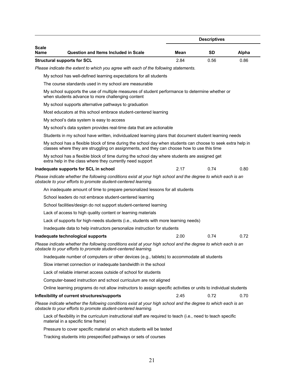| <b>Question and Items Included in Scale</b><br>Mean<br>SD<br><b>Structural supports for SCL</b><br>2.84<br>0.56<br>Please indicate the extent to which you agree with each of the following statements.<br>My school has well-defined learning expectations for all students<br>The course standards used in my school are measurable<br>My school supports the use of multiple measures of student performance to determine whether or<br>when students advance to more challenging content<br>My school supports alternative pathways to graduation<br>Most educators at this school embrace student-centered learning<br>My school's data system is easy to access<br>My school's data system provides real-time data that are actionable<br>Students in my school have written, individualized learning plans that document student learning needs<br>My school has a flexible block of time during the school day when students can choose to seek extra help in<br>classes where they are struggling on assignments, and they can choose how to use this time<br>My school has a flexible block of time during the school day where students are assigned get<br>extra help in the class where they currently need support<br>2.17<br>0.74<br>Inadequate supports for SCL in school<br>Please indicate whether the following conditions exist at your high school and the degree to which each is an<br>obstacle to your efforts to promote student-centered learning.<br>An inadequate amount of time to prepare personalized lessons for all students<br>School leaders do not embrace student-centered learning<br>School facilities/design do not support student-centered learning<br>Lack of access to high quality content or learning materials<br>Lack of supports for high-needs students (i.e., students with more learning needs)<br>Inadequate data to help instructors personalize instruction for students<br>2.00<br>0.74<br>Inadequate technological supports<br>Please indicate whether the following conditions exist at your high school and the degree to which each is an<br>obstacle to your efforts to promote student-centered learning.<br>Inadequate number of computers or other devices (e.g., tablets) to accommodate all students<br>Slow internet connection or inadequate bandwidth in the school<br>Lack of reliable internet access outside of school for students<br>Computer-based instruction and school curriculum are not aligned<br>Online learning programs do not allow instructors to assign specific activities or units to individual students<br>2.45<br>0.72<br>Inflexibility of current structures/supports<br>Please indicate whether the following conditions exist at your high school and the degree to which each is an<br>obstacle to your efforts to promote student-centered learning.<br>Lack of flexibility in the curriculum instructional staff are required to teach (i.e., need to teach specific<br>material in a specific time frame)<br>Pressure to cover specific material on which students will be tested<br>Tracking students into prespecified pathways or sets of courses |               |  | <b>Descriptives</b> |       |
|---------------------------------------------------------------------------------------------------------------------------------------------------------------------------------------------------------------------------------------------------------------------------------------------------------------------------------------------------------------------------------------------------------------------------------------------------------------------------------------------------------------------------------------------------------------------------------------------------------------------------------------------------------------------------------------------------------------------------------------------------------------------------------------------------------------------------------------------------------------------------------------------------------------------------------------------------------------------------------------------------------------------------------------------------------------------------------------------------------------------------------------------------------------------------------------------------------------------------------------------------------------------------------------------------------------------------------------------------------------------------------------------------------------------------------------------------------------------------------------------------------------------------------------------------------------------------------------------------------------------------------------------------------------------------------------------------------------------------------------------------------------------------------------------------------------------------------------------------------------------------------------------------------------------------------------------------------------------------------------------------------------------------------------------------------------------------------------------------------------------------------------------------------------------------------------------------------------------------------------------------------------------------------------------------------------------------------------------------------------------------------------------------------------------------------------------------------------------------------------------------------------------------------------------------------------------------------------------------------------------------------------------------------------------------------------------------------------------------------------------------------------------------------------------------------------------------------------------------------------------------------------------------------------------------------------------------------------------------------------------------------------------------------------------------------------------------------------------------------------------------------------------------------|---------------|--|---------------------|-------|
|                                                                                                                                                                                                                                                                                                                                                                                                                                                                                                                                                                                                                                                                                                                                                                                                                                                                                                                                                                                                                                                                                                                                                                                                                                                                                                                                                                                                                                                                                                                                                                                                                                                                                                                                                                                                                                                                                                                                                                                                                                                                                                                                                                                                                                                                                                                                                                                                                                                                                                                                                                                                                                                                                                                                                                                                                                                                                                                                                                                                                                                                                                                                                         | Scale<br>Name |  |                     | Alpha |
|                                                                                                                                                                                                                                                                                                                                                                                                                                                                                                                                                                                                                                                                                                                                                                                                                                                                                                                                                                                                                                                                                                                                                                                                                                                                                                                                                                                                                                                                                                                                                                                                                                                                                                                                                                                                                                                                                                                                                                                                                                                                                                                                                                                                                                                                                                                                                                                                                                                                                                                                                                                                                                                                                                                                                                                                                                                                                                                                                                                                                                                                                                                                                         |               |  |                     | 0.86  |
|                                                                                                                                                                                                                                                                                                                                                                                                                                                                                                                                                                                                                                                                                                                                                                                                                                                                                                                                                                                                                                                                                                                                                                                                                                                                                                                                                                                                                                                                                                                                                                                                                                                                                                                                                                                                                                                                                                                                                                                                                                                                                                                                                                                                                                                                                                                                                                                                                                                                                                                                                                                                                                                                                                                                                                                                                                                                                                                                                                                                                                                                                                                                                         |               |  |                     |       |
|                                                                                                                                                                                                                                                                                                                                                                                                                                                                                                                                                                                                                                                                                                                                                                                                                                                                                                                                                                                                                                                                                                                                                                                                                                                                                                                                                                                                                                                                                                                                                                                                                                                                                                                                                                                                                                                                                                                                                                                                                                                                                                                                                                                                                                                                                                                                                                                                                                                                                                                                                                                                                                                                                                                                                                                                                                                                                                                                                                                                                                                                                                                                                         |               |  |                     |       |
|                                                                                                                                                                                                                                                                                                                                                                                                                                                                                                                                                                                                                                                                                                                                                                                                                                                                                                                                                                                                                                                                                                                                                                                                                                                                                                                                                                                                                                                                                                                                                                                                                                                                                                                                                                                                                                                                                                                                                                                                                                                                                                                                                                                                                                                                                                                                                                                                                                                                                                                                                                                                                                                                                                                                                                                                                                                                                                                                                                                                                                                                                                                                                         |               |  |                     |       |
|                                                                                                                                                                                                                                                                                                                                                                                                                                                                                                                                                                                                                                                                                                                                                                                                                                                                                                                                                                                                                                                                                                                                                                                                                                                                                                                                                                                                                                                                                                                                                                                                                                                                                                                                                                                                                                                                                                                                                                                                                                                                                                                                                                                                                                                                                                                                                                                                                                                                                                                                                                                                                                                                                                                                                                                                                                                                                                                                                                                                                                                                                                                                                         |               |  |                     |       |
|                                                                                                                                                                                                                                                                                                                                                                                                                                                                                                                                                                                                                                                                                                                                                                                                                                                                                                                                                                                                                                                                                                                                                                                                                                                                                                                                                                                                                                                                                                                                                                                                                                                                                                                                                                                                                                                                                                                                                                                                                                                                                                                                                                                                                                                                                                                                                                                                                                                                                                                                                                                                                                                                                                                                                                                                                                                                                                                                                                                                                                                                                                                                                         |               |  |                     |       |
|                                                                                                                                                                                                                                                                                                                                                                                                                                                                                                                                                                                                                                                                                                                                                                                                                                                                                                                                                                                                                                                                                                                                                                                                                                                                                                                                                                                                                                                                                                                                                                                                                                                                                                                                                                                                                                                                                                                                                                                                                                                                                                                                                                                                                                                                                                                                                                                                                                                                                                                                                                                                                                                                                                                                                                                                                                                                                                                                                                                                                                                                                                                                                         |               |  |                     |       |
|                                                                                                                                                                                                                                                                                                                                                                                                                                                                                                                                                                                                                                                                                                                                                                                                                                                                                                                                                                                                                                                                                                                                                                                                                                                                                                                                                                                                                                                                                                                                                                                                                                                                                                                                                                                                                                                                                                                                                                                                                                                                                                                                                                                                                                                                                                                                                                                                                                                                                                                                                                                                                                                                                                                                                                                                                                                                                                                                                                                                                                                                                                                                                         |               |  |                     |       |
|                                                                                                                                                                                                                                                                                                                                                                                                                                                                                                                                                                                                                                                                                                                                                                                                                                                                                                                                                                                                                                                                                                                                                                                                                                                                                                                                                                                                                                                                                                                                                                                                                                                                                                                                                                                                                                                                                                                                                                                                                                                                                                                                                                                                                                                                                                                                                                                                                                                                                                                                                                                                                                                                                                                                                                                                                                                                                                                                                                                                                                                                                                                                                         |               |  |                     |       |
|                                                                                                                                                                                                                                                                                                                                                                                                                                                                                                                                                                                                                                                                                                                                                                                                                                                                                                                                                                                                                                                                                                                                                                                                                                                                                                                                                                                                                                                                                                                                                                                                                                                                                                                                                                                                                                                                                                                                                                                                                                                                                                                                                                                                                                                                                                                                                                                                                                                                                                                                                                                                                                                                                                                                                                                                                                                                                                                                                                                                                                                                                                                                                         |               |  |                     |       |
|                                                                                                                                                                                                                                                                                                                                                                                                                                                                                                                                                                                                                                                                                                                                                                                                                                                                                                                                                                                                                                                                                                                                                                                                                                                                                                                                                                                                                                                                                                                                                                                                                                                                                                                                                                                                                                                                                                                                                                                                                                                                                                                                                                                                                                                                                                                                                                                                                                                                                                                                                                                                                                                                                                                                                                                                                                                                                                                                                                                                                                                                                                                                                         |               |  |                     |       |
|                                                                                                                                                                                                                                                                                                                                                                                                                                                                                                                                                                                                                                                                                                                                                                                                                                                                                                                                                                                                                                                                                                                                                                                                                                                                                                                                                                                                                                                                                                                                                                                                                                                                                                                                                                                                                                                                                                                                                                                                                                                                                                                                                                                                                                                                                                                                                                                                                                                                                                                                                                                                                                                                                                                                                                                                                                                                                                                                                                                                                                                                                                                                                         |               |  |                     |       |
|                                                                                                                                                                                                                                                                                                                                                                                                                                                                                                                                                                                                                                                                                                                                                                                                                                                                                                                                                                                                                                                                                                                                                                                                                                                                                                                                                                                                                                                                                                                                                                                                                                                                                                                                                                                                                                                                                                                                                                                                                                                                                                                                                                                                                                                                                                                                                                                                                                                                                                                                                                                                                                                                                                                                                                                                                                                                                                                                                                                                                                                                                                                                                         |               |  |                     | 0.80  |
|                                                                                                                                                                                                                                                                                                                                                                                                                                                                                                                                                                                                                                                                                                                                                                                                                                                                                                                                                                                                                                                                                                                                                                                                                                                                                                                                                                                                                                                                                                                                                                                                                                                                                                                                                                                                                                                                                                                                                                                                                                                                                                                                                                                                                                                                                                                                                                                                                                                                                                                                                                                                                                                                                                                                                                                                                                                                                                                                                                                                                                                                                                                                                         |               |  |                     |       |
|                                                                                                                                                                                                                                                                                                                                                                                                                                                                                                                                                                                                                                                                                                                                                                                                                                                                                                                                                                                                                                                                                                                                                                                                                                                                                                                                                                                                                                                                                                                                                                                                                                                                                                                                                                                                                                                                                                                                                                                                                                                                                                                                                                                                                                                                                                                                                                                                                                                                                                                                                                                                                                                                                                                                                                                                                                                                                                                                                                                                                                                                                                                                                         |               |  |                     |       |
|                                                                                                                                                                                                                                                                                                                                                                                                                                                                                                                                                                                                                                                                                                                                                                                                                                                                                                                                                                                                                                                                                                                                                                                                                                                                                                                                                                                                                                                                                                                                                                                                                                                                                                                                                                                                                                                                                                                                                                                                                                                                                                                                                                                                                                                                                                                                                                                                                                                                                                                                                                                                                                                                                                                                                                                                                                                                                                                                                                                                                                                                                                                                                         |               |  |                     |       |
|                                                                                                                                                                                                                                                                                                                                                                                                                                                                                                                                                                                                                                                                                                                                                                                                                                                                                                                                                                                                                                                                                                                                                                                                                                                                                                                                                                                                                                                                                                                                                                                                                                                                                                                                                                                                                                                                                                                                                                                                                                                                                                                                                                                                                                                                                                                                                                                                                                                                                                                                                                                                                                                                                                                                                                                                                                                                                                                                                                                                                                                                                                                                                         |               |  |                     |       |
|                                                                                                                                                                                                                                                                                                                                                                                                                                                                                                                                                                                                                                                                                                                                                                                                                                                                                                                                                                                                                                                                                                                                                                                                                                                                                                                                                                                                                                                                                                                                                                                                                                                                                                                                                                                                                                                                                                                                                                                                                                                                                                                                                                                                                                                                                                                                                                                                                                                                                                                                                                                                                                                                                                                                                                                                                                                                                                                                                                                                                                                                                                                                                         |               |  |                     |       |
|                                                                                                                                                                                                                                                                                                                                                                                                                                                                                                                                                                                                                                                                                                                                                                                                                                                                                                                                                                                                                                                                                                                                                                                                                                                                                                                                                                                                                                                                                                                                                                                                                                                                                                                                                                                                                                                                                                                                                                                                                                                                                                                                                                                                                                                                                                                                                                                                                                                                                                                                                                                                                                                                                                                                                                                                                                                                                                                                                                                                                                                                                                                                                         |               |  |                     |       |
|                                                                                                                                                                                                                                                                                                                                                                                                                                                                                                                                                                                                                                                                                                                                                                                                                                                                                                                                                                                                                                                                                                                                                                                                                                                                                                                                                                                                                                                                                                                                                                                                                                                                                                                                                                                                                                                                                                                                                                                                                                                                                                                                                                                                                                                                                                                                                                                                                                                                                                                                                                                                                                                                                                                                                                                                                                                                                                                                                                                                                                                                                                                                                         |               |  |                     |       |
|                                                                                                                                                                                                                                                                                                                                                                                                                                                                                                                                                                                                                                                                                                                                                                                                                                                                                                                                                                                                                                                                                                                                                                                                                                                                                                                                                                                                                                                                                                                                                                                                                                                                                                                                                                                                                                                                                                                                                                                                                                                                                                                                                                                                                                                                                                                                                                                                                                                                                                                                                                                                                                                                                                                                                                                                                                                                                                                                                                                                                                                                                                                                                         |               |  |                     | 0.72  |
|                                                                                                                                                                                                                                                                                                                                                                                                                                                                                                                                                                                                                                                                                                                                                                                                                                                                                                                                                                                                                                                                                                                                                                                                                                                                                                                                                                                                                                                                                                                                                                                                                                                                                                                                                                                                                                                                                                                                                                                                                                                                                                                                                                                                                                                                                                                                                                                                                                                                                                                                                                                                                                                                                                                                                                                                                                                                                                                                                                                                                                                                                                                                                         |               |  |                     |       |
|                                                                                                                                                                                                                                                                                                                                                                                                                                                                                                                                                                                                                                                                                                                                                                                                                                                                                                                                                                                                                                                                                                                                                                                                                                                                                                                                                                                                                                                                                                                                                                                                                                                                                                                                                                                                                                                                                                                                                                                                                                                                                                                                                                                                                                                                                                                                                                                                                                                                                                                                                                                                                                                                                                                                                                                                                                                                                                                                                                                                                                                                                                                                                         |               |  |                     |       |
|                                                                                                                                                                                                                                                                                                                                                                                                                                                                                                                                                                                                                                                                                                                                                                                                                                                                                                                                                                                                                                                                                                                                                                                                                                                                                                                                                                                                                                                                                                                                                                                                                                                                                                                                                                                                                                                                                                                                                                                                                                                                                                                                                                                                                                                                                                                                                                                                                                                                                                                                                                                                                                                                                                                                                                                                                                                                                                                                                                                                                                                                                                                                                         |               |  |                     |       |
|                                                                                                                                                                                                                                                                                                                                                                                                                                                                                                                                                                                                                                                                                                                                                                                                                                                                                                                                                                                                                                                                                                                                                                                                                                                                                                                                                                                                                                                                                                                                                                                                                                                                                                                                                                                                                                                                                                                                                                                                                                                                                                                                                                                                                                                                                                                                                                                                                                                                                                                                                                                                                                                                                                                                                                                                                                                                                                                                                                                                                                                                                                                                                         |               |  |                     |       |
|                                                                                                                                                                                                                                                                                                                                                                                                                                                                                                                                                                                                                                                                                                                                                                                                                                                                                                                                                                                                                                                                                                                                                                                                                                                                                                                                                                                                                                                                                                                                                                                                                                                                                                                                                                                                                                                                                                                                                                                                                                                                                                                                                                                                                                                                                                                                                                                                                                                                                                                                                                                                                                                                                                                                                                                                                                                                                                                                                                                                                                                                                                                                                         |               |  |                     |       |
|                                                                                                                                                                                                                                                                                                                                                                                                                                                                                                                                                                                                                                                                                                                                                                                                                                                                                                                                                                                                                                                                                                                                                                                                                                                                                                                                                                                                                                                                                                                                                                                                                                                                                                                                                                                                                                                                                                                                                                                                                                                                                                                                                                                                                                                                                                                                                                                                                                                                                                                                                                                                                                                                                                                                                                                                                                                                                                                                                                                                                                                                                                                                                         |               |  |                     |       |
|                                                                                                                                                                                                                                                                                                                                                                                                                                                                                                                                                                                                                                                                                                                                                                                                                                                                                                                                                                                                                                                                                                                                                                                                                                                                                                                                                                                                                                                                                                                                                                                                                                                                                                                                                                                                                                                                                                                                                                                                                                                                                                                                                                                                                                                                                                                                                                                                                                                                                                                                                                                                                                                                                                                                                                                                                                                                                                                                                                                                                                                                                                                                                         |               |  |                     | 0.70  |
|                                                                                                                                                                                                                                                                                                                                                                                                                                                                                                                                                                                                                                                                                                                                                                                                                                                                                                                                                                                                                                                                                                                                                                                                                                                                                                                                                                                                                                                                                                                                                                                                                                                                                                                                                                                                                                                                                                                                                                                                                                                                                                                                                                                                                                                                                                                                                                                                                                                                                                                                                                                                                                                                                                                                                                                                                                                                                                                                                                                                                                                                                                                                                         |               |  |                     |       |
|                                                                                                                                                                                                                                                                                                                                                                                                                                                                                                                                                                                                                                                                                                                                                                                                                                                                                                                                                                                                                                                                                                                                                                                                                                                                                                                                                                                                                                                                                                                                                                                                                                                                                                                                                                                                                                                                                                                                                                                                                                                                                                                                                                                                                                                                                                                                                                                                                                                                                                                                                                                                                                                                                                                                                                                                                                                                                                                                                                                                                                                                                                                                                         |               |  |                     |       |
|                                                                                                                                                                                                                                                                                                                                                                                                                                                                                                                                                                                                                                                                                                                                                                                                                                                                                                                                                                                                                                                                                                                                                                                                                                                                                                                                                                                                                                                                                                                                                                                                                                                                                                                                                                                                                                                                                                                                                                                                                                                                                                                                                                                                                                                                                                                                                                                                                                                                                                                                                                                                                                                                                                                                                                                                                                                                                                                                                                                                                                                                                                                                                         |               |  |                     |       |
|                                                                                                                                                                                                                                                                                                                                                                                                                                                                                                                                                                                                                                                                                                                                                                                                                                                                                                                                                                                                                                                                                                                                                                                                                                                                                                                                                                                                                                                                                                                                                                                                                                                                                                                                                                                                                                                                                                                                                                                                                                                                                                                                                                                                                                                                                                                                                                                                                                                                                                                                                                                                                                                                                                                                                                                                                                                                                                                                                                                                                                                                                                                                                         |               |  |                     |       |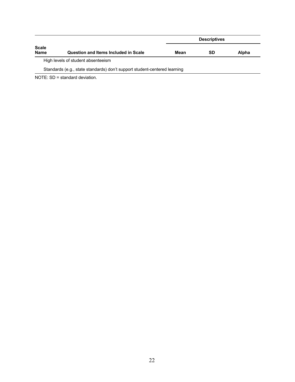|                             |                                                                           |      | <b>Descriptives</b> |       |  |  |  |
|-----------------------------|---------------------------------------------------------------------------|------|---------------------|-------|--|--|--|
| <b>Scale</b><br><b>Name</b> | <b>Question and Items Included in Scale</b>                               | Mean | <b>SD</b>           | Alpha |  |  |  |
|                             | High levels of student absenteeism                                        |      |                     |       |  |  |  |
|                             | Standards (e.g., state standards) don't support student-centered learning |      |                     |       |  |  |  |

NOTE: SD = standard deviation.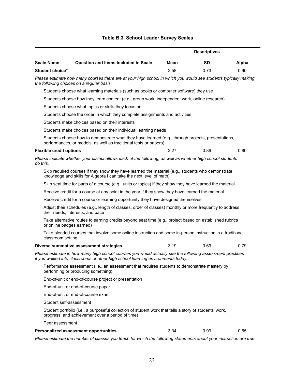|                                |                                                                                                                                                                                              |      | <b>Descriptives</b> |       |
|--------------------------------|----------------------------------------------------------------------------------------------------------------------------------------------------------------------------------------------|------|---------------------|-------|
| <b>Scale Name</b>              | <b>Question and Items Included in Scale</b>                                                                                                                                                  | Mean | <b>SD</b>           | Alpha |
| Student choice*                |                                                                                                                                                                                              | 2.58 | 0.73                | 0.90  |
|                                | Please estimate how many courses there are at your high school in which you would see students typically making<br>the following choices on a regular basis.                                 |      |                     |       |
|                                | Students choose what learning materials (such as books or computer software) they use                                                                                                        |      |                     |       |
|                                | Students choose how they learn content (e.g., group work, independent work, online research)                                                                                                 |      |                     |       |
|                                | Students choose what topics or skills they focus on                                                                                                                                          |      |                     |       |
|                                | Students choose the order in which they complete assignments and activities                                                                                                                  |      |                     |       |
|                                | Students make choices based on their interests                                                                                                                                               |      |                     |       |
|                                | Students make choices based on their individual learning needs                                                                                                                               |      |                     |       |
|                                | Students choose how to demonstrate what they have learned (e.g., through projects, presentations,<br>performances, or models, as well as traditional tests or papers).                       |      |                     |       |
| <b>Flexible credit options</b> |                                                                                                                                                                                              | 2.27 | 0.89                | 0.80  |
| do this.                       | Please indicate whether your district allows each of the following, as well as whether high school students                                                                                  |      |                     |       |
|                                | Skip required courses if they show they have learned the material (e.g., students who demonstrate<br>knowledge and skills for Algebra I can take the next level of math)                     |      |                     |       |
|                                | Skip seat time for parts of a course (e.g., units or topics) if they show they have learned the material                                                                                     |      |                     |       |
|                                | Receive credit for a course at any point in the year if they show they have learned the material                                                                                             |      |                     |       |
|                                | Receive credit for a course or learning opportunity they have designed themselves                                                                                                            |      |                     |       |
|                                | Adjust their schedules (e.g., length of classes, order of classes) monthly or more frequently to address<br>their needs, interests, and pace                                                 |      |                     |       |
| or online badges earned)       | Take alternative routes to earning credits beyond seat time (e.g., project based on established rubrics                                                                                      |      |                     |       |
| classroom setting              | Take blended courses that involve some online instruction and some in-person instruction in a traditional                                                                                    |      |                     |       |
|                                | Diverse summative assessment strategies                                                                                                                                                      | 3.19 | 0.69                | 0.79  |
|                                | Please estimate in how many high school courses you would actually see the following assessment practices<br>if you walked into classrooms or other high school learning environments today. |      |                     |       |
|                                | Performance assessment (i.e., an assessment that requires students to demonstrate mastery by<br>performing or producing something)                                                           |      |                     |       |
|                                | End-of-unit or end-of-course project or presentation                                                                                                                                         |      |                     |       |
|                                | End-of-unit or end-of-course paper                                                                                                                                                           |      |                     |       |
|                                | End-of-unit or end-of-course exam                                                                                                                                                            |      |                     |       |
| Student self-assessment        |                                                                                                                                                                                              |      |                     |       |
|                                | Student portfolio (i.e., a purposeful collection of student work that tells a story of students' work,<br>progress, and achievement over a period of time)                                   |      |                     |       |
| Peer assessment                |                                                                                                                                                                                              |      |                     |       |
|                                | <b>Personalized assessment opportunities</b>                                                                                                                                                 | 3.34 | 0.99                | 0.65  |

## **Table B.3. School Leader Survey Scales**

*Please estimate the number of classes you teach for which the following statements about your instruction are true.*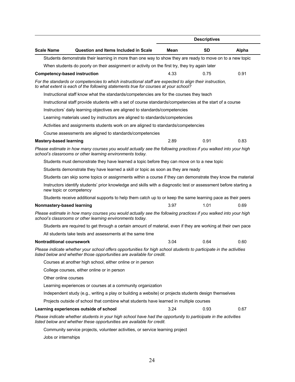|                                  |                                                                                                                                                                                                |      | <b>Descriptives</b> |       |
|----------------------------------|------------------------------------------------------------------------------------------------------------------------------------------------------------------------------------------------|------|---------------------|-------|
| <b>Scale Name</b>                | <b>Question and Items Included in Scale</b>                                                                                                                                                    | Mean | <b>SD</b>           | Alpha |
|                                  | Students demonstrate their learning in more than one way to show they are ready to move on to a new topic                                                                                      |      |                     |       |
|                                  | When students do poorly on their assignment or activity on the first try, they try again later                                                                                                 |      |                     |       |
|                                  | <b>Competency-based instruction</b>                                                                                                                                                            | 4.33 | 0.75                | 0.91  |
|                                  | For the standards or competencies to which instructional staff are expected to align their instruction,<br>to what extent is each of the following statements true for courses at your school? |      |                     |       |
|                                  | Instructional staff know what the standards/competencies are for the courses they teach                                                                                                        |      |                     |       |
|                                  | Instructional staff provide students with a set of course standards/competencies at the start of a course                                                                                      |      |                     |       |
|                                  | Instructors' daily learning objectives are aligned to standards/competencies                                                                                                                   |      |                     |       |
|                                  | Learning materials used by instructors are aligned to standards/competencies                                                                                                                   |      |                     |       |
|                                  | Activities and assignments students work on are aligned to standards/competencies                                                                                                              |      |                     |       |
|                                  | Course assessments are aligned to standards/competencies                                                                                                                                       |      |                     |       |
| <b>Mastery-based learning</b>    |                                                                                                                                                                                                | 2.89 | 0.91                | 0.83  |
|                                  | Please estimate in how many courses you would actually see the following practices if you walked into your high<br>school's classrooms or other learning environments today.                   |      |                     |       |
|                                  | Students must demonstrate they have learned a topic before they can move on to a new topic                                                                                                     |      |                     |       |
|                                  | Students demonstrate they have learned a skill or topic as soon as they are ready                                                                                                              |      |                     |       |
|                                  | Students can skip some topics or assignments within a course if they can demonstrate they know the material                                                                                    |      |                     |       |
|                                  | Instructors identify students' prior knowledge and skills with a diagnostic test or assessment before starting a<br>new topic or competency                                                    |      |                     |       |
|                                  | Students receive additional supports to help them catch up to or keep the same learning pace as their peers                                                                                    |      |                     |       |
| Nonmastery-based learning        |                                                                                                                                                                                                | 3.97 | 1.01                | 0.69  |
|                                  | Please estimate in how many courses you would actually see the following practices if you walked into your high<br>school's classrooms or other learning environments today.                   |      |                     |       |
|                                  | Students are required to get through a certain amount of material, even if they are working at their own pace                                                                                  |      |                     |       |
|                                  | All students take tests and assessments at the same time                                                                                                                                       |      |                     |       |
| <b>Nontraditional coursework</b> |                                                                                                                                                                                                | 3.04 | 0.64                | 0.60  |
|                                  | Please indicate whether your school offers opportunities for high school students to participate in the activities<br>listed below and whether those opportunities are available for credit.   |      |                     |       |
|                                  | Courses at another high school, either online or in person                                                                                                                                     |      |                     |       |
|                                  | College courses, either online or in person                                                                                                                                                    |      |                     |       |
| Other online courses             |                                                                                                                                                                                                |      |                     |       |
|                                  | Learning experiences or courses at a community organization                                                                                                                                    |      |                     |       |
|                                  | Independent study (e.g., writing a play or building a website) or projects students design themselves                                                                                          |      |                     |       |
|                                  | Projects outside of school that combine what students have learned in multiple courses                                                                                                         |      |                     |       |
|                                  | Learning experiences outside of school                                                                                                                                                         | 3.24 | 0.93                | 0.67  |
|                                  | Please indicate whether students in your high school have had the opportunity to participate in the activities<br>listed below and whether these opportunities are available for credit.       |      |                     |       |
|                                  | Community service projects, volunteer activities, or service learning project                                                                                                                  |      |                     |       |
| Jobs or internships              |                                                                                                                                                                                                |      |                     |       |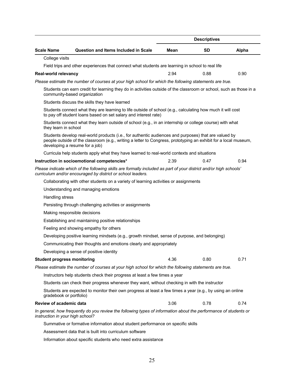|                                    |                                                                                                                                                                                                                                                           |      | <b>Descriptives</b> |       |
|------------------------------------|-----------------------------------------------------------------------------------------------------------------------------------------------------------------------------------------------------------------------------------------------------------|------|---------------------|-------|
| <b>Scale Name</b>                  | <b>Question and Items Included in Scale</b>                                                                                                                                                                                                               | Mean | <b>SD</b>           | Alpha |
| College visits                     |                                                                                                                                                                                                                                                           |      |                     |       |
|                                    | Field trips and other experiences that connect what students are learning in school to real life                                                                                                                                                          |      |                     |       |
| <b>Real-world relevancy</b>        |                                                                                                                                                                                                                                                           | 2.94 | 0.88                | 0.90  |
|                                    | Please estimate the number of courses at your high school for which the following statements are true.                                                                                                                                                    |      |                     |       |
|                                    | Students can earn credit for learning they do in activities outside of the classroom or school, such as those in a<br>community-based organization                                                                                                        |      |                     |       |
|                                    | Students discuss the skills they have learned                                                                                                                                                                                                             |      |                     |       |
|                                    | Students connect what they are learning to life outside of school (e.g., calculating how much it will cost<br>to pay off student loans based on set salary and interest rate)                                                                             |      |                     |       |
| they learn in school               | Students connect what they learn outside of school (e.g., in an internship or college course) with what                                                                                                                                                   |      |                     |       |
|                                    | Students develop real-world products (i.e., for authentic audiences and purposes) that are valued by<br>people outside of the classroom (e.g., writing a letter to Congress, prototyping an exhibit for a local museum,<br>developing a resume for a job) |      |                     |       |
|                                    | Curricula help students apply what they have learned to real-world contexts and situations                                                                                                                                                                |      |                     |       |
|                                    | Instruction in socioemotional competencies*                                                                                                                                                                                                               | 2.39 | 0.47                | 0.94  |
|                                    | Please indicate which of the following skills are formally included as part of your district and/or high schools'<br>curriculum and/or encouraged by district or school leaders.                                                                          |      |                     |       |
|                                    | Collaborating with other students on a variety of learning activities or assignments                                                                                                                                                                      |      |                     |       |
|                                    | Understanding and managing emotions                                                                                                                                                                                                                       |      |                     |       |
| Handling stress                    |                                                                                                                                                                                                                                                           |      |                     |       |
|                                    | Persisting through challenging activities or assignments                                                                                                                                                                                                  |      |                     |       |
|                                    | Making responsible decisions                                                                                                                                                                                                                              |      |                     |       |
|                                    | Establishing and maintaining positive relationships                                                                                                                                                                                                       |      |                     |       |
|                                    | Feeling and showing empathy for others                                                                                                                                                                                                                    |      |                     |       |
|                                    | Developing positive learning mindsets (e.g., growth mindset, sense of purpose, and belonging)                                                                                                                                                             |      |                     |       |
|                                    | Communicating their thoughts and emotions clearly and appropriately                                                                                                                                                                                       |      |                     |       |
|                                    | Developing a sense of positive identity                                                                                                                                                                                                                   |      |                     |       |
| <b>Student progress monitoring</b> |                                                                                                                                                                                                                                                           | 4.36 | 0.80                | 0.71  |
|                                    | Please estimate the number of courses at your high school for which the following statements are true.                                                                                                                                                    |      |                     |       |
|                                    | Instructors help students check their progress at least a few times a year                                                                                                                                                                                |      |                     |       |
|                                    | Students can check their progress whenever they want, without checking in with the instructor                                                                                                                                                             |      |                     |       |
| gradebook or portfolio)            | Students are expected to monitor their own progress at least a few times a year (e.g., by using an online                                                                                                                                                 |      |                     |       |
| <b>Review of academic data</b>     |                                                                                                                                                                                                                                                           | 3.06 | 0.78                | 0.74  |
| instruction in your high school?   | In general, how frequently do you review the following types of information about the performance of students or                                                                                                                                          |      |                     |       |
|                                    | Summative or formative information about student performance on specific skills                                                                                                                                                                           |      |                     |       |
|                                    | Assessment data that is built into curriculum software                                                                                                                                                                                                    |      |                     |       |

Information about specific students who need extra assistance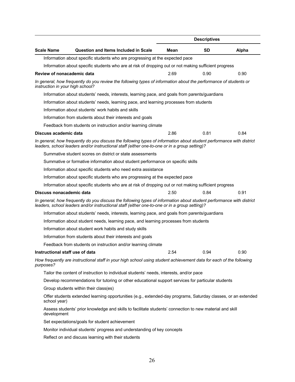|                                  |                                                                                                                                                                                                                       |      | <b>Descriptives</b> |       |  |
|----------------------------------|-----------------------------------------------------------------------------------------------------------------------------------------------------------------------------------------------------------------------|------|---------------------|-------|--|
| <b>Scale Name</b>                | <b>Question and Items Included in Scale</b>                                                                                                                                                                           | Mean | <b>SD</b>           | Alpha |  |
|                                  | Information about specific students who are progressing at the expected pace                                                                                                                                          |      |                     |       |  |
|                                  | Information about specific students who are at risk of dropping out or not making sufficient progress                                                                                                                 |      |                     |       |  |
| Review of nonacademic data       |                                                                                                                                                                                                                       | 2.69 | 0.90                | 0.90  |  |
| instruction in your high school? | In general, how frequently do you review the following types of information about the performance of students or                                                                                                      |      |                     |       |  |
|                                  | Information about students' needs, interests, learning pace, and goals from parents/guardians                                                                                                                         |      |                     |       |  |
|                                  | Information about students' needs, learning pace, and learning processes from students                                                                                                                                |      |                     |       |  |
|                                  | Information about students' work habits and skills                                                                                                                                                                    |      |                     |       |  |
|                                  | Information from students about their interests and goals                                                                                                                                                             |      |                     |       |  |
|                                  | Feedback from students on instruction and/or learning climate                                                                                                                                                         |      |                     |       |  |
| Discuss academic data            |                                                                                                                                                                                                                       | 2.86 | 0.81                | 0.84  |  |
|                                  | In general, how frequently do you discuss the following types of information about student performance with district<br>leaders, school leaders and/or instructional staff (either one-to-one or in a group setting)? |      |                     |       |  |
|                                  | Summative student scores on district or state assessments                                                                                                                                                             |      |                     |       |  |
|                                  | Summative or formative information about student performance on specific skills                                                                                                                                       |      |                     |       |  |
|                                  | Information about specific students who need extra assistance                                                                                                                                                         |      |                     |       |  |
|                                  | Information about specific students who are progressing at the expected pace                                                                                                                                          |      |                     |       |  |
|                                  | Information about specific students who are at risk of dropping out or not making sufficient progress                                                                                                                 |      |                     |       |  |
| Discuss nonacademic data         |                                                                                                                                                                                                                       | 2.50 | 0.84                | 0.91  |  |
|                                  | In general, how frequently do you discuss the following types of information about student performance with district<br>leaders, school leaders and/or instructional staff (either one-to-one or in a group setting)? |      |                     |       |  |
|                                  | Information about students' needs, interests, learning pace, and goals from parents/guardians                                                                                                                         |      |                     |       |  |
|                                  | Information about student needs, learning pace, and learning processes from students                                                                                                                                  |      |                     |       |  |
|                                  | Information about student work habits and study skills                                                                                                                                                                |      |                     |       |  |
|                                  | Information from students about their interests and goals                                                                                                                                                             |      |                     |       |  |
|                                  | Feedback from students on instruction and/or learning climate                                                                                                                                                         |      |                     |       |  |
| Instructional staff use of data  |                                                                                                                                                                                                                       | 2.54 | 0.94                | 0.90  |  |
| purposes?                        | How frequently are instructional staff in your high school using student achievement data for each of the following                                                                                                   |      |                     |       |  |
|                                  | Tailor the content of instruction to individual students' needs, interests, and/or pace                                                                                                                               |      |                     |       |  |
|                                  | Develop recommendations for tutoring or other educational support services for particular students                                                                                                                    |      |                     |       |  |
|                                  | Group students within their class(es)                                                                                                                                                                                 |      |                     |       |  |
| school year)                     | Offer students extended learning opportunities (e.g., extended-day programs, Saturday classes, or an extended                                                                                                         |      |                     |       |  |
| development                      | Assess students' prior knowledge and skills to facilitate students' connection to new material and skill                                                                                                              |      |                     |       |  |
|                                  | Set expectations/goals for student achievement                                                                                                                                                                        |      |                     |       |  |
|                                  | Monitor individual students' progress and understanding of key concepts                                                                                                                                               |      |                     |       |  |
|                                  | Reflect on and discuss learning with their students                                                                                                                                                                   |      |                     |       |  |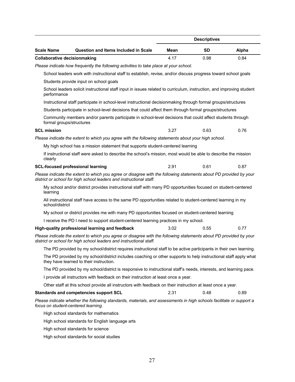|                                                                                                                                                                                          |                                                                                                                                                                                          |      | <b>Descriptives</b> |       |  |  |
|------------------------------------------------------------------------------------------------------------------------------------------------------------------------------------------|------------------------------------------------------------------------------------------------------------------------------------------------------------------------------------------|------|---------------------|-------|--|--|
| <b>Scale Name</b>                                                                                                                                                                        | <b>Question and Items Included in Scale</b>                                                                                                                                              | Mean | <b>SD</b>           | Alpha |  |  |
| <b>Collaborative decisionmaking</b>                                                                                                                                                      |                                                                                                                                                                                          | 4.17 | 0.98                | 0.84  |  |  |
|                                                                                                                                                                                          | Please indicate how frequently the following activities to take place at your school.                                                                                                    |      |                     |       |  |  |
|                                                                                                                                                                                          | School leaders work with instructional staff to establish, revise, and/or discuss progress toward school goals                                                                           |      |                     |       |  |  |
|                                                                                                                                                                                          | Students provide input on school goals                                                                                                                                                   |      |                     |       |  |  |
| performance                                                                                                                                                                              | School leaders solicit instructional staff input in issues related to curriculum, instruction, and improving student                                                                     |      |                     |       |  |  |
|                                                                                                                                                                                          | Instructional staff participate in school-level instructional decisionmaking through formal groups/structures                                                                            |      |                     |       |  |  |
|                                                                                                                                                                                          | Students participate in school-level decisions that could affect them through formal groups/structures                                                                                   |      |                     |       |  |  |
|                                                                                                                                                                                          | Community members and/or parents participate in school-level decisions that could affect students through<br>formal groups/structures                                                    |      |                     |       |  |  |
| <b>SCL mission</b>                                                                                                                                                                       |                                                                                                                                                                                          | 3.27 | 0.63                | 0.76  |  |  |
|                                                                                                                                                                                          | Please indicate the extent to which you agree with the following statements about your high school.                                                                                      |      |                     |       |  |  |
|                                                                                                                                                                                          | My high school has a mission statement that supports student-centered learning                                                                                                           |      |                     |       |  |  |
| clearly                                                                                                                                                                                  | If instructional staff were asked to describe the school's mission, most would be able to describe the mission                                                                           |      |                     |       |  |  |
|                                                                                                                                                                                          | <b>SCL-focused professional learning</b>                                                                                                                                                 | 2.91 | 0.61                | 0.87  |  |  |
| Please indicate the extent to which you agree or disagree with the following statements about PD provided by your<br>district or school for high school leaders and instructional staff. |                                                                                                                                                                                          |      |                     |       |  |  |
| learning                                                                                                                                                                                 | My school and/or district provides instructional staff with many PD opportunities focused on student-centered                                                                            |      |                     |       |  |  |
| school/district                                                                                                                                                                          | All instructional staff have access to the same PD opportunities related to student-centered learning in my                                                                              |      |                     |       |  |  |
|                                                                                                                                                                                          | My school or district provides me with many PD opportunities focused on student-centered learning                                                                                        |      |                     |       |  |  |
|                                                                                                                                                                                          | I receive the PD I need to support student-centered learning practices in my school.                                                                                                     |      |                     |       |  |  |
|                                                                                                                                                                                          | High-quality professional learning and feedback                                                                                                                                          | 3.02 | 0.55                | 0.77  |  |  |
|                                                                                                                                                                                          | Please indicate the extent to which you agree or disagree with the following statements about PD provided by your<br>district or school for high school leaders and instructional staff. |      |                     |       |  |  |
|                                                                                                                                                                                          | The PD provided by my school/district requires instructional staff to be active participants in their own learning.                                                                      |      |                     |       |  |  |
|                                                                                                                                                                                          | The PD provided by my school/district includes coaching or other supports to help instructional staff apply what<br>they have learned to their instruction.                              |      |                     |       |  |  |
|                                                                                                                                                                                          | The PD provided by my school/district is responsive to instructional staff's needs, interests, and learning pace.                                                                        |      |                     |       |  |  |
|                                                                                                                                                                                          | I provide all instructors with feedback on their instruction at least once a year.                                                                                                       |      |                     |       |  |  |
|                                                                                                                                                                                          | Other staff at this school provide all instructors with feedback on their instruction at least once a year.                                                                              |      |                     |       |  |  |
|                                                                                                                                                                                          | <b>Standards and competencies support SCL</b>                                                                                                                                            | 2.31 | 0.48                | 0.89  |  |  |
|                                                                                                                                                                                          | Please indicate whether the following standards, materials, and assessments in high schools facilitate or support a<br>focus on student-centered learning.                               |      |                     |       |  |  |
|                                                                                                                                                                                          | High school standards for mathematics                                                                                                                                                    |      |                     |       |  |  |
|                                                                                                                                                                                          | High school standards for English language arts                                                                                                                                          |      |                     |       |  |  |
|                                                                                                                                                                                          | High school standards for science                                                                                                                                                        |      |                     |       |  |  |
|                                                                                                                                                                                          | High school standards for social studies                                                                                                                                                 |      |                     |       |  |  |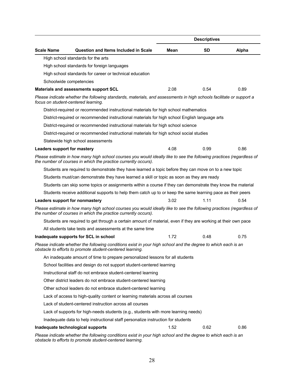|                             |                                                                                                                                                                                        |      | <b>Descriptives</b> |       |
|-----------------------------|----------------------------------------------------------------------------------------------------------------------------------------------------------------------------------------|------|---------------------|-------|
| <b>Scale Name</b>           | <b>Question and Items Included in Scale</b>                                                                                                                                            | Mean | <b>SD</b>           | Alpha |
|                             | High school standards for the arts                                                                                                                                                     |      |                     |       |
|                             | High school standards for foreign languages                                                                                                                                            |      |                     |       |
|                             | High school standards for career or technical education                                                                                                                                |      |                     |       |
|                             | Schoolwide competencies                                                                                                                                                                |      |                     |       |
|                             | Materials and assessments support SCL                                                                                                                                                  | 2.08 | 0.54                | 0.89  |
|                             | Please indicate whether the following standards, materials, and assessments in high schools facilitate or support a<br>focus on student-centered learning.                             |      |                     |       |
|                             | District-required or recommended instructional materials for high school mathematics                                                                                                   |      |                     |       |
|                             | District-required or recommended instructional materials for high school English language arts                                                                                         |      |                     |       |
|                             | District-required or recommended instructional materials for high school science                                                                                                       |      |                     |       |
|                             | District-required or recommended instructional materials for high school social studies                                                                                                |      |                     |       |
|                             | Statewide high school assessments                                                                                                                                                      |      |                     |       |
| Leaders support for mastery |                                                                                                                                                                                        | 4.08 | 0.99                | 0.86  |
|                             | Please estimate in how many high school courses you would ideally like to see the following practices (regardless of<br>the number of courses in which the practice currently occurs). |      |                     |       |
|                             | Students are required to demonstrate they have learned a topic before they can move on to a new topic                                                                                  |      |                     |       |
|                             | Students must/can demonstrate they have learned a skill or topic as soon as they are ready                                                                                             |      |                     |       |
|                             | Students can skip some topics or assignments within a course if they can demonstrate they know the material                                                                            |      |                     |       |
|                             | Students receive additional supports to help them catch up to or keep the same learning pace as their peers                                                                            |      |                     |       |
|                             | Leaders support for nonmastery                                                                                                                                                         | 3.02 | 1.11                | 0.54  |
|                             | Please estimate in how many high school courses you would ideally like to see the following practices (regardless of<br>the number of courses in which the practice currently occurs). |      |                     |       |
|                             | Students are required to get through a certain amount of material, even if they are working at their own pace                                                                          |      |                     |       |
|                             | All students take tests and assessments at the same time                                                                                                                               |      |                     |       |
|                             | Inadequate supports for SCL in school                                                                                                                                                  | 1.72 | 0.48                | 0.75  |
|                             | Please indicate whether the following conditions exist in your high school and the degree to which each is an<br>obstacle to efforts to promote student-centered learning.             |      |                     |       |
|                             | An inadequate amount of time to prepare personalized lessons for all students                                                                                                          |      |                     |       |
|                             | School facilities and design do not support student-centered learning                                                                                                                  |      |                     |       |
|                             | Instructional staff do not embrace student-centered learning                                                                                                                           |      |                     |       |
|                             | Other district leaders do not embrace student-centered learning                                                                                                                        |      |                     |       |
|                             | Other school leaders do not embrace student-centered learning                                                                                                                          |      |                     |       |
|                             | Lack of access to high-quality content or learning materials across all courses                                                                                                        |      |                     |       |
|                             | Lack of student-centered instruction across all courses                                                                                                                                |      |                     |       |
|                             | Lack of supports for high-needs students (e.g., students with more learning needs)                                                                                                     |      |                     |       |
|                             | Inadequate data to help instructional staff personalize instruction for students                                                                                                       |      |                     |       |
|                             | Inadequate technological supports                                                                                                                                                      | 1.52 | 0.62                | 0.86  |

*Please indicate whether the following conditions exist in your high school and the degree to which each is an obstacle to efforts to promote student-centered learning.*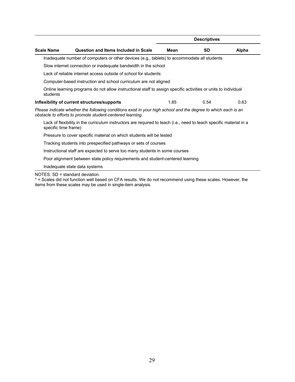|                      |                                                                                                                                                                            |      | <b>Descriptives</b> |       |
|----------------------|----------------------------------------------------------------------------------------------------------------------------------------------------------------------------|------|---------------------|-------|
| <b>Scale Name</b>    | Question and Items Included in Scale                                                                                                                                       | Mean | <b>SD</b>           | Alpha |
|                      | Inadequate number of computers or other devices (e.g., tablets) to accommodate all students                                                                                |      |                     |       |
|                      | Slow internet connection or inadequate bandwidth in the school                                                                                                             |      |                     |       |
|                      | Lack of reliable internet access outside of school for students                                                                                                            |      |                     |       |
|                      | Computer-based instruction and school curriculum are not aligned                                                                                                           |      |                     |       |
| students             | Online learning programs do not allow instructional staff to assign specific activities or units to individual                                                             |      |                     |       |
|                      | Inflexibility of current structures/supports                                                                                                                               | 1.85 | 0.54                | 0.63  |
|                      | Please indicate whether the following conditions exist in your high school and the degree to which each is an<br>obstacle to efforts to promote student-centered learning. |      |                     |       |
| specific time frame) | Lack of flexibility in the curriculum instructors are required to teach (i.e., need to teach specific material in a                                                        |      |                     |       |
|                      | Pressure to cover specific material on which students will be tested                                                                                                       |      |                     |       |
|                      | Tracking students into prespecified pathways or sets of courses                                                                                                            |      |                     |       |
|                      | Instructional staff are expected to serve too many students in some courses                                                                                                |      |                     |       |
|                      | Poor alignment between state policy requirements and student-centered learning                                                                                             |      |                     |       |
|                      | Inadequate state data systems                                                                                                                                              |      |                     |       |
|                      |                                                                                                                                                                            |      |                     |       |

NOTES: SD = standard deviation.

\* = Scales did not function well based on CFA results. We do not recommend using these scales. However, the items from these scales may be used in single-item analysis.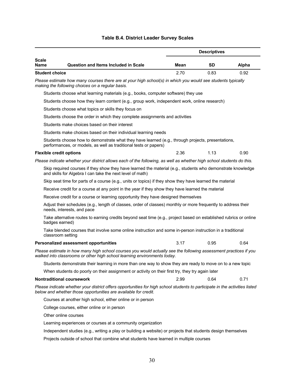## **Table B.4. District Leader Survey Scales**

|                                |                                                                                                                                                                                                |      | <b>Descriptives</b> |       |
|--------------------------------|------------------------------------------------------------------------------------------------------------------------------------------------------------------------------------------------|------|---------------------|-------|
| <b>Scale</b><br>Name           | <b>Question and Items Included in Scale</b>                                                                                                                                                    | Mean | <b>SD</b>           | Alpha |
| <b>Student choice</b>          |                                                                                                                                                                                                | 2.70 | 0.83                | 0.92  |
|                                | Please estimate how many courses there are at your high school(s) in which you would see students typically<br>making the following choices on a regular basis.                                |      |                     |       |
|                                | Students choose what learning materials (e.g., books, computer software) they use                                                                                                              |      |                     |       |
|                                | Students choose how they learn content (e.g., group work, independent work, online research)                                                                                                   |      |                     |       |
|                                | Students choose what topics or skills they focus on                                                                                                                                            |      |                     |       |
|                                | Students choose the order in which they complete assignments and activities                                                                                                                    |      |                     |       |
|                                | Students make choices based on their interest                                                                                                                                                  |      |                     |       |
|                                | Students make choices based on their individual learning needs                                                                                                                                 |      |                     |       |
|                                | Students choose how to demonstrate what they have learned (e.g., through projects, presentations,<br>performances, or models, as well as traditional tests or papers)                          |      |                     |       |
| <b>Flexible credit options</b> |                                                                                                                                                                                                | 2.36 | 1.13                | 0.90  |
|                                | Please indicate whether your district allows each of the following, as well as whether high school students do this.                                                                           |      |                     |       |
|                                | Skip required courses if they show they have learned the material (e.g., students who demonstrate knowledge<br>and skills for Algebra I can take the next level of math)                       |      |                     |       |
|                                | Skip seat time for parts of a course (e.g., units or topics) if they show they have learned the material                                                                                       |      |                     |       |
|                                | Receive credit for a course at any point in the year if they show they have learned the material                                                                                               |      |                     |       |
|                                | Receive credit for a course or learning opportunity they have designed themselves                                                                                                              |      |                     |       |
|                                | Adjust their schedules (e.g., length of classes, order of classes) monthly or more frequently to address their<br>needs, interests, and pace                                                   |      |                     |       |
|                                | Take alternative routes to earning credits beyond seat time (e.g., project based on established rubrics or online<br>badges earned)                                                            |      |                     |       |
|                                | Take blended courses that involve some online instruction and some in-person instruction in a traditional<br>classroom setting                                                                 |      |                     |       |
|                                | <b>Personalized assessment opportunities</b>                                                                                                                                                   | 3.17 | 0.95                | 0.64  |
|                                | Please estimate in how many high school courses you would actually see the following assessment practices if you<br>walked into classrooms or other high school learning environments today.   |      |                     |       |
|                                | Students demonstrate their learning in more than one way to show they are ready to move on to a new topic                                                                                      |      |                     |       |
|                                | When students do poorly on their assignment or activity on their first try, they try again later                                                                                               |      |                     |       |
|                                | <b>Nontraditional coursework</b>                                                                                                                                                               | 2.99 | 0.64                | 0.71  |
|                                | Please indicate whether your district offers opportunities for high school students to participate in the activities listed<br>below and whether those opportunities are available for credit. |      |                     |       |
|                                | Courses at another high school, either online or in person                                                                                                                                     |      |                     |       |
|                                | College courses, either online or in person                                                                                                                                                    |      |                     |       |
|                                | Other online courses                                                                                                                                                                           |      |                     |       |
|                                | Learning experiences or courses at a community organization                                                                                                                                    |      |                     |       |
|                                | Independent studies (e.g., writing a play or building a website) or projects that students design themselves                                                                                   |      |                     |       |

Projects outside of school that combine what students have learned in multiple courses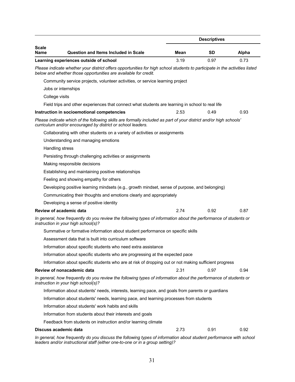|                                                                                                                                                                                                |      | <b>Descriptives</b> |       |
|------------------------------------------------------------------------------------------------------------------------------------------------------------------------------------------------|------|---------------------|-------|
| Scale<br><b>Question and Items Included in Scale</b><br>Name                                                                                                                                   | Mean | <b>SD</b>           | Alpha |
| Learning experiences outside of school                                                                                                                                                         | 3.19 | 0.97                | 0.73  |
| Please indicate whether your district offers opportunities for high school students to participate in the activities listed<br>below and whether those opportunities are available for credit. |      |                     |       |
| Community service projects, volunteer activities, or service learning project                                                                                                                  |      |                     |       |
| Jobs or internships                                                                                                                                                                            |      |                     |       |
| College visits                                                                                                                                                                                 |      |                     |       |
| Field trips and other experiences that connect what students are learning in school to real life                                                                                               |      |                     |       |
| Instruction in socioemotional competencies                                                                                                                                                     | 2.53 | 0.49                | 0.93  |
| Please indicate which of the following skills are formally included as part of your district and/or high schools'<br>curriculum and/or encouraged by district or school leaders.               |      |                     |       |
| Collaborating with other students on a variety of activities or assignments                                                                                                                    |      |                     |       |
| Understanding and managing emotions                                                                                                                                                            |      |                     |       |
| Handling stress                                                                                                                                                                                |      |                     |       |
| Persisting through challenging activities or assignments                                                                                                                                       |      |                     |       |
| Making responsible decisions                                                                                                                                                                   |      |                     |       |
| Establishing and maintaining positive relationships                                                                                                                                            |      |                     |       |
| Feeling and showing empathy for others                                                                                                                                                         |      |                     |       |
| Developing positive learning mindsets (e.g., growth mindset, sense of purpose, and belonging)                                                                                                  |      |                     |       |
| Communicating their thoughts and emotions clearly and appropriately                                                                                                                            |      |                     |       |
| Developing a sense of positive identity                                                                                                                                                        |      |                     |       |
| Review of academic data                                                                                                                                                                        | 2.74 | 0.92                | 0.87  |
| In general, how frequently do you review the following types of information about the performance of students or<br>instruction in your high school(s)?                                        |      |                     |       |
| Summative or formative information about student performance on specific skills                                                                                                                |      |                     |       |
| Assessment data that is built into curriculum software                                                                                                                                         |      |                     |       |
| Information about specific students who need extra assistance                                                                                                                                  |      |                     |       |
| Information about specific students who are progressing at the expected pace                                                                                                                   |      |                     |       |
| Information about specific students who are at risk of dropping out or not making sufficient progress                                                                                          |      |                     |       |
| Review of nonacademic data                                                                                                                                                                     | 2.31 | 0.97                | 0.94  |
| In general, how frequently do you review the following types of information about the performance of students or<br>instruction in your high school(s)?                                        |      |                     |       |
| Information about students' needs, interests, learning pace, and goals from parents or guardians                                                                                               |      |                     |       |
| Information about students' needs, learning pace, and learning processes from students                                                                                                         |      |                     |       |
| Information about students' work habits and skills                                                                                                                                             |      |                     |       |
| Information from students about their interests and goals                                                                                                                                      |      |                     |       |
| Feedback from students on instruction and/or learning climate                                                                                                                                  |      |                     |       |
| Discuss academic data                                                                                                                                                                          | 2.73 | 0.91                | 0.92  |

In general, how frequently do you discuss the following types of information about student performance with school *leaders and/or instructional staff (either one-to-one or in a group setting)?*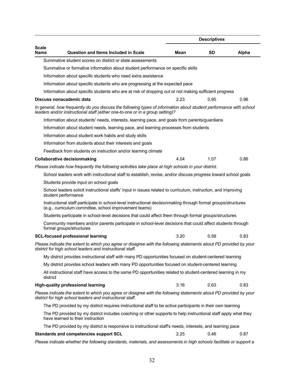|                             |                                                                                                                                                                                                     |      | <b>Descriptives</b> |       |
|-----------------------------|-----------------------------------------------------------------------------------------------------------------------------------------------------------------------------------------------------|------|---------------------|-------|
| <b>Scale</b><br><b>Name</b> | <b>Question and Items Included in Scale</b>                                                                                                                                                         | Mean | <b>SD</b>           | Alpha |
|                             | Summative student scores on district or state assessments                                                                                                                                           |      |                     |       |
|                             | Summative or formative information about student performance on specific skills                                                                                                                     |      |                     |       |
|                             | Information about specific students who need extra assistance                                                                                                                                       |      |                     |       |
|                             | Information about specific students who are progressing at the expected pace                                                                                                                        |      |                     |       |
|                             | Information about specific students who are at risk of dropping out or not making sufficient progress                                                                                               |      |                     |       |
|                             | Discuss nonacademic data                                                                                                                                                                            | 2.23 | 0.95                | 0.96  |
|                             | In general, how frequently do you discuss the following types of information about student performance with school<br>leaders and/or instructional staff (either one-to-one or in a group setting)? |      |                     |       |
|                             | Information about students' needs, interests, learning pace, and goals from parents/guardians                                                                                                       |      |                     |       |
|                             | Information about student needs, learning pace, and learning processes from students                                                                                                                |      |                     |       |
|                             | Information about student work habits and study skills                                                                                                                                              |      |                     |       |
|                             | Information from students about their interests and goals                                                                                                                                           |      |                     |       |
|                             | Feedback from students on instruction and/or learning climate                                                                                                                                       |      |                     |       |
|                             | <b>Collaborative decisionmaking</b>                                                                                                                                                                 | 4.04 | 1.07                | 0.86  |
|                             | Please indicate how frequently the following activities take place at high schools in your district.                                                                                                |      |                     |       |
|                             | School leaders work with instructional staff to establish, revise, and/or discuss progress toward school goals                                                                                      |      |                     |       |
|                             | Students provide input on school goals                                                                                                                                                              |      |                     |       |
|                             | School leaders solicit instructional staffs' input in issues related to curriculum, instruction, and improving<br>student performance                                                               |      |                     |       |
|                             | Instructional staff participate in school-level instructional decisionmaking through formal groups/structures<br>(e.g., curriculum committee, school improvement teams)                             |      |                     |       |
|                             | Students participate in school-level decisions that could affect them through formal groups/structures                                                                                              |      |                     |       |
|                             | Community members and/or parents participate in school-level decisions that could affect students through<br>formal groups/structures                                                               |      |                     |       |
|                             | <b>SCL-focused professional learning</b>                                                                                                                                                            | 3.20 | 0.59                | 0.83  |
|                             | Please indicate the extent to which you agree or disagree with the following statements about PD provided by your<br>district for high school leaders and instructional staff.                      |      |                     |       |
|                             | My district provides instructional staff with many PD opportunities focused on student-centered learning                                                                                            |      |                     |       |
|                             | My district provides school leaders with many PD opportunities focused on student-centered learning                                                                                                 |      |                     |       |
| district                    | All instructional staff have access to the same PD opportunities related to student-centered learning in my                                                                                         |      |                     |       |
|                             | <b>High-quality professional learning</b>                                                                                                                                                           | 3.16 | 0.63                | 0.83  |
|                             | Please indicate the extent to which you agree or disagree with the following statements about PD provided by your<br>district for high school leaders and instructional staff.                      |      |                     |       |
|                             | The PD provided by my district requires instructional staff to be active participants in their own learning                                                                                         |      |                     |       |
|                             | The PD provided by my district includes coaching or other supports to help instructional staff apply what they<br>have learned to their instruction                                                 |      |                     |       |
|                             | The PD provided by my district is responsive to instructional staff's needs, interests, and learning pace                                                                                           |      |                     |       |
|                             | <b>Standards and competencies support SCL</b>                                                                                                                                                       | 2.25 | 0.46                | 0.87  |
|                             | Please indicate whether the following standards, materials, and assessments in high schools facilitate or support a                                                                                 |      |                     |       |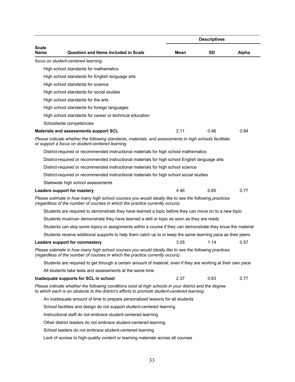|                      |                                                                                                                                                                                                        |      | <b>Descriptives</b> |       |
|----------------------|--------------------------------------------------------------------------------------------------------------------------------------------------------------------------------------------------------|------|---------------------|-------|
| <b>Scale</b><br>Name | <b>Question and Items Included in Scale</b>                                                                                                                                                            | Mean | <b>SD</b>           | Alpha |
|                      | focus on student-centered learning.                                                                                                                                                                    |      |                     |       |
|                      | High school standards for mathematics                                                                                                                                                                  |      |                     |       |
|                      | High school standards for English language arts                                                                                                                                                        |      |                     |       |
|                      | High school standards for science                                                                                                                                                                      |      |                     |       |
|                      | High school standards for social studies                                                                                                                                                               |      |                     |       |
|                      | High school standards for the arts                                                                                                                                                                     |      |                     |       |
|                      | High school standards for foreign languages                                                                                                                                                            |      |                     |       |
|                      | High school standards for career or technical education                                                                                                                                                |      |                     |       |
|                      | Schoolwide competencies                                                                                                                                                                                |      |                     |       |
|                      | Materials and assessments support SCL                                                                                                                                                                  | 2.11 | 0.46                | 0.84  |
|                      | Please indicate whether the following standards, materials, and assessments in high schools facilitate<br>or support a focus on student-centered learning.                                             |      |                     |       |
|                      | District-required or recommended instructional materials for high school mathematics                                                                                                                   |      |                     |       |
|                      | District-required or recommended instructional materials for high school English language arts                                                                                                         |      |                     |       |
|                      | District-required or recommended instructional materials for high school science                                                                                                                       |      |                     |       |
|                      | District-required or recommended instructional materials for high school social studies                                                                                                                |      |                     |       |
|                      | Statewide high school assessments                                                                                                                                                                      |      |                     |       |
|                      | Leaders support for mastery                                                                                                                                                                            | 4.46 | 0.65                | 0.77  |
|                      | Please estimate in how many high school courses you would ideally like to see the following practices<br>(regardless of the number of courses in which the practice currently occurs).                 |      |                     |       |
|                      | Students are required to demonstrate they have learned a topic before they can move on to a new topic                                                                                                  |      |                     |       |
|                      | Students must/can demonstrate they have learned a skill or topic as soon as they are ready                                                                                                             |      |                     |       |
|                      | Students can skip some topics or assignments within a course if they can demonstrate they know the material                                                                                            |      |                     |       |
|                      | Students receive additional supports to help them catch up to or keep the same learning pace as their peers                                                                                            |      |                     |       |
|                      | Leaders support for nonmastery                                                                                                                                                                         | 3.05 | 1.14                | 0.57  |
|                      | Please estimate in how many high school courses you would ideally like to see the following practices<br>(regardless of the number of courses in which the practice currently occurs).                 |      |                     |       |
|                      | Students are required to get through a certain amount of material, even if they are working at their own pace                                                                                          |      |                     |       |
|                      | All students take tests and assessments at the same time                                                                                                                                               |      |                     |       |
|                      | Inadequate supports for SCL in school                                                                                                                                                                  | 2.37 | 0.63                | 0.77  |
|                      | Please indicate whether the following conditions exist at high schools in your district and the degree<br>to which each is an obstacle to the district's efforts to promote student-centered learning. |      |                     |       |
|                      | An inadequate amount of time to prepare personalized lessons for all students                                                                                                                          |      |                     |       |
|                      | School facilities and design do not support student-centered learning                                                                                                                                  |      |                     |       |
|                      | Instructional staff do not embrace student-centered learning                                                                                                                                           |      |                     |       |
|                      | Other district leaders do not embrace student-centered learning                                                                                                                                        |      |                     |       |
|                      | School leaders do not embrace student-centered learning                                                                                                                                                |      |                     |       |
|                      | Lack of access to high-quality content or learning materials across all courses                                                                                                                        |      |                     |       |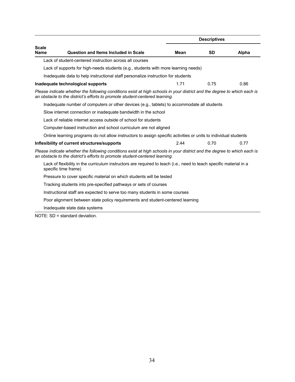|                             |                                                                                                                                                                                                        |             | <b>Descriptives</b> |       |
|-----------------------------|--------------------------------------------------------------------------------------------------------------------------------------------------------------------------------------------------------|-------------|---------------------|-------|
| <b>Scale</b><br><b>Name</b> | <b>Question and Items Included in Scale</b>                                                                                                                                                            | <b>Mean</b> | <b>SD</b>           | Alpha |
|                             | Lack of student-centered instruction across all courses                                                                                                                                                |             |                     |       |
|                             | Lack of supports for high-needs students (e.g., students with more learning needs)                                                                                                                     |             |                     |       |
|                             | Inadequate data to help instructional staff personalize instruction for students                                                                                                                       |             |                     |       |
|                             | Inadequate technological supports                                                                                                                                                                      | 1.71        | 0.75                | 0.86  |
|                             | Please indicate whether the following conditions exist at high schools in your district and the degree to which each is<br>an obstacle to the district's efforts to promote student-centered learning. |             |                     |       |
|                             | Inadequate number of computers or other devices (e.g., tablets) to accommodate all students                                                                                                            |             |                     |       |
|                             | Slow internet connection or inadequate bandwidth in the school                                                                                                                                         |             |                     |       |
|                             | Lack of reliable internet access outside of school for students                                                                                                                                        |             |                     |       |
|                             | Computer-based instruction and school curriculum are not aligned                                                                                                                                       |             |                     |       |
|                             | Online learning programs do not allow instructors to assign specific activities or units to individual students                                                                                        |             |                     |       |
|                             | Inflexibility of current structures/supports                                                                                                                                                           | 2.44        | 0.70                | 0.77  |
|                             | Please indicate whether the following conditions exist at high schools in your district and the degree to which each is<br>an obstacle to the district's efforts to promote student-centered learning. |             |                     |       |
|                             | Lack of flexibility in the curriculum instructors are required to teach (i.e., need to teach specific material in a<br>specific time frame)                                                            |             |                     |       |
|                             | Pressure to cover specific material on which students will be tested                                                                                                                                   |             |                     |       |
|                             | Tracking students into pre-specified pathways or sets of courses                                                                                                                                       |             |                     |       |
|                             | Instructional staff are expected to serve too many students in some courses                                                                                                                            |             |                     |       |
|                             | Poor alignment between state policy requirements and student-centered learning                                                                                                                         |             |                     |       |
|                             | Inadequate state data systems                                                                                                                                                                          |             |                     |       |
|                             | $NOTE: SD = standard deviation.$                                                                                                                                                                       |             |                     |       |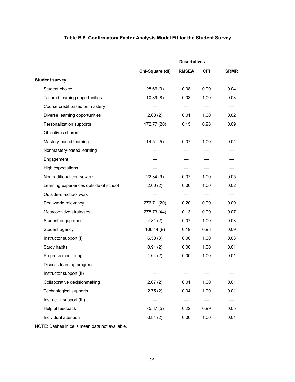|                                        | <b>Descriptives</b> |              |            |             |  |
|----------------------------------------|---------------------|--------------|------------|-------------|--|
|                                        | Chi-Square (df)     | <b>RMSEA</b> | <b>CFI</b> | <b>SRMR</b> |  |
| <b>Student survey</b>                  |                     |              |            |             |  |
| Student choice                         | 28.66(9)            | 0.08         | 0.99       | 0.04        |  |
| Tailored learning opportunities        | 10.89(8)            | 0.03         | 1.00       | 0.03        |  |
| Course credit based on mastery         |                     |              |            |             |  |
| Diverse learning opportunities         | 2.08(2)             | 0.01         | 1.00       | 0.02        |  |
| Personalization supports               | 172.77 (20)         | 0.15         | 0.98       | 0.09        |  |
| Objectives shared                      |                     |              |            |             |  |
| Mastery-based learning                 | 14.51(5)            | 0.07         | 1.00       | 0.04        |  |
| Nonmastery-based learning              |                     |              |            |             |  |
| Engagement                             |                     |              |            |             |  |
| High expectations                      |                     |              |            |             |  |
| Nontraditional coursework              | 22.34(9)            | 0.07         | 1.00       | 0.05        |  |
| Learning experiences outside of school | 2.00(2)             | 0.00         | 1.00       | 0.02        |  |
| Outside-of-school work                 |                     |              |            |             |  |
| Real-world relevancy                   | 276.71 (20)         | 0.20         | 0.99       | 0.09        |  |
| Metacognitive strategies               | 278.73 (44)         | 0.13         | 0.99       | 0.07        |  |
| Student engagement                     | 4.81(2)             | 0.07         | 1.00       | 0.03        |  |
| Student agency                         | 106.44(9)           | 0.19         | 0.98       | 0.09        |  |
| Instructor support (I)                 | 6.58(3)             | 0.06         | 1.00       | 0.03        |  |
| Study habits                           | 0.91(2)             | 0.00         | 1.00       | 0.01        |  |
| Progress monitoring                    | 1.04(2)             | 0.00         | 1.00       | 0.01        |  |
| Discuss learning progress              |                     |              |            |             |  |
| Instructor support (II)                |                     |              |            |             |  |
| Collaborative decisionmaking           | 2.07(2)             | 0.01         | 1.00       | 0.01        |  |
| Technological supports                 | 2.75(2)             | 0.04         | 1.00       | 0.01        |  |
| Instructor support (III)               |                     |              |            |             |  |
| Helpful feedback                       | 75.87 (5)           | 0.22         | 0.99       | 0.05        |  |
| Individual attention                   | 0.84(2)             | 0.00         | 1.00       | 0.01        |  |

## **Table B.5. Confirmatory Factor Analysis Model Fit for the Student Survey**

NOTE: Dashes in cells mean data not available.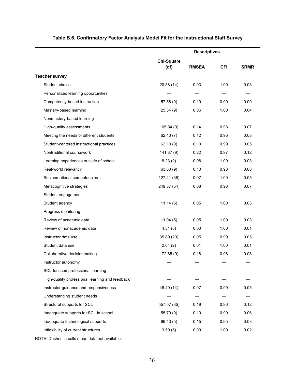|                                                 | <b>Descriptives</b>       |              |            |             |
|-------------------------------------------------|---------------------------|--------------|------------|-------------|
|                                                 | <b>Chi-Square</b><br>(df) | <b>RMSEA</b> | <b>CFI</b> | <b>SRMR</b> |
| <b>Teacher survey</b>                           |                           |              |            |             |
| Student choice                                  | 20.58 (14)                | 0.03         | 1.00       | 0.03        |
| Personalized learning opportunities             |                           |              |            |             |
| Competency-based instruction                    | 57.58(9)                  | 0.10         | 0.99       | 0.09        |
| Mastery-based learning                          | 25.34(9)                  | 0.06         | 1.00       | 0.04        |
| Nonmastery-based learning                       |                           |              |            |             |
| High-quality assessments                        | 105.84(9)                 | 0.14         | 0.98       | 0.07        |
| Meeting the needs of different students         | 62.40(7)                  | 0.12         | 0.96       | 0.08        |
| Student-centered instructional practices        | 62.13(9)                  | 0.10         | 0.99       | 0.05        |
| Nontraditional coursework                       | 141.37 (9)                | 0.22         | 0.97       | 0.12        |
| Learning experiences outside of school          | 8.23(2)                   | 0.08         | 1.00       | 0.03        |
| Real-world relevancy                            | 63.80 (9)                 | 0.10         | 0.98       | 0.08        |
| Socioemotional competencies                     | 127.41 (35)               | 0.07         | 1.00       | 0.05        |
| Metacognitive strategies                        | 249.37 (54)               | 0.08         | 0.98       | 0.07        |
| Student engagement                              |                           |              |            |             |
| Student agency                                  | 11.14(5)                  | 0.05         | 1.00       | 0.03        |
| Progress monitoring                             |                           |              |            |             |
| Review of academic data                         | 11.04(5)                  | 0.05         | 1.00       | 0.03        |
| Review of nonacademic data                      | 4.31(5)                   | 0.00         | 1.00       | 0.01        |
| Instructor data use                             | 35.89 (20)                | 0.05         | 0.99       | 0.05        |
| Student data use                                | 2.04(2)                   | 0.01         | 1.00       | 0.01        |
| Collaborative decisionmaking                    | 172.85(9)                 | 0.18         | 0.98       | 0.08        |
| Instructor autonomy                             |                           |              | —          |             |
| SCL-focused professional learning               |                           |              |            |             |
| High-quality professional learning and feedback |                           |              |            |             |
| Instructor guidance and responsiveness          | 48.40 (14)                | 0.07         | 0.99       | 0.05        |
| Understanding student needs                     |                           |              |            |             |
| Structural supports for SCL                     | 557.57 (35)               | 0.19         | 0.96       | 0.12        |
| Inadequate supports for SCL in school           | 55.79(9)                  | 0.10         | 0.99       | 0.06        |
| Inadequate technological supports               | 66.43 (5)                 | 0.15         | 0.95       | 0.08        |
| Inflexibility of current structures             | 3.59(5)                   | 0.00         | 1.00       | 0.02        |

## **Table B.6. Confirmatory Factor Analysis Model Fit for the Instructional Staff Survey**

NOTE: Dashes in cells mean data not available.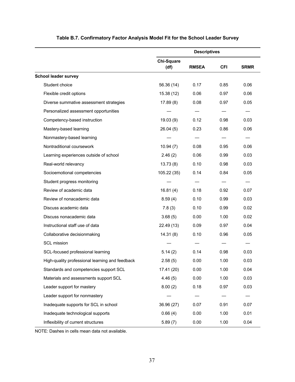|                                                 | <b>Descriptives</b>       |              |            |             |
|-------------------------------------------------|---------------------------|--------------|------------|-------------|
|                                                 | <b>Chi-Square</b><br>(df) | <b>RMSEA</b> | <b>CFI</b> | <b>SRMR</b> |
| <b>School leader survey</b>                     |                           |              |            |             |
| Student choice                                  | 56.36 (14)                | 0.17         | 0.85       | 0.06        |
| Flexible credit options                         | 15.38 (12)                | 0.06         | 0.97       | 0.06        |
| Diverse summative assessment strategies         | 17.89(8)                  | 0.08         | 0.97       | 0.05        |
| Personalized assessment opportunities           |                           |              |            |             |
| Competency-based instruction                    | 19.03(9)                  | 0.12         | 0.98       | 0.03        |
| Mastery-based learning                          | 26.04(5)                  | 0.23         | 0.86       | 0.06        |
| Nonmastery-based learning                       |                           |              |            |             |
| Nontraditional coursework                       | 10.94(7)                  | 0.08         | 0.95       | 0.06        |
| Learning experiences outside of school          | 2.46(2)                   | 0.06         | 0.99       | 0.03        |
| Real-world relevancy                            | 13.73(8)                  | 0.10         | 0.98       | 0.03        |
| Socioemotional competencies                     | 105.22 (35)               | 0.14         | 0.84       | 0.05        |
| Student progress monitoring                     |                           |              |            |             |
| Review of academic data                         | 16.81(4)                  | 0.18         | 0.92       | 0.07        |
| Review of nonacademic data                      | 8.59(4)                   | 0.10         | 0.99       | 0.03        |
| Discuss academic data                           | 7.8(3)                    | 0.10         | 0.99       | 0.02        |
| Discuss nonacademic data                        | 3.68(5)                   | 0.00         | 1.00       | 0.02        |
| Instructional staff use of data                 | 22.49 (13)                | 0.09         | 0.97       | 0.04        |
| Collaborative decisionmaking                    | 14.31(8)                  | 0.10         | 0.96       | 0.05        |
| <b>SCL mission</b>                              |                           |              |            |             |
| SCL-focused professional learning               | 5.14(2)                   | 0.14         | 0.98       | 0.03        |
| High-quality professional learning and feedback | 2.58(5)                   | 0.00         | 1.00       | 0.03        |
| Standards and competencies support SCL          | 17.41 (20)                | 0.00         | 1.00       | 0.04        |
| Materials and assessments support SCL           | 4.46(5)                   | 0.00         | 1.00       | 0.03        |
| Leader support for mastery                      | 8.00(2)                   | 0.18         | 0.97       | 0.03        |
| Leader support for nonmastery                   |                           |              |            |             |
| Inadequate supports for SCL in school           | 36.96 (27)                | 0.07         | 0.91       | 0.07        |
| Inadequate technological supports               | 0.66(4)                   | 0.00         | 1.00       | 0.01        |
| Inflexibility of current structures             | 5.89(7)                   | 0.00         | 1.00       | 0.04        |

## **Table B.7. Confirmatory Factor Analysis Model Fit for the School Leader Survey**

NOTE: Dashes in cells mean data not available.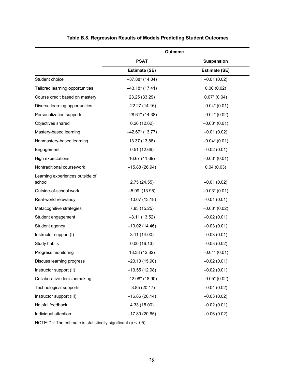|                                           | <b>Outcome</b>       |                      |
|-------------------------------------------|----------------------|----------------------|
|                                           | <b>PSAT</b>          | <b>Suspension</b>    |
|                                           | <b>Estimate (SE)</b> | <b>Estimate (SE)</b> |
| Student choice                            | $-37.88*$ (14.04)    | $-0.01(0.02)$        |
| Tailored learning opportunities           | $-43.18*(17.41)$     | 0.00(0.02)           |
| Course credit based on mastery            | 23.25 (33.29)        | $0.07*$ (0.04)       |
| Diverse learning opportunities            | $-22.27(14.16)$      | $-0.04*(0.01)$       |
| Personalization supports                  | $-28.61*$ (14.38)    | $-0.04*(0.02)$       |
| Objectives shared                         | 0.20(12.62)          | $-0.03*(0.01)$       |
| Mastery-based learning                    | $-42.67*$ (13.77)    | $-0.01(0.02)$        |
| Nonmastery-based learning                 | 13.37 (13.88)        | $-0.04*(0.01)$       |
| Engagement                                | 0.51(12.66)          | $-0.02(0.01)$        |
| High expectations                         | 16.67 (11.69)        | $-0.03*(0.01)$       |
| Nontraditional coursework                 | $-15.88(26.94)$      | 0.04(0.03)           |
| Learning experiences outside of<br>school | 2.75(24.55)          | $-0.01(0.02)$        |
| Outside-of-school work                    | $-5.99(13.95)$       | $-0.03*(0.01)$       |
| Real-world relevancy                      | $-10.67(13.18)$      | $-0.01(0.01)$        |
| Metacognitive strategies                  | 7.83 (15.25)         | $-0.03*(0.02)$       |
| Student engagement                        | $-3.11(13.52)$       | $-0.02(0.01)$        |
| Student agency                            | $-10.02(14.46)$      | $-0.03(0.01)$        |
| Instructor support (I)                    | 3.11(14.00)          | $-0.03(0.01)$        |
| Study habits                              | 0.00(16.13)          | $-0.03(0.02)$        |
| Progress monitoring                       | 18.38 (12.82)        | $-0.04*(0.01)$       |
| Discuss learning progress                 | $-20.10(15.90)$      | $-0.02(0.01)$        |
| Instructor support (II)                   | $-13.55(12.98)$      | $-0.02(0.01)$        |
| Collaborative decisionmaking              | $-42.08*(18.90)$     | $-0.05*$ (0.02)      |
| Technological supports                    | $-3.85(20.17)$       | $-0.04(0.02)$        |
| Instructor support (III)                  | $-16.86(20.14)$      | $-0.03(0.02)$        |
| Helpful feedback                          | 4.33 (15.00)         | $-0.02(0.01)$        |
| Individual attention                      | $-17.80(20.65)$      | $-0.06(0.02)$        |

## **Table B.8. Regression Results of Models Predicting Student Outcomes**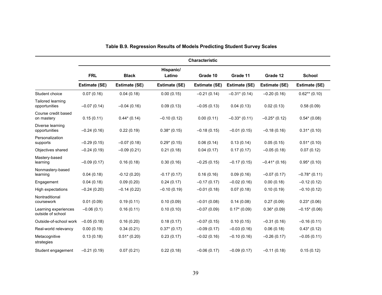|                                           |               |                      |                     | <b>Characteristic</b> |                      |                      |                 |
|-------------------------------------------|---------------|----------------------|---------------------|-----------------------|----------------------|----------------------|-----------------|
|                                           | <b>FRL</b>    | <b>Black</b>         | Hispanic/<br>Latino | Grade 10              | Grade 11             | Grade 12             | <b>School</b>   |
|                                           | Estimate (SE) | <b>Estimate (SE)</b> | Estimate (SE)       | Estimate (SE)         | <b>Estimate (SE)</b> | <b>Estimate (SE)</b> | Estimate (SE)   |
| Student choice                            | 0.07(0.16)    | 0.04(0.18)           | 0.00(0.15)          | $-0.21(0.14)$         | $-0.31$ * (0.14)     | $-0.20(0.16)$        | $0.62**$ (0.10) |
| Tailored learning<br>opportunities        | $-0.07(0.14)$ | $-0.04(0.16)$        | 0.09(0.13)          | $-0.05(0.13)$         | 0.04(0.13)           | 0.02(0.13)           | 0.58(0.09)      |
| Course credit based<br>on mastery         | 0.15(0.11)    | $0.44*(0.14)$        | $-0.10(0.12)$       | 0.00(0.11)            | $-0.33*(0.11)$       | $-0.25*(0.12)$       | $0.54*(0.08)$   |
| Diverse learning<br>opportunities         | $-0.24(0.16)$ | 0.22(0.19)           | $0.38*(0.15)$       | $-0.18(0.15)$         | $-0.01(0.15)$        | $-0.18(0.16)$        | $0.31*(0.10)$   |
| Personalization<br>supports               | $-0.29(0.15)$ | $-0.07(0.18)$        | $0.29*(0.15)$       | 0.06(0.14)            | 0.13(0.14)           | 0.05(0.15)           | $0.51*(0.10)$   |
| Objectives shared                         | $-0.24(0.19)$ | $-0.09(0.21)$        | 0.21(0.18)          | 0.04(0.17)            | 0.17(0.17)           | $-0.05(0.18)$        | 0.07(0.12)      |
| Mastery-based<br>learning                 | $-0.09(0.17)$ | 0.16(0.18)           | 0.30(0.16)          | $-0.25(0.15)$         | $-0.17(0.15)$        | $-0.41$ * (0.16)     | $0.95*(0.10)$   |
| Nonmastery-based<br>learning              | 0.04(0.18)    | $-0.12(0.20)$        | $-0.17(0.17)$       | 0.16(0.16)            | 0.09(0.16)           | $-0.07(0.17)$        | $-0.78*(0.11)$  |
| Engagement                                | 0.04(0.18)    | 0.09(0.20)           | 0.24(0.17)          | $-0.17(0.17)$         | $-0.02(0.16)$        | 0.00(0.18)           | $-0.12(0.12)$   |
| High expectations                         | $-0.24(0.20)$ | $-0.14(0.22)$        | $-0.10(0.19)$       | $-0.01(0.18)$         | 0.07(0.18)           | 0.10(0.19)           | $-0.10(0.12)$   |
| Nontraditional<br>coursework              | 0.01(0.09)    | 0.19(0.11)           | 0.10(0.09)          | $-0.01(0.08)$         | 0.14(0.08)           | 0.27(0.09)           | $0.23*(0.06)$   |
| Learning experiences<br>outside of school | $-0.06(0.1)$  | 0.16(0.11)           | 0.10(0.10)          | $-0.07(0.09)$         | $0.17*(0.09)$        | $0.36*(0.09)$        | $-0.15*(0.06)$  |
| Outside-of-school work                    | $-0.05(0.18)$ | 0.16(0.20)           | 0.18(0.17)          | $-0.07(0.15)$         | 0.10(0.15)           | $-0.31(0.16)$        | $-0.16(0.11)$   |
| Real-world relevancy                      | 0.00(0.19)    | 0.34(0.21)           | $0.37*(0.17)$       | $-0.09(0.17)$         | $-0.03(0.16)$        | 0.06(0.18)           | $0.43*(0.12)$   |
| Metacognitive<br>strategies               | 0.13(0.18)    | $0.51*(0.20)$        | 0.23(0.17)          | $-0.02(0.16)$         | $-0.10(0.16)$        | $-0.26(0.17)$        | $-0.05(0.11)$   |
| Student engagement                        | $-0.21(0.19)$ | 0.07(0.21)           | 0.22(0.18)          | $-0.06(0.17)$         | $-0.09(0.17)$        | $-0.11(0.18)$        | 0.15(0.12)      |

## **Table B.9. Regression Results of Models Predicting Student Survey Scales**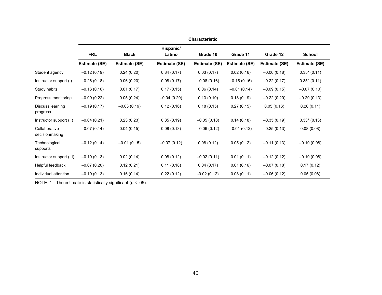|                                 |               |               |                     | <b>Characteristic</b> |                      |               |                      |
|---------------------------------|---------------|---------------|---------------------|-----------------------|----------------------|---------------|----------------------|
|                                 | <b>FRL</b>    | <b>Black</b>  | Hispanic/<br>Latino | Grade 10              | Grade 11             | Grade 12      | <b>School</b>        |
|                                 | Estimate (SE) | Estimate (SE) | Estimate (SE)       | <b>Estimate (SE)</b>  | <b>Estimate (SE)</b> | Estimate (SE) | <b>Estimate (SE)</b> |
| Student agency                  | $-0.12(0.19)$ | 0.24(0.20)    | 0.34(0.17)          | 0.03(0.17)            | 0.02(0.16)           | $-0.06(0.18)$ | $0.35*(0.11)$        |
| Instructor support (I)          | $-0.26(0.18)$ | 0.06(0.20)    | 0.08(0.17)          | $-0.08(0.16)$         | $-0.15(0.16)$        | $-0.22(0.17)$ | $0.35*(0.11)$        |
| Study habits                    | $-0.16(0.16)$ | 0.01(0.17)    | 0.17(0.15)          | 0.06(0.14)            | $-0.01(0.14)$        | $-0.09(0.15)$ | $-0.07(0.10)$        |
| Progress monitoring             | $-0.09(0.22)$ | 0.05(0.24)    | $-0.04(0.20)$       | 0.13(0.19)            | 0.18(0.19)           | $-0.22(0.20)$ | $-0.20(0.13)$        |
| Discuss learning<br>progress    | $-0.19(0.17)$ | $-0.03(0.19)$ | 0.12(0.16)          | 0.18(0.15)            | 0.27(0.15)           | 0.05(0.16)    | 0.20(0.11)           |
| Instructor support (II)         | $-0.04(0.21)$ | 0.23(0.23)    | 0.35(0.19)          | $-0.05(0.18)$         | 0.14(0.18)           | $-0.35(0.19)$ | $0.33*(0.13)$        |
| Collaborative<br>decisionmaking | $-0.07(0.14)$ | 0.04(0.15)    | 0.08(0.13)          | $-0.06(0.12)$         | $-0.01(0.12)$        | $-0.25(0.13)$ | 0.08(0.08)           |
| Technological<br>supports       | $-0.12(0.14)$ | $-0.01(0.15)$ | $-0.07(0.12)$       | 0.08(0.12)            | 0.05(0.12)           | $-0.11(0.13)$ | $-0.10(0.08)$        |
| Instructor support (III)        | $-0.10(0.13)$ | 0.02(0.14)    | 0.08(0.12)          | $-0.02(0.11)$         | 0.01(0.11)           | $-0.12(0.12)$ | $-0.10(0.08)$        |
| Helpful feedback                | $-0.07(0.20)$ | 0.12(0.21)    | 0.11(0.18)          | 0.04(0.17)            | 0.01(0.16)           | $-0.07(0.18)$ | 0.17(0.12)           |
| Individual attention            | $-0.19(0.13)$ | 0.16(0.14)    | 0.22(0.12)          | $-0.02(0.12)$         | 0.08(0.11)           | $-0.06(0.12)$ | 0.05(0.08)           |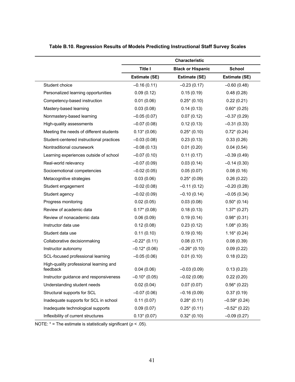|                                                    |                | Characteristic           |                      |
|----------------------------------------------------|----------------|--------------------------|----------------------|
|                                                    | <b>Title I</b> | <b>Black or Hispanic</b> | <b>School</b>        |
|                                                    | Estimate (SE)  | Estimate (SE)            | <b>Estimate (SE)</b> |
| Student choice                                     | $-0.16(0.11)$  | $-0.23(0.17)$            | $-0.60(0.48)$        |
| Personalized learning opportunities                | 0.09(0.12)     | 0.15(0.19)               | 0.48(0.28)           |
| Competency-based instruction                       | 0.01(0.06)     | $0.25*(0.10)$            | 0.22(0.21)           |
| Mastery-based learning                             | 0.03(0.08)     | 0.14(0.13)               | $0.60*(0.25)$        |
| Nonmastery-based learning                          | $-0.05(0.07)$  | 0.07(0.12)               | $-0.37(0.29)$        |
| High-quality assessments                           | $-0.07(0.08)$  | 0.12(0.13)               | $-0.31(0.33)$        |
| Meeting the needs of different students            | $0.13*(0.06)$  | $0.25*(0.10)$            | $0.72*(0.24)$        |
| Student-centered instructional practices           | $-0.03(0.08)$  | 0.23(0.13)               | 0.33(0.26)           |
| Nontraditional coursework                          | $-0.08(0.13)$  | 0.01(0.20)               | 0.04(0.54)           |
| Learning experiences outside of school             | $-0.07(0.10)$  | 0.11(0.17)               | $-0.39(0.49)$        |
| Real-world relevancy                               | $-0.07(0.09)$  | 0.03(0.14)               | $-0.14(0.30)$        |
| Socioemotional competencies                        | $-0.02(0.05)$  | 0.05(0.07)               | 0.08(0.16)           |
| Metacognitive strategies                           | 0.03(0.06)     | $0.25*(0.09)$            | 0.26(0.22)           |
| Student engagement                                 | $-0.02(0.08)$  | $-0.11(0.12)$            | $-0.20(0.28)$        |
| Student agency                                     | $-0.02(0.09)$  | $-0.10(0.14)$            | $-0.05(0.34)$        |
| Progress monitoring                                | 0.02(0.05)     | 0.03(0.08)               | $0.50*(0.14)$        |
| Review of academic data                            | $0.17*(0.08)$  | 0.18(0.13)               | $1.37*(0.27)$        |
| Review of nonacademic data                         | 0.06(0.09)     | 0.19(0.14)               | $0.98*(0.31)$        |
| Instructor data use                                | 0.12(0.08)     | 0.23(0.12)               | $1.08*(0.35)$        |
| Student data use                                   | 0.11(0.10)     | 0.19(0.16)               | $1.16*(0.24)$        |
| Collaborative decisionmaking                       | $-0.22*(0.11)$ | 0.08(0.17)               | 0.08(0.39)           |
| Instructor autonomy                                | $-0.12*(0.06)$ | $-0.26*(0.10)$           | 0.09(0.22)           |
| SCL-focused professional learning                  | $-0.05(0.06)$  | 0.01(0.10)               | 0.18(0.22)           |
| High-quality professional learning and<br>feedback | 0.04(0.06)     | $-0.03(0.09)$            | 0.13(0.23)           |
| Instructor guidance and responsiveness             | $-0.10*(0.05)$ | $-0.02(0.08)$            | 0.22(0.20)           |
| Understanding student needs                        | 0.02(0.04)     | 0.07(0.07)               | $0.56*(0.22)$        |
| Structural supports for SCL                        | $-0.07(0.06)$  | $-0.16(0.09)$            | 0.37(0.19)           |
| Inadequate supports for SCL in school              | 0.11(0.07)     | $0.28*(0.11)$            | $-0.59*(0.24)$       |
| Inadequate technological supports                  | 0.09(0.07)     | $0.25*(0.11)$            | $-0.52*(0.22)$       |
| Inflexibility of current structures                | $0.13*(0.07)$  | $0.32*(0.10)$            | $-0.09(0.27)$        |

## **Table B.10. Regression Results of Models Predicting Instructional Staff Survey Scales**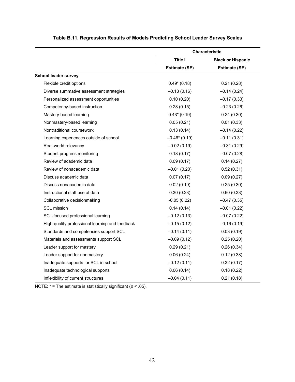|                                                 |                | <b>Characteristic</b>    |
|-------------------------------------------------|----------------|--------------------------|
|                                                 | <b>Title I</b> | <b>Black or Hispanic</b> |
|                                                 | Estimate (SE)  | Estimate (SE)            |
| <b>School leader survey</b>                     |                |                          |
| Flexible credit options                         | $0.49*(0.18)$  | 0.21(0.28)               |
| Diverse summative assessment strategies         | $-0.13(0.16)$  | $-0.14(0.24)$            |
| Personalized assessment opportunities           | 0.10(0.20)     | $-0.17(0.33)$            |
| Competency-based instruction                    | 0.28(0.15)     | $-0.23(0.26)$            |
| Mastery-based learning                          | $0.43*(0.19)$  | 0.24(0.30)               |
| Nonmastery-based learning                       | 0.05(0.21)     | 0.01(0.33)               |
| Nontraditional coursework                       | 0.13(0.14)     | $-0.14(0.22)$            |
| Learning experiences outside of school          | $-0.46*(0.19)$ | $-0.11(0.31)$            |
| Real-world relevancy                            | $-0.02(0.19)$  | $-0.31(0.29)$            |
| Student progress monitoring                     | 0.18(0.17)     | $-0.07(0.28)$            |
| Review of academic data                         | 0.09(0.17)     | 0.14(0.27)               |
| Review of nonacademic data                      | $-0.01(0.20)$  | 0.52(0.31)               |
| Discuss academic data                           | 0.07(0.17)     | 0.09(0.27)               |
| Discuss nonacademic data                        | 0.02(0.19)     | 0.25(0.30)               |
| Instructional staff use of data                 | 0.30(0.23)     | 0.60(0.33)               |
| Collaborative decisionmaking                    | $-0.05(0.22)$  | $-0.47(0.35)$            |
| <b>SCL mission</b>                              | 0.14(0.14)     | $-0.01(0.22)$            |
| SCL-focused professional learning               | $-0.12(0.13)$  | $-0.07(0.22)$            |
| High-quality professional learning and feedback | $-0.15(0.12)$  | $-0.16(0.19)$            |
| Standards and competencies support SCL          | $-0.14(0.11)$  | 0.03(0.19)               |
| Materials and assessments support SCL           | $-0.09(0.12)$  | 0.25(0.20)               |
| Leader support for mastery                      | 0.29(0.21)     | 0.26(0.34)               |
| Leader support for nonmastery                   | 0.06(0.24)     | 0.12(0.38)               |
| Inadequate supports for SCL in school           | $-0.12(0.11)$  | 0.32(0.17)               |
| Inadequate technological supports               | 0.06(0.14)     | 0.18(0.22)               |
| Inflexibility of current structures             | $-0.04(0.11)$  | 0.21(0.18)               |

## **Table B.11. Regression Results of Models Predicting School Leader Survey Scales**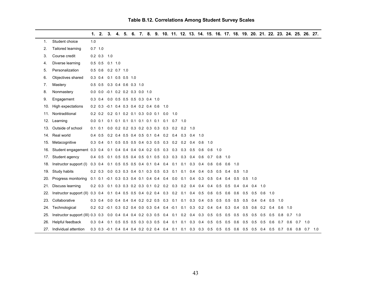|     |                                                                                                                      | 1.  | 2.              | 3.                                          | 4. | 5. |  |  |                                                     |     |     |                                                                   |                |     | 6. 7. 8. 9. 10. 11. 12. 13. 14. 15. 16. 17. 18. 19. 20. 21. 22. 23. 24. 25. 26. 27.                          |                |           |                       |                   |           |  |
|-----|----------------------------------------------------------------------------------------------------------------------|-----|-----------------|---------------------------------------------|----|----|--|--|-----------------------------------------------------|-----|-----|-------------------------------------------------------------------|----------------|-----|--------------------------------------------------------------------------------------------------------------|----------------|-----------|-----------------------|-------------------|-----------|--|
| 1.  | Student choice                                                                                                       | 1.0 |                 |                                             |    |    |  |  |                                                     |     |     |                                                                   |                |     |                                                                                                              |                |           |                       |                   |           |  |
| 2.  | Tailored learning                                                                                                    |     | $0.7$ 1.0       |                                             |    |    |  |  |                                                     |     |     |                                                                   |                |     |                                                                                                              |                |           |                       |                   |           |  |
| 3.  | Course credit                                                                                                        |     |                 | $0.2$ 0.3 1.0                               |    |    |  |  |                                                     |     |     |                                                                   |                |     |                                                                                                              |                |           |                       |                   |           |  |
| 4.  | Diverse learning                                                                                                     |     | $0.5 \quad 0.5$ | $0.1$ 1.0                                   |    |    |  |  |                                                     |     |     |                                                                   |                |     |                                                                                                              |                |           |                       |                   |           |  |
| 5.  | Personalization                                                                                                      |     | $0.5\ 0.6$      | $0.2$ 0.7 1.0                               |    |    |  |  |                                                     |     |     |                                                                   |                |     |                                                                                                              |                |           |                       |                   |           |  |
| 6.  | Objectives shared                                                                                                    |     |                 | 0.3 0.4 0.1 0.5 0.5 1.0                     |    |    |  |  |                                                     |     |     |                                                                   |                |     |                                                                                                              |                |           |                       |                   |           |  |
| 7.  | Mastery                                                                                                              |     |                 | 0.5 0.5 0.3 0.4 0.6 0.3 1.0                 |    |    |  |  |                                                     |     |     |                                                                   |                |     |                                                                                                              |                |           |                       |                   |           |  |
| 8.  | Nonmastery                                                                                                           |     |                 | 0.0 0.0 -0.1 0.2 0.2 0.3 0.0 1.0            |    |    |  |  |                                                     |     |     |                                                                   |                |     |                                                                                                              |                |           |                       |                   |           |  |
| 9.  | Engagement                                                                                                           |     |                 | 0.3 0.4 0.0 0.5 0.5 0.5 0.3 0.4 1.0         |    |    |  |  |                                                     |     |     |                                                                   |                |     |                                                                                                              |                |           |                       |                   |           |  |
| 10. | High expectations                                                                                                    |     |                 | 0.2 0.3 -0.1 0.4 0.3 0.4 0.2 0.4 0.6 1.0    |    |    |  |  |                                                     |     |     |                                                                   |                |     |                                                                                                              |                |           |                       |                   |           |  |
| 11. | Nontraditional                                                                                                       |     |                 | 0.2 0.2 0.2 0.1 0.2 0.1 0.3 0.0 0.1 0.0 1.0 |    |    |  |  |                                                     |     |     |                                                                   |                |     |                                                                                                              |                |           |                       |                   |           |  |
|     | 12. Learning                                                                                                         |     | $0.0 \quad 0.1$ |                                             |    |    |  |  | 0.1 0.1 0.1 0.1 0.1 0.1 0.1 0.1 0.7 1.0             |     |     |                                                                   |                |     |                                                                                                              |                |           |                       |                   |           |  |
| 13. | Outside of school                                                                                                    |     |                 |                                             |    |    |  |  | 0.1 0.1 0.0 0.2 0.2 0.3 0.2 0.3 0.3 0.3 0.2 0.2 1.0 |     |     |                                                                   |                |     |                                                                                                              |                |           |                       |                   |           |  |
|     | 14. Real world                                                                                                       |     | $0.4 \quad 0.5$ |                                             |    |    |  |  | 0.2 0.4 0.5 0.4 0.5 0.1 0.4 0.2 0.4 0.3 0.4 1.0     |     |     |                                                                   |                |     |                                                                                                              |                |           |                       |                   |           |  |
| 15. | Metacognitive                                                                                                        |     | $0.3 \ 0.4$     |                                             |    |    |  |  | 0.1 0.5 0.5 0.5 0.4 0.3 0.5 0.3 0.2 0.2 0.4         |     |     | $0.6$ 1.0                                                         |                |     |                                                                                                              |                |           |                       |                   |           |  |
| 16. | Student engagement 0.3 0.4 0.1 0.4 0.4 0.4 0.4 0.2 0.5 0.3 0.3 0.3 0.5 0.6                                           |     |                 |                                             |    |    |  |  |                                                     |     |     |                                                                   | $0.6$ 1.0      |     |                                                                                                              |                |           |                       |                   |           |  |
| 17. | Student agency                                                                                                       |     | $0.4 \quad 0.5$ |                                             |    |    |  |  |                                                     |     |     | 0.1 0.5 0.5 0.4 0.5 0.1 0.5 0.3 0.3 0.3 0.4 0.6 0.7 0.8 1.0       |                |     |                                                                                                              |                |           |                       |                   |           |  |
| 18. | Instructor support (I) 0.3 0.4                                                                                       |     |                 |                                             |    |    |  |  | 0.1 0.5 0.5 0.5 0.4 0.1 0.4 0.4 0.1                 | 0.1 | 0.3 | 0.4                                                               | $0.6\quad 0.6$ |     | $0.6$ 1.0                                                                                                    |                |           |                       |                   |           |  |
| 19. | Study habits                                                                                                         |     |                 |                                             |    |    |  |  |                                                     |     |     | 0.2 0.3 0.0 0.3 0.3 0.4 0.1 0.3 0.5 0.3 0.1 0.1 0.4 0.4 0.5 0.5   |                |     | 0.4 0.5 1.0                                                                                                  |                |           |                       |                   |           |  |
| 20. | Progress monitoring 0.1 0.1 -0.1 0.3 0.3 0.4 0.1 0.4 0.4 0.4 0.0 0.1 0.4 0.3 0.5 0.4                                 |     |                 |                                             |    |    |  |  |                                                     |     |     |                                                                   |                |     | $0.4\quad 0.5$                                                                                               | $0.5$ 1.0      |           |                       |                   |           |  |
| 21. | Discuss learning                                                                                                     |     | $0.2 \quad 0.3$ |                                             |    |    |  |  |                                                     |     |     | 0.1 0.3 0.3 0.2 0.3 0.1 0.2 0.2 0.3 0.2 0.4 0.4 0.4 0.5           |                |     | $0.5 \quad 0.4$                                                                                              | 0.4            | $0.4$ 1.0 |                       |                   |           |  |
| 22. | Instructor support (II) 0.3 0.4 0.1 0.4 0.5 0.5 0.4 0.2 0.4 0.3 0.2 0.1 0.4 0.5 0.6 0.5 0.6 0.5 0.5 0.5 0.6 1.0      |     |                 |                                             |    |    |  |  |                                                     |     |     |                                                                   |                |     |                                                                                                              |                |           |                       |                   |           |  |
| 23. | Collaborative                                                                                                        |     | $0.3 \quad 0.4$ |                                             |    |    |  |  |                                                     |     |     | 0.0 0.4 0.4 0.4 0.2 0.2 0.5 0.3 0.1 0.1 0.3 0.4 0.5 0.5           |                |     | $0.5 \quad 0.5$                                                                                              |                |           | $0.5$ 0.4 0.4 0.5 1.0 |                   |           |  |
| 24. | Technological                                                                                                        |     |                 |                                             |    |    |  |  |                                                     |     |     | 0.2 0.2 -0.1 0.3 0.2 0.4 0.0 0.3 0.4 0.4 -0.1 0.1 0.3 0.2 0.4 0.4 |                |     | $0.3$ 0.4 0.5 0.6                                                                                            |                |           | $0.2 \quad 0.4$       | $0.6$ 1.0         |           |  |
| 25. | Instructor support (III) 0.3 0.3 0.0 0.4 0.4 0.4 0.2 0.3 0.5 0.4 0.1 0.2 0.4 0.3 0.5 0.5 0.5 0.5 0.5 0.5 0.5 0.5 0.8 |     |                 |                                             |    |    |  |  |                                                     |     |     |                                                                   |                |     |                                                                                                              |                |           |                       |                   | $0.7$ 1.0 |  |
| 26. | Helpful feedback                                                                                                     |     | $0.3 \quad 0.4$ |                                             |    |    |  |  |                                                     |     |     | 0.1 0.5 0.5 0.5 0.3 0.3 0.5 0.4 0.1 0.1 0.3 0.4 0.5 0.5           |                | 0.5 | 0.6                                                                                                          | $0.5\quad 0.5$ |           | $0.5\quad 0.6$        | $0.7$ 0.6 0.7 1.0 |           |  |
|     | 27. Individual attention                                                                                             |     |                 |                                             |    |    |  |  |                                                     |     |     |                                                                   |                |     | 0.3 0.3 -0.1 0.4 0.4 0.4 0.2 0.2 0.4 0.4 0.1 0.1 0.3 0.3 0.5 0.5 0.5 0.6 0.5 0.5 0.4 0.5 0.7 0.6 0.8 0.7 1.0 |                |           |                       |                   |           |  |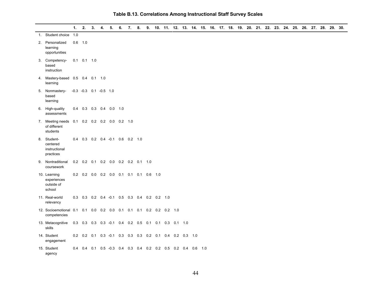|                                                                                    | 1. | 2.                                                       | 3. | 4. | 5. | 6. | 7. | 8. |  |  | 9. 10. 11. 12. 13. 14. 15. 16. 17. 18. 19. 20. 21. 22. 23. 24. 25. 26. 27. 28. 29. 30. |  |  |  |  |  |  |  |  |
|------------------------------------------------------------------------------------|----|----------------------------------------------------------|----|----|----|----|----|----|--|--|----------------------------------------------------------------------------------------|--|--|--|--|--|--|--|--|
| 1. Student choice 1.0                                                              |    |                                                          |    |    |    |    |    |    |  |  |                                                                                        |  |  |  |  |  |  |  |  |
| 2. Personalized<br>learning<br>opportunities                                       |    | $0.6$ 1.0                                                |    |    |    |    |    |    |  |  |                                                                                        |  |  |  |  |  |  |  |  |
| 3. Competency-<br>based<br>instruction                                             |    | $0.1$ 0.1 1.0                                            |    |    |    |    |    |    |  |  |                                                                                        |  |  |  |  |  |  |  |  |
| 4. Mastery-based 0.5 0.4 0.1 1.0<br>learning                                       |    |                                                          |    |    |    |    |    |    |  |  |                                                                                        |  |  |  |  |  |  |  |  |
| 5. Nonmastery-<br>based<br>learning                                                |    | $-0.3$ $-0.3$ 0.1 $-0.5$ 1.0                             |    |    |    |    |    |    |  |  |                                                                                        |  |  |  |  |  |  |  |  |
| 6. High-quality<br>assessments                                                     |    | 0.4 0.3 0.3 0.4 0.0 1.0                                  |    |    |    |    |    |    |  |  |                                                                                        |  |  |  |  |  |  |  |  |
| 7. Meeting needs 0.1 0.2 0.2 0.2 0.0 0.2 1.0<br>of different<br>students           |    |                                                          |    |    |    |    |    |    |  |  |                                                                                        |  |  |  |  |  |  |  |  |
| 8. Student-<br>centered<br>instructional<br>practices                              |    | 0.4 0.3 0.2 0.4 -0.1 0.6 0.2 1.0                         |    |    |    |    |    |    |  |  |                                                                                        |  |  |  |  |  |  |  |  |
| 9. Nontraditional<br>coursework                                                    |    | 0.2 0.2 0.1 0.2 0.0 0.2 0.2 0.1 1.0                      |    |    |    |    |    |    |  |  |                                                                                        |  |  |  |  |  |  |  |  |
| 10. Learning<br>experiences<br>outside of<br>school                                |    | 0.2 0.2 0.0 0.2 0.0 0.1 0.1 0.1 0.6 1.0                  |    |    |    |    |    |    |  |  |                                                                                        |  |  |  |  |  |  |  |  |
| 11. Real-world<br>relevancy                                                        |    | 0.3 0.3 0.2 0.4 -0.1 0.5 0.3 0.4 0.2 0.2 1.0             |    |    |    |    |    |    |  |  |                                                                                        |  |  |  |  |  |  |  |  |
| 12. Socioemotional 0.1 0.1 0.0 0.2 0.0 0.1 0.1 0.1 0.2 0.2 0.2 1.0<br>competencies |    |                                                          |    |    |    |    |    |    |  |  |                                                                                        |  |  |  |  |  |  |  |  |
| 13. Metacognitive<br>skills                                                        |    | 0.3 0.3 0.3 0.3 -0.1 0.4 0.2 0.5 0.1 0.1 0.3 0.1 1.0     |    |    |    |    |    |    |  |  |                                                                                        |  |  |  |  |  |  |  |  |
| 14. Student<br>engagement                                                          |    | 0.2 0.2 0.1 0.3 -0.1 0.3 0.3 0.3 0.2 0.1 0.4 0.2 0.3 1.0 |    |    |    |    |    |    |  |  |                                                                                        |  |  |  |  |  |  |  |  |
| 15. Student<br>agency                                                              |    |                                                          |    |    |    |    |    |    |  |  | 0.4 0.4 0.1 0.5 -0.3 0.4 0.3 0.4 0.2 0.2 0.5 0.2 0.4 0.6 1.0                           |  |  |  |  |  |  |  |  |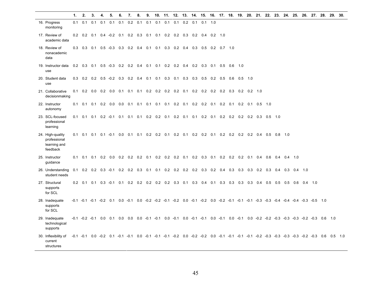|                                                              | 1.  | 2.                    | 3.  | 4.              | 5.                | 6.              | 7.                                 | 8.  | 9.  |     |                         | 10. 11. 12. 13. 14. 15. 16. 17. 18. 19. 20. 21. 22. 23. 24. 25. 26. 27. 28. 29. 30.                                                   |     |                   |                 |                 |           |                                             |                   |     |                |               |               |           |               |  |
|--------------------------------------------------------------|-----|-----------------------|-----|-----------------|-------------------|-----------------|------------------------------------|-----|-----|-----|-------------------------|---------------------------------------------------------------------------------------------------------------------------------------|-----|-------------------|-----------------|-----------------|-----------|---------------------------------------------|-------------------|-----|----------------|---------------|---------------|-----------|---------------|--|
| 16. Progress<br>monitoring                                   | 0.1 | 0.1                   | 0.1 | 0.1             | 0.1               | 0.1             | 0.2                                | 0.1 | 0.1 | 0.1 | 0.1                     | 0.1                                                                                                                                   | 0.2 | 0.1               | 0.1             | 1.0             |           |                                             |                   |     |                |               |               |           |               |  |
| 17. Review of<br>academic data                               |     | $0.2 \quad 0.2$       | 0.1 |                 |                   | $0.4 - 0.2$ 0.1 |                                    |     |     |     | 0.2 0.3 0.1 0.1 0.2 0.2 |                                                                                                                                       | 0.3 |                   | $0.2 \quad 0.4$ | $0.2$ 1.0       |           |                                             |                   |     |                |               |               |           |               |  |
| 18. Review of<br>nonacademic<br>data                         |     |                       |     |                 |                   |                 | 0.3 0.3 0.1 0.5 -0.3 0.3 0.2 0.4   |     |     |     |                         | 0.1 0.1 0.3 0.2 0.4 0.3 0.5 0.2 0.7 1.0                                                                                               |     |                   |                 |                 |           |                                             |                   |     |                |               |               |           |               |  |
| 19. Instructor data<br>use                                   |     | $0.2$ 0.3 0.1         |     |                 | $0.5 - 0.3$       | 0.2             | 0.2                                | 0.4 | 0.1 |     |                         | $0.1$ 0.2 0.2                                                                                                                         | 0.4 | 0.2               | 0.3             | $0.1 \quad 0.5$ | $0.6$ 1.0 |                                             |                   |     |                |               |               |           |               |  |
| 20. Student data<br>use                                      |     |                       |     |                 |                   |                 | 0.3 0.2 0.2 0.5 -0.2 0.3 0.2 0.4   |     |     |     |                         | $0.1$ 0.1 0.3 0.1 0.3                                                                                                                 |     | 0.3               | 0.5             | $0.2 \quad 0.5$ | 0.6       | 0.5                                         | 1.0               |     |                |               |               |           |               |  |
| 21. Collaborative<br>decisionmaking                          |     | $0.1$ 0.2 0.0         |     | $0.2 \quad 0.0$ |                   | 0.1             | 0.1                                | 0.1 |     |     |                         | $0.2$ 0.2 0.2 0.2 0.1                                                                                                                 |     | 0.2               | 0.2             | $0.2 \quad 0.2$ | 0.3       |                                             | $0.2$ 0.2 1.0     |     |                |               |               |           |               |  |
| 22. Instructor<br>autonomy                                   |     | $0.1$ 0.1 0.1 0.2 0.0 |     |                 |                   |                 | $0.0$ 0.1 0.1                      |     |     |     |                         | $0.1$ 0.1 0.1 0.2 0.1                                                                                                                 |     | $0.2$ 0.2 0.1 0.2 |                 |                 | 0.1       | 0.2                                         | $0.1$ $0.5$ $1.0$ |     |                |               |               |           |               |  |
| 23. SCL-focused<br>professional<br>learning                  |     |                       |     |                 |                   |                 |                                    |     |     |     |                         | 0.1 0.1 0.1 0.2 -0.1 0.1 0.1 0.1 0.2 0.2 0.1 0.2 0.1 0.1 0.2 0.1 0.2 0.2 0.2 0.2 0.3 0.5 1.0                                          |     |                   |                 |                 |           |                                             |                   |     |                |               |               |           |               |  |
| 24. High-quality<br>professional<br>learning and<br>feedback | 0.1 |                       |     |                 |                   |                 | $0.1$ 0.1 0.1 -0.1 0.0 0.1         |     |     |     |                         | $0.1$ 0.2 0.2 0.1 0.2 0.1                                                                                                             |     |                   |                 |                 |           | 0.2 0.2 0.1 0.2 0.2 0.2 0.2 0.4 0.5 0.8 1.0 |                   |     |                |               |               |           |               |  |
| 25. Instructor<br>guidance                                   | 0.1 |                       |     |                 | $0.1$ 0.1 0.2 0.0 |                 | $0.2$ 0.2 0.2                      |     |     |     |                         | 0.1 0.2 0.2 0.2 0.1 0.2 0.3 0.1 0.2 0.2 0.2 0.1 0.4 0.6                                                                               |     |                   |                 |                 |           |                                             |                   |     |                | $0.4$ 0.4 1.0 |               |           |               |  |
| 26. Understanding<br>student needs                           |     |                       |     |                 |                   |                 | $0.1$ 0.2 0.2 0.3 -0.1 0.2 0.2 0.3 |     |     |     |                         | 0.1 0.1 0.2 0.2 0.2 0.2 0.3                                                                                                           |     |                   |                 | $0.2 \quad 0.4$ | 0.3       |                                             | $0.3$ 0.3 0.2 0.3 |     | 0.4            |               | $0.3$ 0.4 1.0 |           |               |  |
| 27. Structural<br>supports<br>for SCL                        |     | $0.2 \quad 0.1$       |     |                 |                   |                 |                                    |     |     |     |                         | 0.1 0.3 -0.1 0.1 0.2 0.2 0.2 0.2 0.2 0.3 0.1                                                                                          |     | $0.3 \quad 0.4$   |                 | $0.1 \quad 0.3$ | 0.3       |                                             | $0.3$ 0.3 0.4     | 0.5 | $0.5\quad 0.5$ |               | 0.6           | $0.4$ 1.0 |               |  |
| 28. Inadequate<br>supports<br>for SCL                        |     |                       |     |                 |                   |                 |                                    |     |     |     |                         | -0.1 -0.1 -0.1 -0.2 0.1 0.0 -0.1 0.0 -0.2 -0.2 -0.1 -0.2 0.0 -0.1 -0.2 0.0 -0.2 -0.1 -0.1 -0.1 -0.3 -0.4 -0.4 -0.4 -0.4 -0.3 -0.5 1.0 |     |                   |                 |                 |           |                                             |                   |     |                |               |               |           |               |  |
| 29. Inadequate<br>technological<br>supports                  |     |                       |     |                 |                   |                 |                                    |     |     |     |                         |                                                                                                                                       |     |                   |                 |                 |           |                                             |                   |     |                |               |               |           |               |  |
| 30. Inflexibility of<br>current<br>structures                |     |                       |     |                 |                   |                 |                                    |     |     |     |                         | -0.1 -0.1 0.0 -0.2 0.1 -0.1 -0.1 0.0 -0.1 -0.1 -0.1 -0.2 0.0 -0.2 -0.2 0.0 -0.1 -0.1 -0.1 -0.1 -0.2 -0.3 -0.3 -0.3 -0.2 -0.3          |     |                   |                 |                 |           |                                             |                   |     |                |               |               |           | 0.6  0.5  1.0 |  |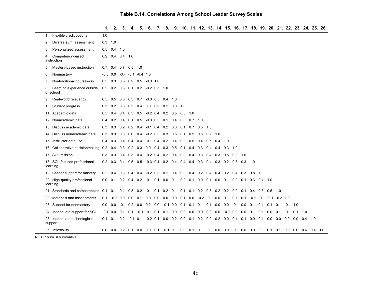|    |                                           | 1.              | 2.              |                   |                 | 3.4.5.6.                                     |                                    |  |                 |     |     |           |           |               | 7. 8. 9. 10. 11. 12. 13. 14. 15. 16. 17. 18. 19. 20. 21. 22. 23. 24. 25. 26.                             |     |        |                                 |  |                |  |     |
|----|-------------------------------------------|-----------------|-----------------|-------------------|-----------------|----------------------------------------------|------------------------------------|--|-----------------|-----|-----|-----------|-----------|---------------|----------------------------------------------------------------------------------------------------------|-----|--------|---------------------------------|--|----------------|--|-----|
|    | 1. Flexible credit options                | 1.0             |                 |                   |                 |                                              |                                    |  |                 |     |     |           |           |               |                                                                                                          |     |        |                                 |  |                |  |     |
| 2. | Diverse sum, assessment                   | $0.3$ 1.0       |                 |                   |                 |                                              |                                    |  |                 |     |     |           |           |               |                                                                                                          |     |        |                                 |  |                |  |     |
| 3. | Personalized assessment                   |                 | $0.5 \quad 0.4$ | 1.0               |                 |                                              |                                    |  |                 |     |     |           |           |               |                                                                                                          |     |        |                                 |  |                |  |     |
|    | 4. Competency-based<br>instruction        |                 |                 | $0.2$ 0.4 0.4 1.0 |                 |                                              |                                    |  |                 |     |     |           |           |               |                                                                                                          |     |        |                                 |  |                |  |     |
| 5. | Mastery-based instruction                 | $0.7 \quad 0.4$ |                 |                   | $0.7$ 0.5 1.0   |                                              |                                    |  |                 |     |     |           |           |               |                                                                                                          |     |        |                                 |  |                |  |     |
| 6. | Nonmastery                                |                 |                 |                   |                 | $-0.3$ 0.0 $-0.4$ $-0.1$ $-0.4$ 1.0          |                                    |  |                 |     |     |           |           |               |                                                                                                          |     |        |                                 |  |                |  |     |
| 7. | Nontraditional coursework                 |                 |                 |                   |                 | $0.5$ 0.3 0.5 0.2 0.5 -0.3 1.0               |                                    |  |                 |     |     |           |           |               |                                                                                                          |     |        |                                 |  |                |  |     |
| 8. | Learning experience outside<br>of school  |                 |                 |                   |                 | 0.2 0.2 0.3 0.1 0.2 -0.2 0.5 1.0             |                                    |  |                 |     |     |           |           |               |                                                                                                          |     |        |                                 |  |                |  |     |
| 9. | Real-world relevancy                      | $0.5 \quad 0.5$ |                 | $0.6$ 0.3         |                 | $0.7 -0.3$ 0.5 0.4 1.0                       |                                    |  |                 |     |     |           |           |               |                                                                                                          |     |        |                                 |  |                |  |     |
|    | 10. Student progress                      | 0.3             | 0.2             |                   |                 | $0.3$ 0.5 0.4 0.0 0.2 0.1                    |                                    |  | $0.3 \quad 1.0$ |     |     |           |           |               |                                                                                                          |     |        |                                 |  |                |  |     |
|    | 11. Academic data                         | 0.5             | 0.4             |                   | $0.4$ 0.3       | 0.5                                          | $-0.2$ 0.4 0.2 0.5 0.3 1.0         |  |                 |     |     |           |           |               |                                                                                                          |     |        |                                 |  |                |  |     |
|    | 12. Nonacademic data                      | 0.4             | 0.2             | 0.4               | 0.1             | 0.5                                          | $-0.3$ 0.3 0.1 0.4 0.0 0.7 1.0     |  |                 |     |     |           |           |               |                                                                                                          |     |        |                                 |  |                |  |     |
|    | 13. Discuss academic data                 | $0.3 \quad 0.3$ |                 |                   |                 | 0.2 0.2 0.4 -0.1 0.4 0.2 0.3 0.1 0.7 0.5 1.0 |                                    |  |                 |     |     |           |           |               |                                                                                                          |     |        |                                 |  |                |  |     |
|    | 14. Discuss nonacademic data              | 0.3             | 0.3             |                   | $0.3$ 0.0 0.4   |                                              | $-0.2$ 0.3 0.3 0.5 0.1             |  |                 | 0.5 | 0.6 | $0.7$ 1.0 |           |               |                                                                                                          |     |        |                                 |  |                |  |     |
|    | 15. Instructor data use                   | $0.4 \quad 0.3$ |                 | $0.4 \quad 0.4$   |                 | 0.4                                          | $-0.1$ 0.4 0.2 0.4 0.2 0.5 0.4 0.5 |  |                 |     |     |           | $0.4$ 1.0 |               |                                                                                                          |     |        |                                 |  |                |  |     |
|    | 16. Collaborative decisionmaking 0.2 0.4  |                 |                 |                   |                 | 0.3 0.2 0.3 0.0 0.4 0.3 0.5 0.1 0.4 0.3 0.4  |                                    |  |                 |     |     |           |           | $0.4$ 0.3 1.0 |                                                                                                          |     |        |                                 |  |                |  |     |
|    | 17. SCL mission                           | $0.3 \quad 0.3$ |                 |                   | $0.4$ 0.3 0.4   |                                              |                                    |  |                 |     |     |           |           |               | $-0.2$ 0.4 0.2 0.4 0.3 0.4 0.3 0.4 0.3 0.5 0.3 1.0                                                       |     |        |                                 |  |                |  |     |
|    | 18. SCL-focused professional<br>learning  |                 |                 |                   |                 |                                              |                                    |  |                 |     |     |           |           |               | 0.2 0.3 0.4 0.5 0.5 -0.3 0.4 0.2 0.4 0.4 0.4 0.3 0.4 0.3 0.2 0.3 0.3 1.0                                 |     |        |                                 |  |                |  |     |
|    | 19. Leader support for mastery            | $0.2 \quad 0.4$ |                 |                   | $0.3 \quad 0.4$ |                                              |                                    |  |                 |     |     |           |           |               | 0.4 -0.2 0.3 0.1 0.4 0.3 0.4 0.2 0.4 0.4 0.2 0.4 0.3                                                     | 0.8 | $-1.0$ |                                 |  |                |  |     |
|    | 20. High-quality professional<br>learning | $0.0 \quad 0.1$ |                 |                   |                 |                                              |                                    |  |                 |     |     |           |           |               | 0.2 0.4 0.2 -0.1 0.1 0.0 0.1 0.2 0.1 0.0 0.1 0.0 0.1 0.0 0.1 0.3 0.4 1.0                                 |     |        |                                 |  |                |  |     |
|    | 21. Standards and competencies            | 0.1             |                 |                   |                 |                                              |                                    |  |                 |     |     |           |           |               | 0.1 0.1 0.3 0.2 -0.1 0.1 0.2 0.1 0.1 0.1 0.2 0.3 0.2 0.2 0.0 0.1 0.4 0.3 0.6 1.0                         |     |        |                                 |  |                |  |     |
|    | 22. Materials and assessments             | 0.1             |                 |                   |                 |                                              |                                    |  |                 |     |     |           |           |               | $-0.2$ 0.0 0.0 0.1 0.0 0.0 0.0 0.0 0.1 0.0 $-0.2$ $-0.1$ 0.0 0.1 0.1 0.1 $-0.1$ $-0.1$ $-0.1$ $-0.2$ 1.0 |     |        |                                 |  |                |  |     |
|    | 23. Support for nonmastery                |                 |                 |                   |                 |                                              |                                    |  |                 |     |     |           |           |               | 0.0 0.0 -0.1 0.2 0.0 0.2 0.0 -0.1 0.0 0.1 0.1 0.1 0.1 0.0 0.0 -0.1 0.0 0.1 0.1 0.1 0.1 -0.1 1.0          |     |        |                                 |  |                |  |     |
|    | 24. Inadequate support for SCL            | $-0.1$ 0.0      |                 | 0.1               | 0.1             |                                              |                                    |  |                 |     |     |           |           |               | $-0.1$ $-0.1$ 0.1 0.1 0.0 0.0 0.0 0.0 0.0 0.0 $-0.1$ 0.0 0.0 0.1 0.1 0.0 0.1                             |     |        |                                 |  | $-0.1$ 0.1 1.0 |  |     |
|    | 25. Inadequate technological<br>support   | 0.1             | 0.1             |                   |                 |                                              |                                    |  |                 |     |     |           |           |               | 0.2 -0.1 0.1 -0.2 0.1 0.0 0.2 0.0 0.1 0.2 0.0 0.2 0.0 0.1 0.1                                            |     |        | 0.0 0.1 0.0 0.0 0.0 0.0 0.4 1.0 |  |                |  |     |
|    | 26. Inflexibility                         |                 |                 |                   |                 |                                              |                                    |  |                 |     |     |           |           |               | 0.0 0.0 0.2 0.1 0.0 0.0 0.1 -0.1 0.1 0.0 0.1 0.1 -0.1 0.0 0.0 -0.1 0.0 0.0 0.0 0.1 0.1 0.0 0.0 0.6 0.4   |     |        |                                 |  |                |  | 1.0 |

NOTE: sum. = summative

–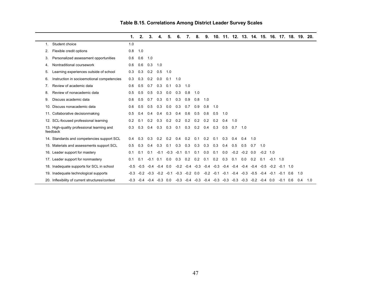|                                                        | 1.     | 2.     | 3.          |                          | 5.          | 6.     | 7.               | 8.     | 9.     | 10.                                                                       |        |              |            |        | 11. 12. 13. 14. 15. 16. 17. 18. 19. 20. |             |            |     |     |
|--------------------------------------------------------|--------|--------|-------------|--------------------------|-------------|--------|------------------|--------|--------|---------------------------------------------------------------------------|--------|--------------|------------|--------|-----------------------------------------|-------------|------------|-----|-----|
| Student choice<br>1.                                   | 1.0    |        |             |                          |             |        |                  |        |        |                                                                           |        |              |            |        |                                         |             |            |     |     |
| Flexible credit options<br>2.                          | 0.8    | 1.0    |             |                          |             |        |                  |        |        |                                                                           |        |              |            |        |                                         |             |            |     |     |
| Personalized assessment opportunities<br>3.            | 0.6    | 0.6    | 1.0         |                          |             |        |                  |        |        |                                                                           |        |              |            |        |                                         |             |            |     |     |
| Nontraditional coursework<br>4.                        | 0.6    | 0.6    | 0.3         | 1.0                      |             |        |                  |        |        |                                                                           |        |              |            |        |                                         |             |            |     |     |
| Learning experiences outside of school<br>5.           | 0.3    | 0.3    | 0.2         | 0.5                      | 1.0         |        |                  |        |        |                                                                           |        |              |            |        |                                         |             |            |     |     |
| Instruction in socioemotional competencies<br>6.       | 0.3    | 0.3    | 0.2         | 0.0                      | 0.1         | 1.0    |                  |        |        |                                                                           |        |              |            |        |                                         |             |            |     |     |
| Review of academic data<br>7.                          | 0.6    | 0.5    | 0.7         | 0.3                      | 0.1         | 0.3    | 1.0              |        |        |                                                                           |        |              |            |        |                                         |             |            |     |     |
| Review of nonacademic data<br>8.                       | 0.5    | 0.5    | 0.5         | 0.3                      | 0.0         | 0.3    | 0.8              | 1.0    |        |                                                                           |        |              |            |        |                                         |             |            |     |     |
| Discuss academic data<br>9.                            | 0.6    | 0.5    | 0.7         | 0.3                      | 0.1         | 0.3    | 0.9              | 0.8    | 1.0    |                                                                           |        |              |            |        |                                         |             |            |     |     |
| 10. Discuss nonacademic data                           | 0.6    | 0.5    | 0.5         | 0.3                      | 0.0         | 0.3    | 0.7              | 0.9    | 0.8    | 1.0                                                                       |        |              |            |        |                                         |             |            |     |     |
| 11. Collaborative decisionmaking                       | 0.5    | 0.4    | 0.4         | 0.4                      | 0.3         | 0.4    | 0.6              | 0.5    | 0.6    | 0.5                                                                       | 1.0    |              |            |        |                                         |             |            |     |     |
| 12. SCL-focused professional learning                  | 0.2    | 0.1    | 0.2         | 0.3                      | 0.2         | 0.2    | 0.2              | 0.2    | 0.2    | 0.2                                                                       | 0.4    | 1.0          |            |        |                                         |             |            |     |     |
| 13. High-quality professional learning and<br>feedback | 0.3    | 0.3    | 0.4         | 0.3                      | 0.3         | 0.1    | 0.3              | 0.2    | 0.4    | 0.3                                                                       | 0.5    | 0.7          | 1.0        |        |                                         |             |            |     |     |
| 14. Standards and competencies support SCL             | 0.4    | 0.3    | 0.3         | $0.2^{\circ}$            | 0.2         | 0.4    | 0.2              | 0.1    | 0.2    | 0.1                                                                       | 0.3    | 0.4          | 0.4        | 1.0    |                                         |             |            |     |     |
| 15. Materials and assessments support SCL              | 0.5    | 0.3    | 0.4         | 0.3                      | 0.1         | 0.3    | 0.3              | 0.3    | 0.3    | 0.3                                                                       | 0.4    | 0.5          | 0.5        | 0.7    | 1.0                                     |             |            |     |     |
| 16. Leader support for mastery                         | 0.1    | 0.1    | 0.1         | $-0.1$                   | $-0.3$      | $-0.1$ | 0.1              | 0.1    | 0.0    | 0.1                                                                       | 0.0    | $-0.2$       | $-0.2$ 0.0 |        | $-0.2$ 1.0                              |             |            |     |     |
| 17. Leader support for nonmastery                      | 0.1    | 0.1    | $-0.1$      | 0.1                      | 0.0         | 0.3    | 0.2              | 0.2    | 0.1    | 0.2                                                                       | 0.3    | 0.1          | 0.0        | 0.2    | 0.1                                     | $-0.1$ 1.0  |            |     |     |
| 18. Inadequate supports for SCL in school              | $-0.5$ | $-0.5$ | $-0.4$      | $-0.4$                   | 0.0         | $-0.2$ | $-0.4$           | $-0.3$ | $-0.4$ | $-0.3$                                                                    | $-0.4$ | $-0.4$       | $-0.4$     | $-0.4$ |                                         | $-0.5 -0.2$ | $-0.1$ 1.0 |     |     |
| 19. Inadequate technological supports                  | $-0.3$ |        | $-0.2 -0.3$ |                          | $-0.2 -0.1$ |        | $-0.3 - 0.2 0.0$ |        |        | $-0.2 -0.1$                                                               |        | $-0.1 - 0.4$ | $-0.3$     | $-0.5$ | $-0.4$                                  | $-0.1$      | $-0.1$ 0.6 | 1.0 |     |
| 20. Inflexibility of current structures/context        | $-0.3$ |        |             | $-0.4$ $-0.4$ $-0.3$ 0.0 |             |        |                  |        |        | $-0.3$ $-0.4$ $-0.3$ $-0.4$ $-0.3$ $-0.3$ $-0.3$ $-0.3$ $-0.2$ $-0.4$ 0.0 |        |              |            |        |                                         |             | $-0.1$ 0.6 | 0.4 | 1.0 |